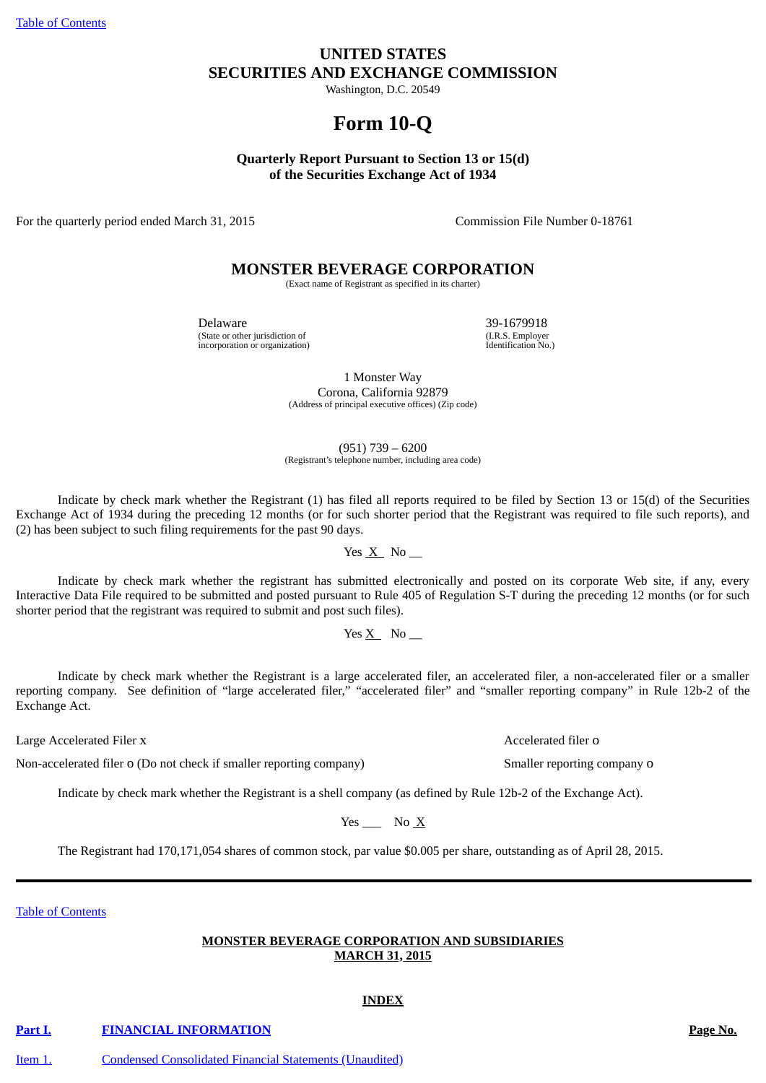Table of [Contents](#page-0-0)

# **UNITED STATES SECURITIES AND EXCHANGE COMMISSION**

Washington, D.C. 20549

# **Form 10-Q**

**Quarterly Report Pursuant to Section 13 or 15(d) of the Securities Exchange Act of 1934**

For the quarterly period ended March 31, 2015 Commission File Number 0-18761

**MONSTER BEVERAGE CORPORATION**

(Exact name of Registrant as specified in its charter)

Delaware 39-1679918<br>
(State or other jurisdiction of  $(1.8.5.$  Employer (State or other jurisdiction of *I.R.S. Employer* incorporation or organization) *Identification No.)* incorporation or organization)

1 Monster Way Corona, California 92879 (Address of principal executive offices) (Zip code)

(951) 739 – 6200 (Registrant's telephone number, including area code)

Indicate by check mark whether the Registrant (1) has filed all reports required to be filed by Section 13 or 15(d) of the Securities Exchange Act of 1934 during the preceding 12 months (or for such shorter period that the Registrant was required to file such reports), and (2) has been subject to such filing requirements for the past 90 days.

Yes  $X$  No  $-$ 

Indicate by check mark whether the registrant has submitted electronically and posted on its corporate Web site, if any, every Interactive Data File required to be submitted and posted pursuant to Rule 405 of Regulation S-T during the preceding 12 months (or for such shorter period that the registrant was required to submit and post such files).

Yes X No

Indicate by check mark whether the Registrant is a large accelerated filer, an accelerated filer, a non-accelerated filer or a smaller reporting company. See definition of "large accelerated filer," "accelerated filer" and "smaller reporting company" in Rule 12b-2 of the Exchange Act.

Large Accelerated Filer x and a set of the set of the Accelerated filer of the Accelerated filer of the Accelerated filer of the Accelerated filer of the Accelerated filer of the Accelerated filer of the Accelerated filer

Non-accelerated filer o (Do not check if smaller reporting company) Smaller reporting company o

Indicate by check mark whether the Registrant is a shell company (as defined by Rule 12b-2 of the Exchange Act).

Yes  $\_\_$  No  $\overline{X}$ 

The Registrant had 170,171,054 shares of common stock, par value \$0.005 per share, outstanding as of April 28, 2015.

Table of [Contents](#page-0-0)

# **MONSTER BEVERAGE CORPORATION AND SUBSIDIARIES MARCH 31, 2015**

# **INDEX**

<span id="page-0-0"></span>**[Part](#page-1-0) I. FINANCIAL [INFORMATION](#page-1-0) Page No.**

[Item](#page-1-1) 1. Condensed [Consolidated](#page-1-1) Financial Statements (Unaudited)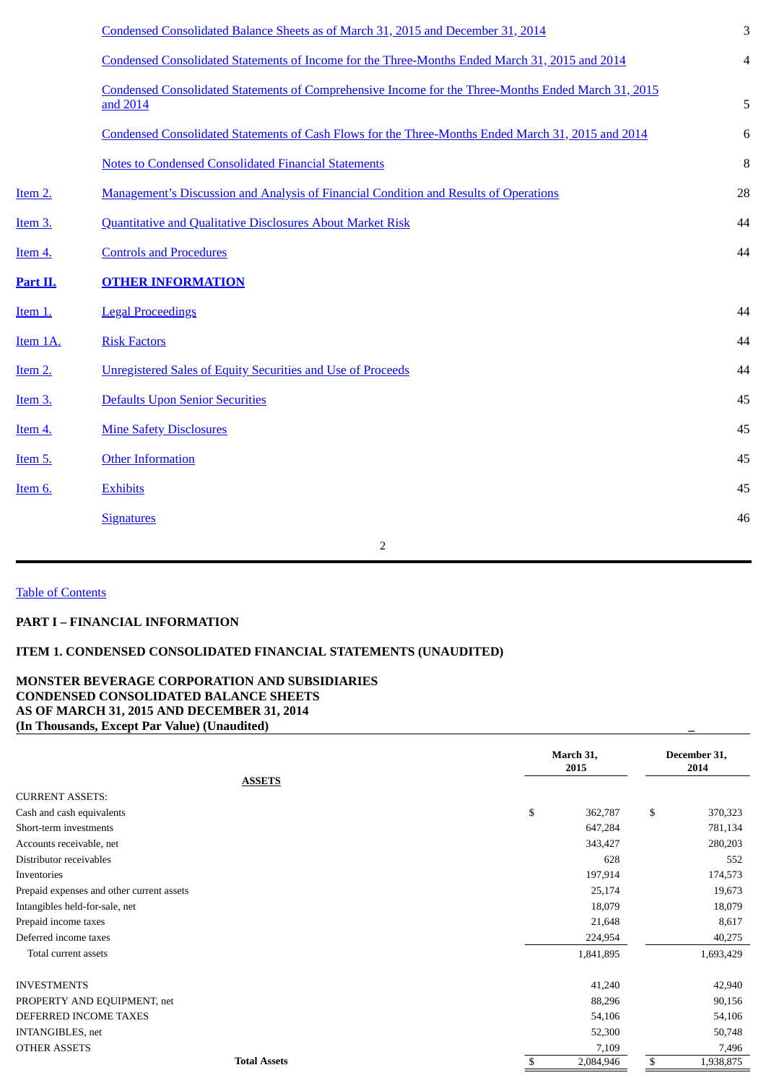|          | Condensed Consolidated Balance Sheets as of March 31, 2015 and December 31, 2014                                | 3  |
|----------|-----------------------------------------------------------------------------------------------------------------|----|
|          | Condensed Consolidated Statements of Income for the Three-Months Ended March 31, 2015 and 2014                  | 4  |
|          | Condensed Consolidated Statements of Comprehensive Income for the Three-Months Ended March 31, 2015<br>and 2014 | 5  |
|          | Condensed Consolidated Statements of Cash Flows for the Three-Months Ended March 31, 2015 and 2014              | 6  |
|          | <b>Notes to Condensed Consolidated Financial Statements</b>                                                     | 8  |
| Item 2.  | <b>Management's Discussion and Analysis of Financial Condition and Results of Operations</b>                    | 28 |
| Item 3.  | Quantitative and Qualitative Disclosures About Market Risk                                                      | 44 |
| Item 4.  | <b>Controls and Procedures</b>                                                                                  | 44 |
| Part II. | <b>OTHER INFORMATION</b>                                                                                        |    |
| Item 1.  | <b>Legal Proceedings</b>                                                                                        | 44 |
| Item 1A. | <b>Risk Factors</b>                                                                                             | 44 |
| Item 2.  | <b>Unregistered Sales of Equity Securities and Use of Proceeds</b>                                              | 44 |
| Item 3.  | <b>Defaults Upon Senior Securities</b>                                                                          | 45 |
| Item 4.  | <b>Mine Safety Disclosures</b>                                                                                  | 45 |
| Item 5.  | <b>Other Information</b>                                                                                        | 45 |
| Item 6.  | <b>Exhibits</b>                                                                                                 | 45 |
|          | <b>Signatures</b>                                                                                               | 46 |
|          | $\overline{2}$                                                                                                  |    |

# Table of [Contents](#page-0-0)

# <span id="page-1-0"></span>**PART I – FINANCIAL INFORMATION**

# <span id="page-1-1"></span>**ITEM 1. CONDENSED CONSOLIDATED FINANCIAL STATEMENTS (UNAUDITED)**

# <span id="page-1-2"></span>**MONSTER BEVERAGE CORPORATION AND SUBSIDIARIES CONDENSED CONSOLIDATED BALANCE SHEETS AS OF MARCH 31, 2015 AND DECEMBER 31, 2014 (In Thousands, Except Par Value) (Unaudited) \_**

|                                           | March 31,<br>2015 |           | December 31,<br>2014 |
|-------------------------------------------|-------------------|-----------|----------------------|
| <b>ASSETS</b>                             |                   |           |                      |
| <b>CURRENT ASSETS:</b>                    |                   |           |                      |
| Cash and cash equivalents                 | \$                | 362,787   | \$<br>370,323        |
| Short-term investments                    |                   | 647,284   | 781,134              |
| Accounts receivable, net                  |                   | 343,427   | 280,203              |
| Distributor receivables                   |                   | 628       | 552                  |
| Inventories                               |                   | 197,914   | 174,573              |
| Prepaid expenses and other current assets |                   | 25,174    | 19,673               |
| Intangibles held-for-sale, net            |                   | 18,079    | 18,079               |
| Prepaid income taxes                      |                   | 21,648    | 8,617                |
| Deferred income taxes                     |                   | 224,954   | 40,275               |
| Total current assets                      |                   | 1,841,895 | 1,693,429            |
| <b>INVESTMENTS</b>                        |                   | 41,240    | 42,940               |
| PROPERTY AND EQUIPMENT, net               |                   | 88,296    | 90,156               |
| DEFERRED INCOME TAXES                     |                   | 54,106    | 54,106               |
| <b>INTANGIBLES</b> , net                  |                   | 52,300    | 50,748               |
| <b>OTHER ASSETS</b>                       |                   | 7,109     | 7,496                |
| <b>Total Assets</b>                       |                   | 2,084,946 | \$<br>1,938,875      |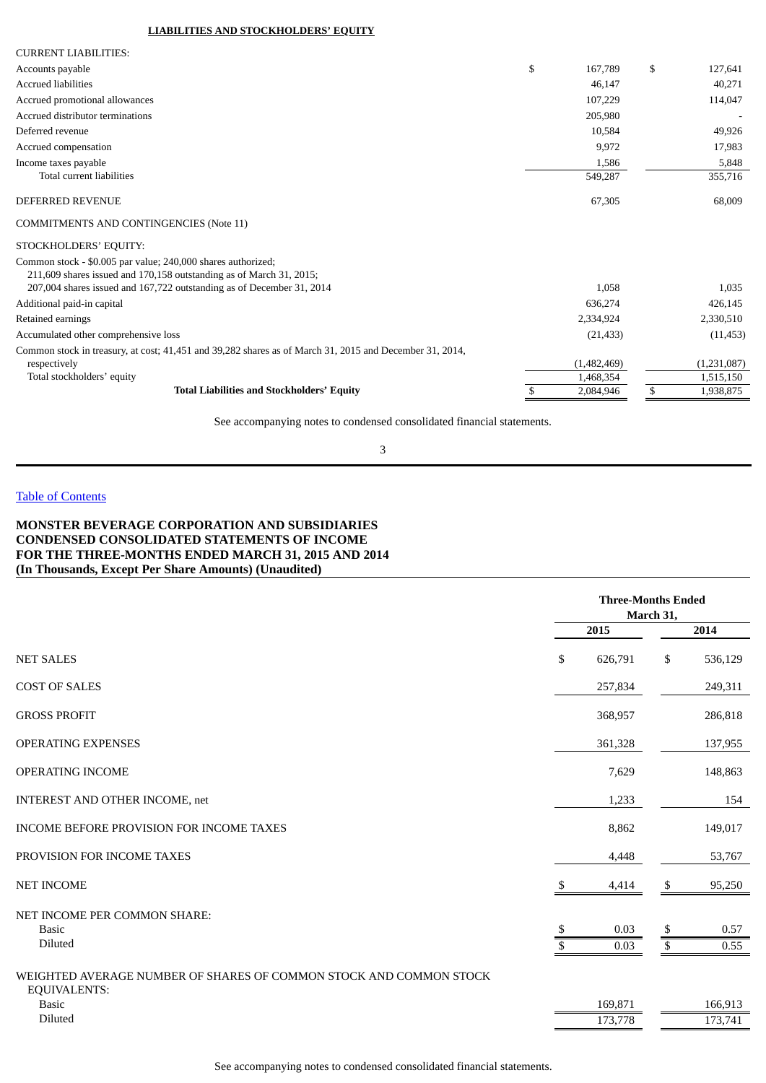# **LIABILITIES AND STOCKHOLDERS' EQUITY**

| <b>CURRENT LIABILITIES:</b>                                                                             |     |             |                 |
|---------------------------------------------------------------------------------------------------------|-----|-------------|-----------------|
| Accounts payable                                                                                        | \$  | 167,789     | \$<br>127,641   |
| <b>Accrued liabilities</b>                                                                              |     | 46,147      | 40,271          |
| Accrued promotional allowances                                                                          |     | 107,229     | 114,047         |
| Accrued distributor terminations                                                                        |     | 205,980     |                 |
| Deferred revenue                                                                                        |     | 10,584      | 49,926          |
| Accrued compensation                                                                                    |     | 9,972       | 17,983          |
| Income taxes payable                                                                                    |     | 1,586       | 5,848           |
| Total current liabilities                                                                               |     | 549,287     | 355,716         |
| <b>DEFERRED REVENUE</b>                                                                                 |     | 67,305      | 68,009          |
| <b>COMMITMENTS AND CONTINGENCIES (Note 11)</b>                                                          |     |             |                 |
| STOCKHOLDERS' EQUITY:                                                                                   |     |             |                 |
| Common stock - \$0.005 par value; 240,000 shares authorized;                                            |     |             |                 |
| 211,609 shares issued and 170,158 outstanding as of March 31, 2015;                                     |     |             |                 |
| 207,004 shares issued and 167,722 outstanding as of December 31, 2014                                   |     | 1,058       | 1,035           |
| Additional paid-in capital                                                                              |     | 636,274     | 426,145         |
| Retained earnings                                                                                       |     | 2,334,924   | 2,330,510       |
| Accumulated other comprehensive loss                                                                    |     | (21, 433)   | (11, 453)       |
| Common stock in treasury, at cost; 41,451 and 39,282 shares as of March 31, 2015 and December 31, 2014, |     |             |                 |
| respectively                                                                                            |     | (1,482,469) | (1,231,087)     |
| Total stockholders' equity                                                                              |     | 1,468,354   | 1,515,150       |
| <b>Total Liabilities and Stockholders' Equity</b>                                                       | \$. | 2,084,946   | \$<br>1,938,875 |

See accompanying notes to condensed consolidated financial statements.

<span id="page-2-0"></span>3

# Table of [Contents](#page-0-0)

# **MONSTER BEVERAGE CORPORATION AND SUBSIDIARIES CONDENSED CONSOLIDATED STATEMENTS OF INCOME FOR THE THREE-MONTHS ENDED MARCH 31, 2015 AND 2014 (In Thousands, Except Per Share Amounts) (Unaudited)**

|                                                                                           | <b>Three-Months Ended</b><br>March 31, |              |                      |              |  |
|-------------------------------------------------------------------------------------------|----------------------------------------|--------------|----------------------|--------------|--|
|                                                                                           |                                        | 2015         |                      | 2014         |  |
| <b>NET SALES</b>                                                                          | \$                                     | 626,791      | \$                   | 536,129      |  |
| <b>COST OF SALES</b>                                                                      |                                        | 257,834      |                      | 249,311      |  |
| <b>GROSS PROFIT</b>                                                                       |                                        | 368,957      |                      | 286,818      |  |
| <b>OPERATING EXPENSES</b>                                                                 |                                        | 361,328      |                      | 137,955      |  |
| OPERATING INCOME                                                                          |                                        | 7,629        |                      | 148,863      |  |
| <b>INTEREST AND OTHER INCOME, net</b>                                                     |                                        | 1,233        |                      | 154          |  |
| <b>INCOME BEFORE PROVISION FOR INCOME TAXES</b>                                           |                                        | 8,862        |                      | 149,017      |  |
| PROVISION FOR INCOME TAXES                                                                |                                        | 4,448        |                      | 53,767       |  |
| <b>NET INCOME</b>                                                                         | \$                                     | 4,414        | \$                   | 95,250       |  |
| NET INCOME PER COMMON SHARE:<br><b>Basic</b><br>Diluted                                   | S<br>\$                                | 0.03<br>0.03 | \$<br>$$\mathbb{S}$$ | 0.57<br>0.55 |  |
| WEIGHTED AVERAGE NUMBER OF SHARES OF COMMON STOCK AND COMMON STOCK<br><b>EQUIVALENTS:</b> |                                        |              |                      |              |  |
| <b>Basic</b>                                                                              |                                        | 169,871      |                      | 166,913      |  |
| <b>Diluted</b>                                                                            |                                        | 173,778      |                      | 173,741      |  |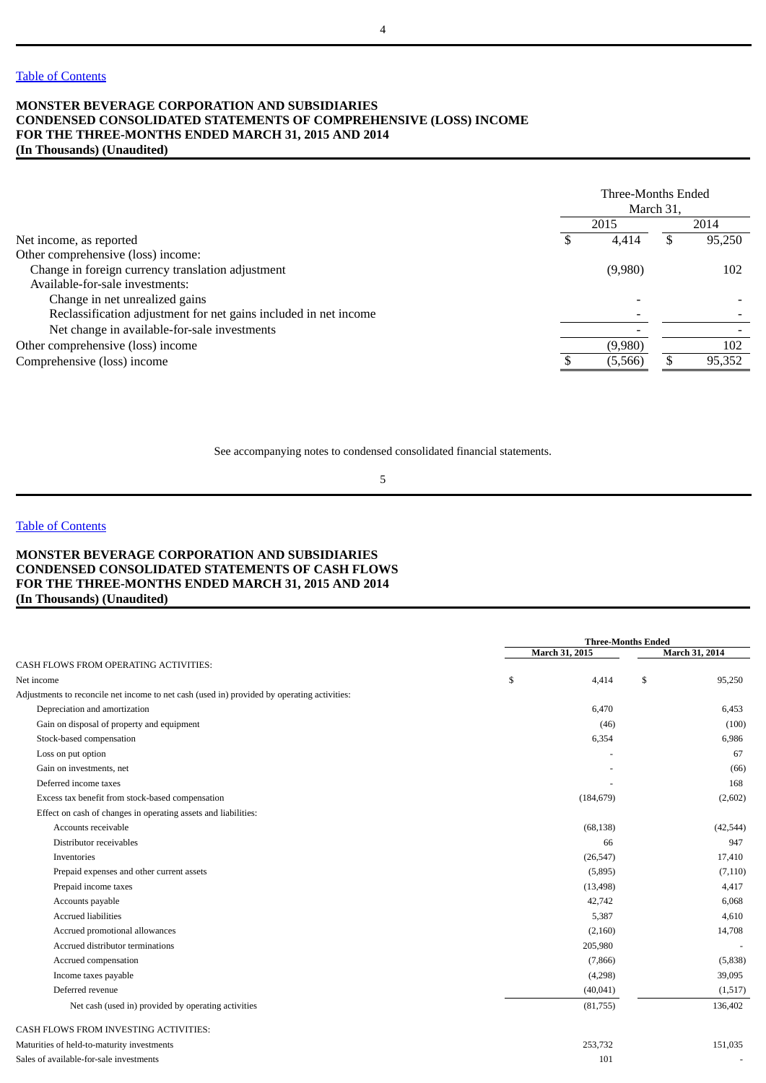### Table of [Contents](#page-0-0)

### **MONSTER BEVERAGE CORPORATION AND SUBSIDIARIES CONDENSED CONSOLIDATED STATEMENTS OF COMPREHENSIVE (LOSS) INCOME FOR THE THREE-MONTHS ENDED MARCH 31, 2015 AND 2014 (In Thousands) (Unaudited)**

|                                                                  | Three-Months Ended |         |   |        |  |  |
|------------------------------------------------------------------|--------------------|---------|---|--------|--|--|
|                                                                  | March 31,          |         |   |        |  |  |
|                                                                  | 2015               |         |   | 2014   |  |  |
| Net income, as reported                                          |                    | 4.414   | S | 95,250 |  |  |
| Other comprehensive (loss) income:                               |                    |         |   |        |  |  |
| Change in foreign currency translation adjustment                |                    | (9,980) |   | 102    |  |  |
| Available-for-sale investments:                                  |                    |         |   |        |  |  |
| Change in net unrealized gains                                   |                    |         |   |        |  |  |
| Reclassification adjustment for net gains included in net income |                    |         |   |        |  |  |
| Net change in available-for-sale investments                     |                    |         |   |        |  |  |
| Other comprehensive (loss) income                                |                    | (9,980) |   | 102    |  |  |
| Comprehensive (loss) income                                      |                    | (5,566) |   | 95,352 |  |  |

See accompanying notes to condensed consolidated financial statements.

<span id="page-3-1"></span><span id="page-3-0"></span>5

#### Table of [Contents](#page-0-0)

### **MONSTER BEVERAGE CORPORATION AND SUBSIDIARIES CONDENSED CONSOLIDATED STATEMENTS OF CASH FLOWS FOR THE THREE-MONTHS ENDED MARCH 31, 2015 AND 2014 (In Thousands) (Unaudited)**

|                                                                                             | <b>Three-Months Ended</b> |                |                |           |  |
|---------------------------------------------------------------------------------------------|---------------------------|----------------|----------------|-----------|--|
|                                                                                             |                           | March 31, 2015 | March 31, 2014 |           |  |
| CASH FLOWS FROM OPERATING ACTIVITIES:                                                       |                           |                |                |           |  |
| Net income                                                                                  | \$                        | 4,414          | \$             | 95,250    |  |
| Adjustments to reconcile net income to net cash (used in) provided by operating activities: |                           |                |                |           |  |
| Depreciation and amortization                                                               |                           | 6,470          |                | 6,453     |  |
| Gain on disposal of property and equipment                                                  |                           | (46)           |                | (100)     |  |
| Stock-based compensation                                                                    |                           | 6,354          |                | 6,986     |  |
| Loss on put option                                                                          |                           |                |                | 67        |  |
| Gain on investments, net                                                                    |                           |                |                | (66)      |  |
| Deferred income taxes                                                                       |                           |                |                | 168       |  |
| Excess tax benefit from stock-based compensation                                            |                           | (184, 679)     |                | (2,602)   |  |
| Effect on cash of changes in operating assets and liabilities:                              |                           |                |                |           |  |
| Accounts receivable                                                                         |                           | (68, 138)      |                | (42, 544) |  |
| Distributor receivables                                                                     |                           | 66             |                | 947       |  |
| Inventories                                                                                 |                           | (26, 547)      |                | 17,410    |  |
| Prepaid expenses and other current assets                                                   |                           | (5,895)        |                | (7, 110)  |  |
| Prepaid income taxes                                                                        |                           | (13, 498)      |                | 4,417     |  |
| Accounts payable                                                                            |                           | 42,742         |                | 6,068     |  |
| <b>Accrued liabilities</b>                                                                  |                           | 5,387          |                | 4,610     |  |
| Accrued promotional allowances                                                              |                           | (2,160)        |                | 14,708    |  |
| Accrued distributor terminations                                                            |                           | 205,980        |                |           |  |
| Accrued compensation                                                                        |                           | (7,866)        |                | (5,838)   |  |
| Income taxes payable                                                                        |                           | (4,298)        |                | 39,095    |  |
| Deferred revenue                                                                            |                           | (40, 041)      |                | (1,517)   |  |
| Net cash (used in) provided by operating activities                                         |                           | (81,755)       |                | 136,402   |  |
| CASH FLOWS FROM INVESTING ACTIVITIES:                                                       |                           |                |                |           |  |
| Maturities of held-to-maturity investments                                                  |                           | 253.732        |                | 151,035   |  |
| Sales of available-for-sale investments                                                     |                           | 101            |                |           |  |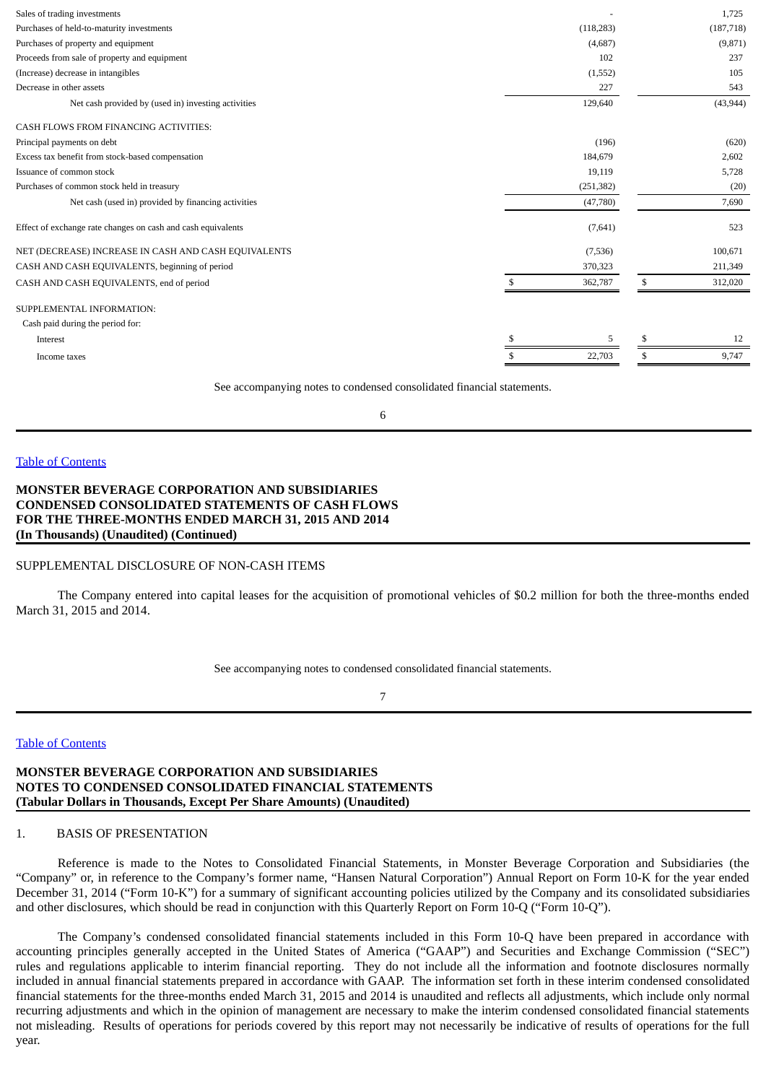| Sales of trading investments                                 |            |   | 1,725      |
|--------------------------------------------------------------|------------|---|------------|
| Purchases of held-to-maturity investments                    | (118, 283) |   | (187, 718) |
| Purchases of property and equipment                          | (4,687)    |   | (9,871)    |
| Proceeds from sale of property and equipment                 | 102        |   | 237        |
| (Increase) decrease in intangibles                           | (1,552)    |   | 105        |
| Decrease in other assets                                     | 227        |   | 543        |
| Net cash provided by (used in) investing activities          | 129,640    |   | (43, 944)  |
| CASH FLOWS FROM FINANCING ACTIVITIES:                        |            |   |            |
| Principal payments on debt                                   | (196)      |   | (620)      |
| Excess tax benefit from stock-based compensation             | 184,679    |   | 2,602      |
| Issuance of common stock                                     | 19,119     |   | 5,728      |
| Purchases of common stock held in treasury                   | (251, 382) |   | (20)       |
| Net cash (used in) provided by financing activities          | (47,780)   |   | 7,690      |
| Effect of exchange rate changes on cash and cash equivalents | (7,641)    |   | 523        |
| NET (DECREASE) INCREASE IN CASH AND CASH EQUIVALENTS         | (7,536)    |   | 100,671    |
| CASH AND CASH EQUIVALENTS, beginning of period               | 370,323    |   | 211,349    |
| CASH AND CASH EQUIVALENTS, end of period                     | 362,787    | S | 312,020    |
| SUPPLEMENTAL INFORMATION:                                    |            |   |            |
| Cash paid during the period for:                             |            |   |            |
| Interest                                                     | 5          |   | 12         |
| Income taxes                                                 | 22,703     |   | 9,747      |
|                                                              |            |   |            |

See accompanying notes to condensed consolidated financial statements.

6

#### Table of [Contents](#page-0-0)

**MONSTER BEVERAGE CORPORATION AND SUBSIDIARIES CONDENSED CONSOLIDATED STATEMENTS OF CASH FLOWS FOR THE THREE-MONTHS ENDED MARCH 31, 2015 AND 2014 (In Thousands) (Unaudited) (Continued)**

#### SUPPLEMENTAL DISCLOSURE OF NON-CASH ITEMS

The Company entered into capital leases for the acquisition of promotional vehicles of \$0.2 million for both the three-months ended March 31, 2015 and 2014.

See accompanying notes to condensed consolidated financial statements.

<span id="page-4-0"></span>7

Table of [Contents](#page-0-0)

### **MONSTER BEVERAGE CORPORATION AND SUBSIDIARIES NOTES TO CONDENSED CONSOLIDATED FINANCIAL STATEMENTS (Tabular Dollars in Thousands, Except Per Share Amounts) (Unaudited)**

#### 1. BASIS OF PRESENTATION

Reference is made to the Notes to Consolidated Financial Statements, in Monster Beverage Corporation and Subsidiaries (the "Company" or, in reference to the Company's former name, "Hansen Natural Corporation") Annual Report on Form 10-K for the year ended December 31, 2014 ("Form 10-K") for a summary of significant accounting policies utilized by the Company and its consolidated subsidiaries and other disclosures, which should be read in conjunction with this Quarterly Report on Form 10-Q ("Form 10-Q").

The Company's condensed consolidated financial statements included in this Form 10-Q have been prepared in accordance with accounting principles generally accepted in the United States of America ("GAAP") and Securities and Exchange Commission ("SEC") rules and regulations applicable to interim financial reporting. They do not include all the information and footnote disclosures normally included in annual financial statements prepared in accordance with GAAP. The information set forth in these interim condensed consolidated financial statements for the three-months ended March 31, 2015 and 2014 is unaudited and reflects all adjustments, which include only normal recurring adjustments and which in the opinion of management are necessary to make the interim condensed consolidated financial statements not misleading. Results of operations for periods covered by this report may not necessarily be indicative of results of operations for the full year.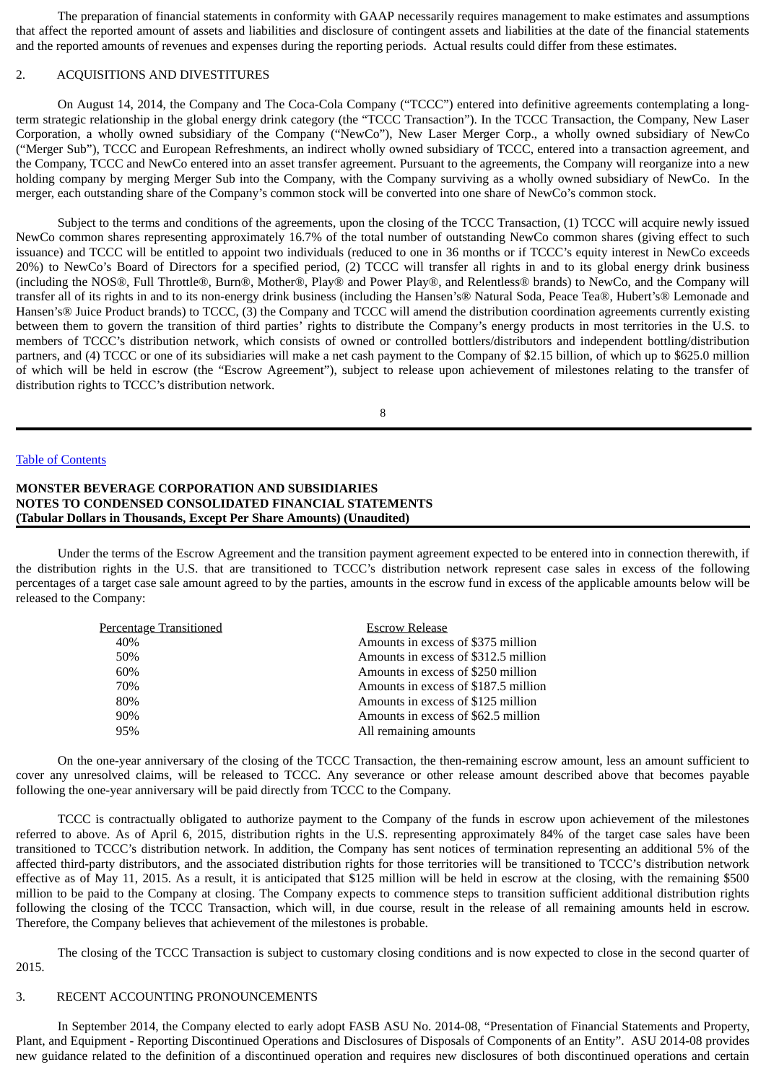The preparation of financial statements in conformity with GAAP necessarily requires management to make estimates and assumptions that affect the reported amount of assets and liabilities and disclosure of contingent assets and liabilities at the date of the financial statements and the reported amounts of revenues and expenses during the reporting periods. Actual results could differ from these estimates.

#### 2. ACQUISITIONS AND DIVESTITURES

On August 14, 2014, the Company and The Coca-Cola Company ("TCCC") entered into definitive agreements contemplating a longterm strategic relationship in the global energy drink category (the "TCCC Transaction"). In the TCCC Transaction, the Company, New Laser Corporation, a wholly owned subsidiary of the Company ("NewCo"), New Laser Merger Corp., a wholly owned subsidiary of NewCo ("Merger Sub"), TCCC and European Refreshments, an indirect wholly owned subsidiary of TCCC, entered into a transaction agreement, and the Company, TCCC and NewCo entered into an asset transfer agreement. Pursuant to the agreements, the Company will reorganize into a new holding company by merging Merger Sub into the Company, with the Company surviving as a wholly owned subsidiary of NewCo. In the merger, each outstanding share of the Company's common stock will be converted into one share of NewCo's common stock.

Subject to the terms and conditions of the agreements, upon the closing of the TCCC Transaction, (1) TCCC will acquire newly issued NewCo common shares representing approximately 16.7% of the total number of outstanding NewCo common shares (giving effect to such issuance) and TCCC will be entitled to appoint two individuals (reduced to one in 36 months or if TCCC's equity interest in NewCo exceeds 20%) to NewCo's Board of Directors for a specified period, (2) TCCC will transfer all rights in and to its global energy drink business (including the NOS®, Full Throttle®, Burn®, Mother®, Play® and Power Play®, and Relentless® brands) to NewCo, and the Company will transfer all of its rights in and to its non-energy drink business (including the Hansen's® Natural Soda, Peace Tea®, Hubert's® Lemonade and Hansen's® Juice Product brands) to TCCC, (3) the Company and TCCC will amend the distribution coordination agreements currently existing between them to govern the transition of third parties' rights to distribute the Company's energy products in most territories in the U.S. to members of TCCC's distribution network, which consists of owned or controlled bottlers/distributors and independent bottling/distribution partners, and (4) TCCC or one of its subsidiaries will make a net cash payment to the Company of \$2.15 billion, of which up to \$625.0 million of which will be held in escrow (the "Escrow Agreement"), subject to release upon achievement of milestones relating to the transfer of distribution rights to TCCC's distribution network.

8

# Table of [Contents](#page-0-0)

**MONSTER BEVERAGE CORPORATION AND SUBSIDIARIES NOTES TO CONDENSED CONSOLIDATED FINANCIAL STATEMENTS (Tabular Dollars in Thousands, Except Per Share Amounts) (Unaudited)**

Under the terms of the Escrow Agreement and the transition payment agreement expected to be entered into in connection therewith, if the distribution rights in the U.S. that are transitioned to TCCC's distribution network represent case sales in excess of the following percentages of a target case sale amount agreed to by the parties, amounts in the escrow fund in excess of the applicable amounts below will be released to the Company:

| Percentage Transitioned | <b>Escrow Release</b>                |
|-------------------------|--------------------------------------|
| 40%                     | Amounts in excess of \$375 million   |
| 50%                     | Amounts in excess of \$312.5 million |
| 60%                     | Amounts in excess of \$250 million   |
| 70%                     | Amounts in excess of \$187.5 million |
| 80%                     | Amounts in excess of \$125 million   |
| 90%                     | Amounts in excess of \$62.5 million  |
| 95%                     | All remaining amounts                |

On the one-year anniversary of the closing of the TCCC Transaction, the then-remaining escrow amount, less an amount sufficient to cover any unresolved claims, will be released to TCCC. Any severance or other release amount described above that becomes payable following the one-year anniversary will be paid directly from TCCC to the Company.

TCCC is contractually obligated to authorize payment to the Company of the funds in escrow upon achievement of the milestones referred to above. As of April 6, 2015, distribution rights in the U.S. representing approximately 84% of the target case sales have been transitioned to TCCC's distribution network. In addition, the Company has sent notices of termination representing an additional 5% of the affected third-party distributors, and the associated distribution rights for those territories will be transitioned to TCCC's distribution network effective as of May 11, 2015. As a result, it is anticipated that \$125 million will be held in escrow at the closing, with the remaining \$500 million to be paid to the Company at closing. The Company expects to commence steps to transition sufficient additional distribution rights following the closing of the TCCC Transaction, which will, in due course, result in the release of all remaining amounts held in escrow. Therefore, the Company believes that achievement of the milestones is probable.

The closing of the TCCC Transaction is subject to customary closing conditions and is now expected to close in the second quarter of 2015.

### 3. RECENT ACCOUNTING PRONOUNCEMENTS

In September 2014, the Company elected to early adopt FASB ASU No. 2014-08, "Presentation of Financial Statements and Property, Plant, and Equipment - Reporting Discontinued Operations and Disclosures of Disposals of Components of an Entity". ASU 2014-08 provides new guidance related to the definition of a discontinued operation and requires new disclosures of both discontinued operations and certain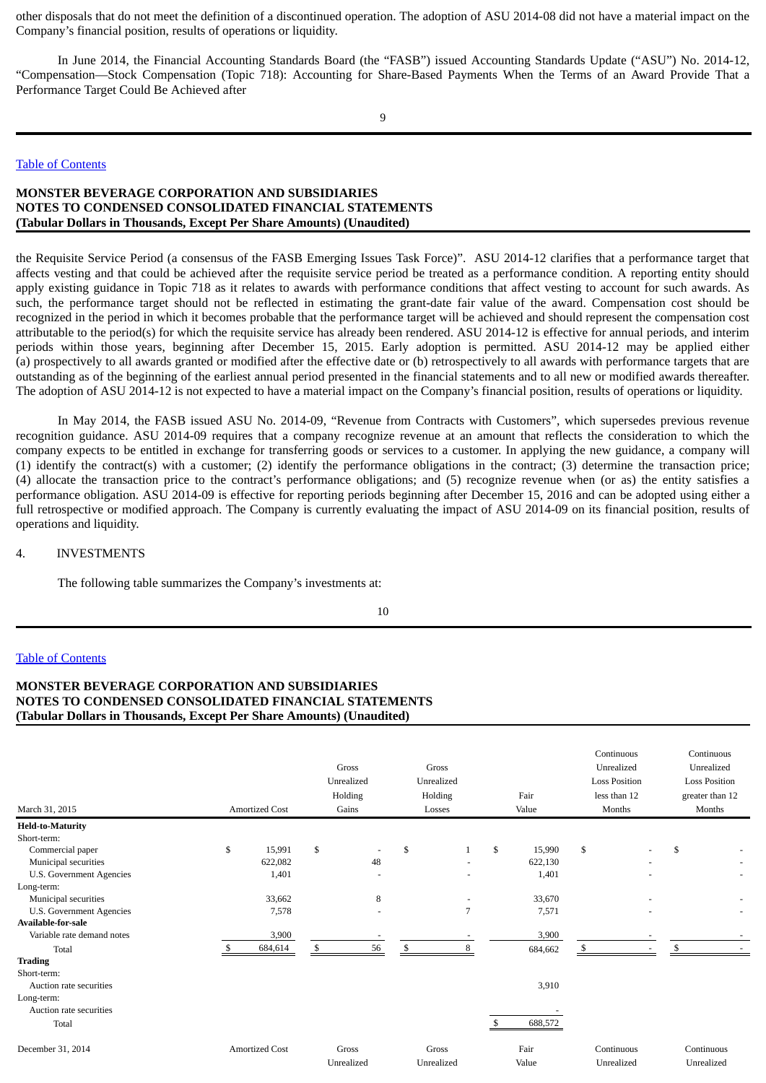other disposals that do not meet the definition of a discontinued operation. The adoption of ASU 2014-08 did not have a material impact on the Company's financial position, results of operations or liquidity.

In June 2014, the Financial Accounting Standards Board (the "FASB") issued Accounting Standards Update ("ASU") No. 2014-12, "Compensation—Stock Compensation (Topic 718): Accounting for Share-Based Payments When the Terms of an Award Provide That a Performance Target Could Be Achieved after

9

### Table of [Contents](#page-0-0)

# **MONSTER BEVERAGE CORPORATION AND SUBSIDIARIES NOTES TO CONDENSED CONSOLIDATED FINANCIAL STATEMENTS (Tabular Dollars in Thousands, Except Per Share Amounts) (Unaudited)**

the Requisite Service Period (a consensus of the FASB Emerging Issues Task Force)". ASU 2014-12 clarifies that a performance target that affects vesting and that could be achieved after the requisite service period be treated as a performance condition. A reporting entity should apply existing guidance in Topic 718 as it relates to awards with performance conditions that affect vesting to account for such awards. As such, the performance target should not be reflected in estimating the grant-date fair value of the award. Compensation cost should be recognized in the period in which it becomes probable that the performance target will be achieved and should represent the compensation cost attributable to the period(s) for which the requisite service has already been rendered. ASU 2014-12 is effective for annual periods, and interim periods within those years, beginning after December 15, 2015. Early adoption is permitted. ASU 2014-12 may be applied either (a) prospectively to all awards granted or modified after the effective date or (b) retrospectively to all awards with performance targets that are outstanding as of the beginning of the earliest annual period presented in the financial statements and to all new or modified awards thereafter. The adoption of ASU 2014-12 is not expected to have a material impact on the Company's financial position, results of operations or liquidity.

In May 2014, the FASB issued ASU No. 2014-09, "Revenue from Contracts with Customers", which supersedes previous revenue recognition guidance. ASU 2014-09 requires that a company recognize revenue at an amount that reflects the consideration to which the company expects to be entitled in exchange for transferring goods or services to a customer. In applying the new guidance, a company will (1) identify the contract(s) with a customer; (2) identify the performance obligations in the contract; (3) determine the transaction price; (4) allocate the transaction price to the contract's performance obligations; and (5) recognize revenue when (or as) the entity satisfies a performance obligation. ASU 2014-09 is effective for reporting periods beginning after December 15, 2016 and can be adopted using either a full retrospective or modified approach. The Company is currently evaluating the impact of ASU 2014-09 on its financial position, results of operations and liquidity.

### 4. INVESTMENTS

The following table summarizes the Company's investments at:

10

### Table of [Contents](#page-0-0)

# **MONSTER BEVERAGE CORPORATION AND SUBSIDIARIES NOTES TO CONDENSED CONSOLIDATED FINANCIAL STATEMENTS (Tabular Dollars in Thousands, Except Per Share Amounts) (Unaudited)**

|                                 |                       |                       |            |            |            |                          |       |         | Continuous           |  | Continuous           |  |
|---------------------------------|-----------------------|-----------------------|------------|------------|------------|--------------------------|-------|---------|----------------------|--|----------------------|--|
|                                 |                       |                       |            | Gross      |            | Gross                    |       |         | Unrealized           |  | Unrealized           |  |
|                                 |                       |                       | Unrealized |            | Unrealized |                          |       |         | <b>Loss Position</b> |  | <b>Loss Position</b> |  |
|                                 |                       |                       |            | Holding    | Holding    |                          |       | Fair    | less than 12         |  | greater than 12      |  |
| March 31, 2015                  | <b>Amortized Cost</b> |                       | Gains      |            | Losses     |                          | Value |         | Months               |  | Months               |  |
| <b>Held-to-Maturity</b>         |                       |                       |            |            |            |                          |       |         |                      |  |                      |  |
| Short-term:                     |                       |                       |            |            |            |                          |       |         |                      |  |                      |  |
| Commercial paper                | \$                    | 15,991                | \$         |            | \$         |                          | \$    | 15,990  | \$                   |  | \$                   |  |
| Municipal securities            |                       | 622,082               |            | 48         |            |                          |       | 622,130 |                      |  |                      |  |
| <b>U.S. Government Agencies</b> |                       | 1,401                 |            |            |            | $\overline{\phantom{0}}$ |       | 1,401   |                      |  |                      |  |
| Long-term:                      |                       |                       |            |            |            |                          |       |         |                      |  |                      |  |
| Municipal securities            |                       | 33,662                |            | 8          |            | $\overline{\phantom{a}}$ |       | 33,670  |                      |  |                      |  |
| U.S. Government Agencies        |                       | 7,578                 |            |            |            | 7                        |       | 7,571   |                      |  |                      |  |
| Available-for-sale              |                       |                       |            |            |            |                          |       |         |                      |  |                      |  |
| Variable rate demand notes      |                       | 3,900                 |            |            |            |                          |       | 3,900   |                      |  |                      |  |
| Total                           |                       | 684,614               | \$         | 56         | \$         | 8                        |       | 684,662 | \$                   |  | ፍ                    |  |
| <b>Trading</b>                  |                       |                       |            |            |            |                          |       |         |                      |  |                      |  |
| Short-term:                     |                       |                       |            |            |            |                          |       |         |                      |  |                      |  |
| Auction rate securities         |                       |                       |            |            |            |                          |       | 3,910   |                      |  |                      |  |
| Long-term:                      |                       |                       |            |            |            |                          |       |         |                      |  |                      |  |
| Auction rate securities         |                       |                       |            |            |            |                          |       |         |                      |  |                      |  |
| Total                           |                       |                       |            |            |            |                          |       | 688,572 |                      |  |                      |  |
| December 31, 2014               |                       | <b>Amortized Cost</b> |            | Gross      |            | Gross                    |       | Fair    | Continuous           |  | Continuous           |  |
|                                 |                       |                       |            | Unrealized |            | Unrealized               |       | Value   | Unrealized           |  | Unrealized           |  |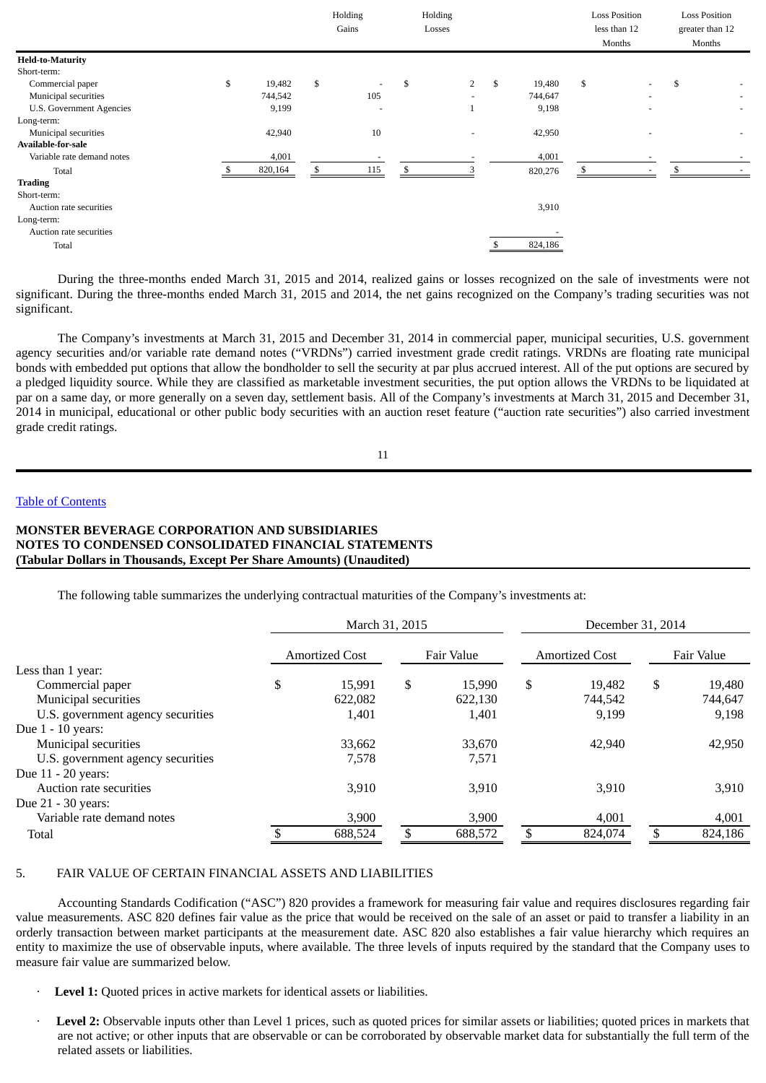|                            |              | Holding<br>Gains         | Holding<br>Losses        |    |         | <b>Loss Position</b><br>less than 12<br>Months | <b>Loss Position</b><br>greater than 12<br>Months |  |
|----------------------------|--------------|--------------------------|--------------------------|----|---------|------------------------------------------------|---------------------------------------------------|--|
| <b>Held-to-Maturity</b>    |              |                          |                          |    |         |                                                |                                                   |  |
| Short-term:                |              |                          |                          |    |         |                                                |                                                   |  |
| Commercial paper           | \$<br>19,482 | \$<br>٠                  | \$<br>$\overline{2}$     | \$ | 19,480  | \$                                             | \$                                                |  |
| Municipal securities       | 744,542      | 105                      |                          |    | 744,647 |                                                |                                                   |  |
| U.S. Government Agencies   | 9,199        | $\overline{\phantom{a}}$ |                          |    | 9,198   | $\overline{\phantom{a}}$                       |                                                   |  |
| Long-term:                 |              |                          |                          |    |         |                                                |                                                   |  |
| Municipal securities       | 42,940       | 10                       | $\overline{\phantom{a}}$ |    | 42,950  | $\overline{\phantom{a}}$                       |                                                   |  |
| Available-for-sale         |              |                          |                          |    |         |                                                |                                                   |  |
| Variable rate demand notes | 4,001        |                          |                          |    | 4,001   |                                                |                                                   |  |
| Total                      | 820,164      | 115                      |                          |    | 820,276 |                                                |                                                   |  |
| <b>Trading</b>             |              |                          |                          |    |         |                                                |                                                   |  |
| Short-term:                |              |                          |                          |    |         |                                                |                                                   |  |
| Auction rate securities    |              |                          |                          |    | 3,910   |                                                |                                                   |  |
| Long-term:                 |              |                          |                          |    |         |                                                |                                                   |  |
| Auction rate securities    |              |                          |                          |    |         |                                                |                                                   |  |
| Total                      |              |                          |                          |    | 824,186 |                                                |                                                   |  |

During the three-months ended March 31, 2015 and 2014, realized gains or losses recognized on the sale of investments were not significant. During the three-months ended March 31, 2015 and 2014, the net gains recognized on the Company's trading securities was not significant.

The Company's investments at March 31, 2015 and December 31, 2014 in commercial paper, municipal securities, U.S. government agency securities and/or variable rate demand notes ("VRDNs") carried investment grade credit ratings. VRDNs are floating rate municipal bonds with embedded put options that allow the bondholder to sell the security at par plus accrued interest. All of the put options are secured by a pledged liquidity source. While they are classified as marketable investment securities, the put option allows the VRDNs to be liquidated at par on a same day, or more generally on a seven day, settlement basis. All of the Company's investments at March 31, 2015 and December 31, 2014 in municipal, educational or other public body securities with an auction reset feature ("auction rate securities") also carried investment grade credit ratings.

### 11

# Table of [Contents](#page-0-0)

# **MONSTER BEVERAGE CORPORATION AND SUBSIDIARIES NOTES TO CONDENSED CONSOLIDATED FINANCIAL STATEMENTS (Tabular Dollars in Thousands, Except Per Share Amounts) (Unaudited)**

The following table summarizes the underlying contractual maturities of the Company's investments at:

|                                   | March 31, 2015        |    | December 31, 2014 |    |                       |            |         |
|-----------------------------------|-----------------------|----|-------------------|----|-----------------------|------------|---------|
|                                   | <b>Amortized Cost</b> |    | Fair Value        |    | <b>Amortized Cost</b> | Fair Value |         |
| Less than 1 year:                 |                       |    |                   |    |                       |            |         |
| Commercial paper                  | \$<br>15,991          | \$ | 15,990            | \$ | 19,482                | \$         | 19,480  |
| Municipal securities              | 622,082               |    | 622,130           |    | 744,542               |            | 744,647 |
| U.S. government agency securities | 1,401                 |    | 1,401             |    | 9,199                 |            | 9,198   |
| Due $1 - 10$ years:               |                       |    |                   |    |                       |            |         |
| Municipal securities              | 33,662                |    | 33,670            |    | 42.940                |            | 42,950  |
| U.S. government agency securities | 7,578                 |    | 7,571             |    |                       |            |         |
| Due 11 - 20 years:                |                       |    |                   |    |                       |            |         |
| Auction rate securities           | 3,910                 |    | 3,910             |    | 3,910                 |            | 3,910   |
| Due 21 - 30 years:                |                       |    |                   |    |                       |            |         |
| Variable rate demand notes        | 3,900                 |    | 3,900             |    | 4,001                 |            | 4,001   |
| Total                             | 688,524               |    | 688,572           |    | 824.074               |            | 824.186 |

#### 5. FAIR VALUE OF CERTAIN FINANCIAL ASSETS AND LIABILITIES

Accounting Standards Codification ("ASC") 820 provides a framework for measuring fair value and requires disclosures regarding fair value measurements. ASC 820 defines fair value as the price that would be received on the sale of an asset or paid to transfer a liability in an orderly transaction between market participants at the measurement date. ASC 820 also establishes a fair value hierarchy which requires an entity to maximize the use of observable inputs, where available. The three levels of inputs required by the standard that the Company uses to measure fair value are summarized below.

- Level 1: Quoted prices in active markets for identical assets or liabilities.
- Level 2: Observable inputs other than Level 1 prices, such as quoted prices for similar assets or liabilities; quoted prices in markets that are not active; or other inputs that are observable or can be corroborated by observable market data for substantially the full term of the related assets or liabilities.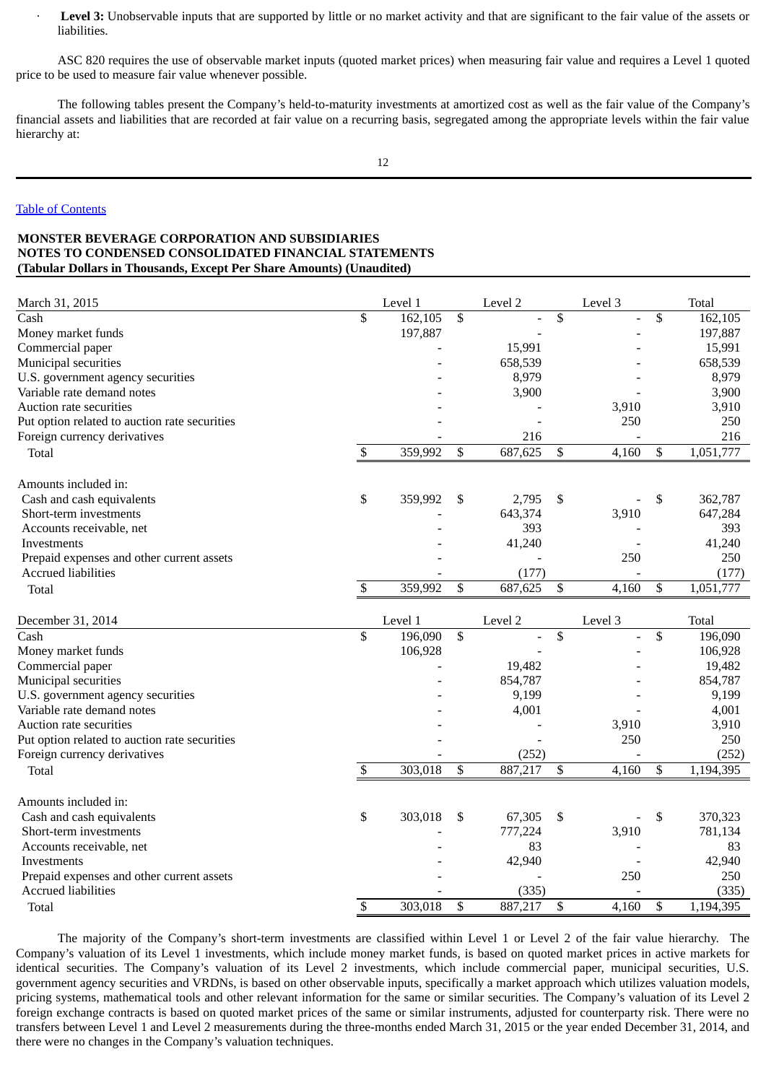Level 3: Unobservable inputs that are supported by little or no market activity and that are significant to the fair value of the assets or liabilities.

ASC 820 requires the use of observable market inputs (quoted market prices) when measuring fair value and requires a Level 1 quoted price to be used to measure fair value whenever possible.

The following tables present the Company's held-to-maturity investments at amortized cost as well as the fair value of the Company's financial assets and liabilities that are recorded at fair value on a recurring basis, segregated among the appropriate levels within the fair value hierarchy at:

### Table of [Contents](#page-0-0)

### **MONSTER BEVERAGE CORPORATION AND SUBSIDIARIES NOTES TO CONDENSED CONSOLIDATED FINANCIAL STATEMENTS (Tabular Dollars in Thousands, Except Per Share Amounts) (Unaudited)**

| March 31, 2015                                | Level 1       | Level 2              | Level 3              | Total           |
|-----------------------------------------------|---------------|----------------------|----------------------|-----------------|
| Cash                                          | \$<br>162,105 | \$<br>$\overline{a}$ | \$                   | \$<br>162,105   |
| Money market funds                            | 197,887       |                      |                      | 197,887         |
| Commercial paper                              |               | 15,991               |                      | 15,991          |
| Municipal securities                          |               | 658,539              |                      | 658,539         |
| U.S. government agency securities             |               | 8,979                |                      | 8,979           |
| Variable rate demand notes                    |               | 3,900                |                      | 3,900           |
| Auction rate securities                       |               |                      | 3,910                | 3,910           |
| Put option related to auction rate securities |               |                      | 250                  | 250             |
| Foreign currency derivatives                  |               | 216                  |                      | 216             |
| Total                                         | \$<br>359,992 | \$<br>687,625        | \$<br>4,160          | \$<br>1,051,777 |
| Amounts included in:                          |               |                      |                      |                 |
| Cash and cash equivalents                     | \$<br>359,992 | \$<br>2,795          | \$                   | \$<br>362,787   |
| Short-term investments                        |               | 643,374              | 3,910                | 647,284         |
| Accounts receivable, net                      |               | 393                  |                      | 393             |
| Investments                                   |               | 41,240               |                      | 41,240          |
| Prepaid expenses and other current assets     |               |                      | 250                  | 250             |
| <b>Accrued liabilities</b>                    |               | (177)                |                      | (177)           |
| Total                                         | \$<br>359,992 | \$<br>687,625        | \$<br>4,160          | \$<br>1,051,777 |
|                                               |               |                      |                      |                 |
| December 31, 2014                             | Level 1       | Level 2              | Level 3              | <b>Total</b>    |
| Cash                                          | \$<br>196,090 | \$<br>$\blacksquare$ | \$<br>$\overline{a}$ | \$<br>196,090   |
| Money market funds                            | 106,928       |                      |                      | 106,928         |
| Commercial paper                              |               | 19,482               |                      | 19,482          |
| Municipal securities                          |               | 854,787              |                      | 854,787         |
| U.S. government agency securities             |               | 9,199                |                      | 9,199           |
| Variable rate demand notes                    |               | 4,001                |                      | 4,001           |
| Auction rate securities                       |               |                      | 3,910                | 3,910           |
| Put option related to auction rate securities |               |                      | 250                  | 250             |
| Foreign currency derivatives                  |               | (252)                |                      | (252)           |
| <b>Total</b>                                  | \$<br>303,018 | \$<br>887,217        | \$<br>4,160          | \$<br>1,194,395 |
| Amounts included in:                          |               |                      |                      |                 |
| Cash and cash equivalents                     | \$<br>303,018 | \$<br>67,305         | \$                   | \$<br>370,323   |
| Short-term investments                        |               | 777,224              | 3,910                | 781,134         |
| Accounts receivable, net                      |               | 83                   |                      | 83              |
| Investments                                   |               | 42,940               |                      | 42,940          |
| Prepaid expenses and other current assets     |               |                      | 250                  | 250             |
| <b>Accrued liabilities</b>                    |               | (335)                |                      | (335)           |
| Total                                         | \$<br>303,018 | \$<br>887,217        | \$<br>4,160          | \$<br>1,194,395 |
|                                               |               |                      |                      |                 |

The majority of the Company's short-term investments are classified within Level 1 or Level 2 of the fair value hierarchy. The Company's valuation of its Level 1 investments, which include money market funds, is based on quoted market prices in active markets for identical securities. The Company's valuation of its Level 2 investments, which include commercial paper, municipal securities, U.S. government agency securities and VRDNs, is based on other observable inputs, specifically a market approach which utilizes valuation models, pricing systems, mathematical tools and other relevant information for the same or similar securities. The Company's valuation of its Level 2 foreign exchange contracts is based on quoted market prices of the same or similar instruments, adjusted for counterparty risk. There were no transfers between Level 1 and Level 2 measurements during the three-months ended March 31, 2015 or the year ended December 31, 2014, and there were no changes in the Company's valuation techniques.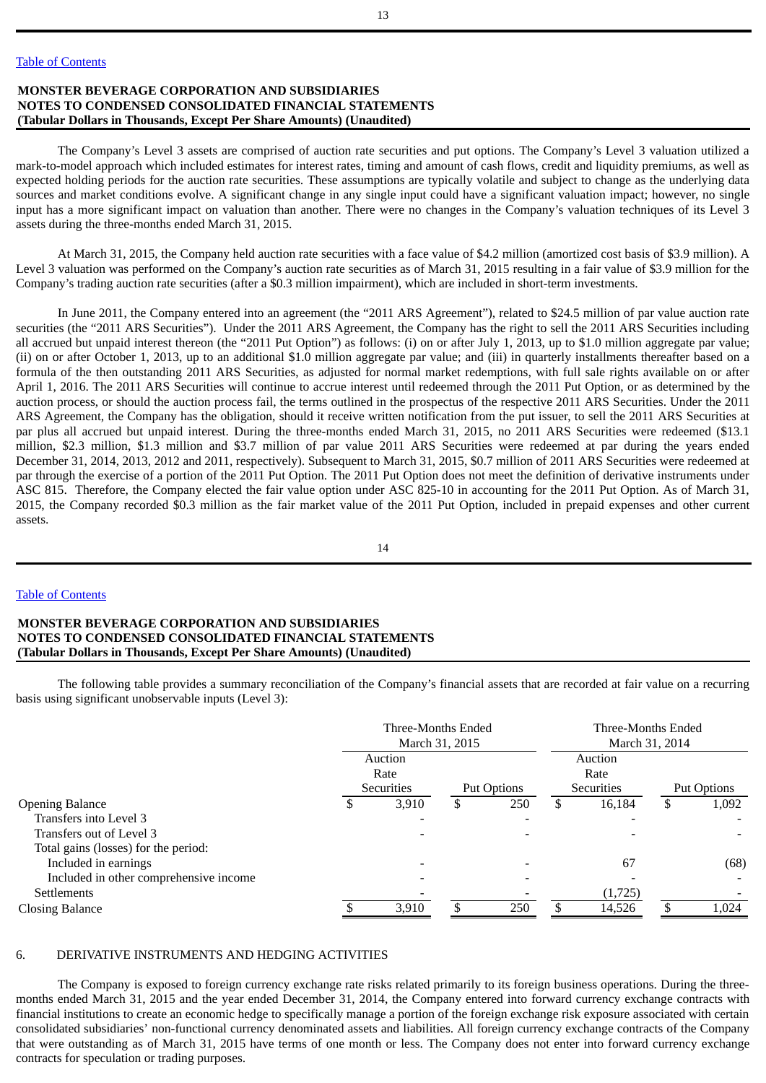#### Table of [Contents](#page-0-0)

### **MONSTER BEVERAGE CORPORATION AND SUBSIDIARIES NOTES TO CONDENSED CONSOLIDATED FINANCIAL STATEMENTS (Tabular Dollars in Thousands, Except Per Share Amounts) (Unaudited)**

The Company's Level 3 assets are comprised of auction rate securities and put options. The Company's Level 3 valuation utilized a mark-to-model approach which included estimates for interest rates, timing and amount of cash flows, credit and liquidity premiums, as well as expected holding periods for the auction rate securities. These assumptions are typically volatile and subject to change as the underlying data sources and market conditions evolve. A significant change in any single input could have a significant valuation impact; however, no single input has a more significant impact on valuation than another. There were no changes in the Company's valuation techniques of its Level 3 assets during the three-months ended March 31, 2015.

At March 31, 2015, the Company held auction rate securities with a face value of \$4.2 million (amortized cost basis of \$3.9 million). A Level 3 valuation was performed on the Company's auction rate securities as of March 31, 2015 resulting in a fair value of \$3.9 million for the Company's trading auction rate securities (after a \$0.3 million impairment), which are included in short-term investments.

In June 2011, the Company entered into an agreement (the "2011 ARS Agreement"), related to \$24.5 million of par value auction rate securities (the "2011 ARS Securities"). Under the 2011 ARS Agreement, the Company has the right to sell the 2011 ARS Securities including all accrued but unpaid interest thereon (the "2011 Put Option") as follows: (i) on or after July 1, 2013, up to \$1.0 million aggregate par value; (ii) on or after October 1, 2013, up to an additional \$1.0 million aggregate par value; and (iii) in quarterly installments thereafter based on a formula of the then outstanding 2011 ARS Securities, as adjusted for normal market redemptions, with full sale rights available on or after April 1, 2016. The 2011 ARS Securities will continue to accrue interest until redeemed through the 2011 Put Option, or as determined by the auction process, or should the auction process fail, the terms outlined in the prospectus of the respective 2011 ARS Securities. Under the 2011 ARS Agreement, the Company has the obligation, should it receive written notification from the put issuer, to sell the 2011 ARS Securities at par plus all accrued but unpaid interest. During the three-months ended March 31, 2015, no 2011 ARS Securities were redeemed (\$13.1 million, \$2.3 million, \$1.3 million and \$3.7 million of par value 2011 ARS Securities were redeemed at par during the years ended December 31, 2014, 2013, 2012 and 2011, respectively). Subsequent to March 31, 2015, \$0.7 million of 2011 ARS Securities were redeemed at par through the exercise of a portion of the 2011 Put Option. The 2011 Put Option does not meet the definition of derivative instruments under ASC 815. Therefore, the Company elected the fair value option under ASC 825-10 in accounting for the 2011 Put Option. As of March 31, 2015, the Company recorded \$0.3 million as the fair market value of the 2011 Put Option, included in prepaid expenses and other current assets.

14

### Table of [Contents](#page-0-0)

### **MONSTER BEVERAGE CORPORATION AND SUBSIDIARIES NOTES TO CONDENSED CONSOLIDATED FINANCIAL STATEMENTS (Tabular Dollars in Thousands, Except Per Share Amounts) (Unaudited)**

The following table provides a summary reconciliation of the Company's financial assets that are recorded at fair value on a recurring basis using significant unobservable inputs (Level 3):

|                                        | Three-Months Ended |                   |                | Three-Months Ended |                |                   |    |                    |
|----------------------------------------|--------------------|-------------------|----------------|--------------------|----------------|-------------------|----|--------------------|
|                                        |                    |                   | March 31, 2015 |                    | March 31, 2014 |                   |    |                    |
|                                        |                    | Auction           |                |                    |                | Auction           |    |                    |
|                                        |                    | Rate              |                |                    |                | Rate              |    |                    |
|                                        |                    | <b>Securities</b> |                | Put Options        |                | <b>Securities</b> |    | <b>Put Options</b> |
| <b>Opening Balance</b>                 |                    | 3,910             | ۰D             | 250                | S              | 16,184            | \$ | 1,092              |
| Transfers into Level 3                 |                    |                   |                |                    |                |                   |    |                    |
| Transfers out of Level 3               |                    |                   |                |                    |                |                   |    |                    |
| Total gains (losses) for the period:   |                    |                   |                |                    |                |                   |    |                    |
| Included in earnings                   |                    |                   |                |                    |                | 67                |    | (68)               |
| Included in other comprehensive income |                    |                   |                |                    |                |                   |    |                    |
| <b>Settlements</b>                     |                    |                   |                |                    |                | (1,725)           |    |                    |
| <b>Closing Balance</b>                 |                    | 3,910             |                | 250                |                | 14,526            |    | 1,024              |

### 6. DERIVATIVE INSTRUMENTS AND HEDGING ACTIVITIES

The Company is exposed to foreign currency exchange rate risks related primarily to its foreign business operations. During the threemonths ended March 31, 2015 and the year ended December 31, 2014, the Company entered into forward currency exchange contracts with financial institutions to create an economic hedge to specifically manage a portion of the foreign exchange risk exposure associated with certain consolidated subsidiaries' non-functional currency denominated assets and liabilities. All foreign currency exchange contracts of the Company that were outstanding as of March 31, 2015 have terms of one month or less. The Company does not enter into forward currency exchange contracts for speculation or trading purposes.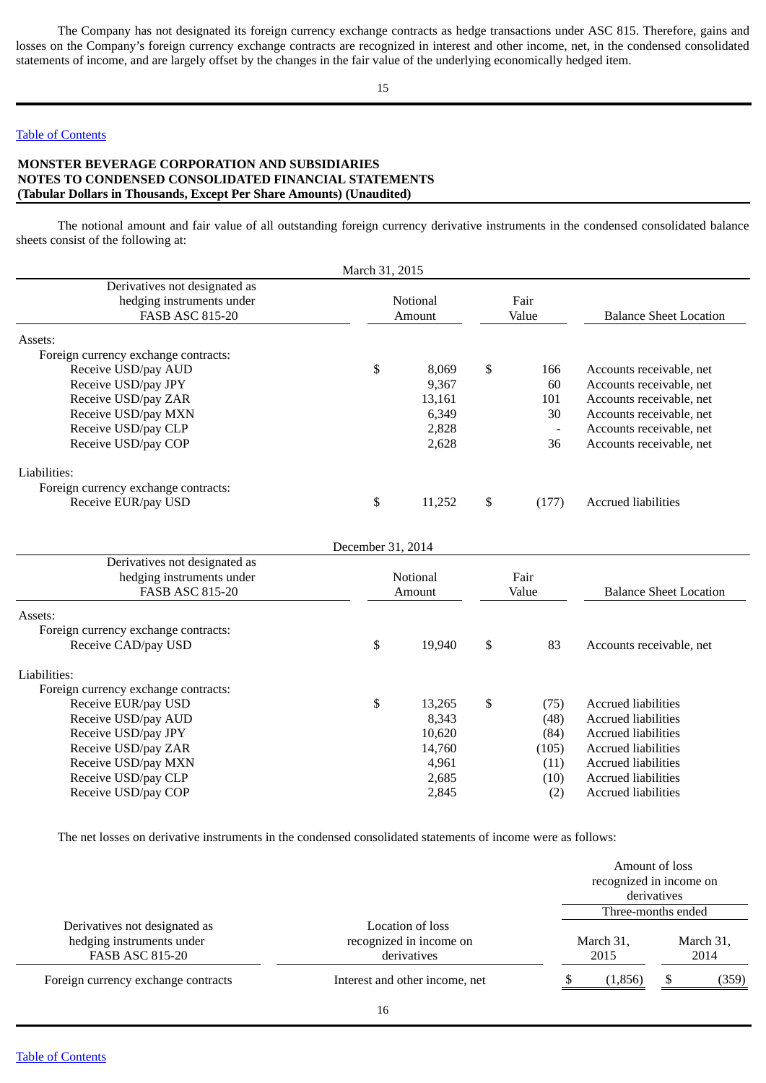The Company has not designated its foreign currency exchange contracts as hedge transactions under ASC 815. Therefore, gains and losses on the Company's foreign currency exchange contracts are recognized in interest and other income, net, in the condensed consolidated statements of income, and are largely offset by the changes in the fair value of the underlying economically hedged item.

# Table of [Contents](#page-0-0)

# **MONSTER BEVERAGE CORPORATION AND SUBSIDIARIES NOTES TO CONDENSED CONSOLIDATED FINANCIAL STATEMENTS (Tabular Dollars in Thousands, Except Per Share Amounts) (Unaudited)**

The notional amount and fair value of all outstanding foreign currency derivative instruments in the condensed consolidated balance sheets consist of the following at:

|                                                                                      | March 31, 2015    |                    |               |                |                               |
|--------------------------------------------------------------------------------------|-------------------|--------------------|---------------|----------------|-------------------------------|
| Derivatives not designated as<br>hedging instruments under<br><b>FASB ASC 815-20</b> |                   | Notional<br>Amount | Fair<br>Value |                | <b>Balance Sheet Location</b> |
| Assets:                                                                              |                   |                    |               |                |                               |
| Foreign currency exchange contracts:                                                 |                   |                    |               |                |                               |
| Receive USD/pay AUD                                                                  | \$                | 8,069              | \$            | 166            | Accounts receivable, net      |
| Receive USD/pay JPY                                                                  |                   | 9,367              |               | 60             | Accounts receivable, net      |
| Receive USD/pay ZAR                                                                  |                   | 13,161             |               | 101            | Accounts receivable, net      |
| Receive USD/pay MXN                                                                  |                   | 6,349              |               | 30             | Accounts receivable, net      |
| Receive USD/pay CLP                                                                  |                   | 2,828              |               | $\blacksquare$ | Accounts receivable, net      |
| Receive USD/pay COP                                                                  |                   | 2,628              |               | 36             | Accounts receivable, net      |
| Liabilities:                                                                         |                   |                    |               |                |                               |
| Foreign currency exchange contracts:                                                 |                   |                    |               |                |                               |
| Receive EUR/pay USD                                                                  | \$                | 11,252             | \$            | (177)          | <b>Accrued liabilities</b>    |
|                                                                                      | December 31, 2014 |                    |               |                |                               |
| Derivatives not designated as                                                        |                   |                    |               |                |                               |
| hedging instruments under                                                            |                   | Notional           |               | Fair           |                               |
| <b>FASB ASC 815-20</b>                                                               |                   | Amount             |               | Value          | <b>Balance Sheet Location</b> |
| Assets:                                                                              |                   |                    |               |                |                               |
| Foreign currency exchange contracts:                                                 |                   |                    |               |                |                               |
| Receive CAD/pay USD                                                                  | \$                | 19,940             | \$            | 83             | Accounts receivable, net      |
| Liabilities:                                                                         |                   |                    |               |                |                               |
| Foreign currency exchange contracts:                                                 |                   |                    |               |                |                               |
| Receive EUR/pay USD                                                                  | \$                | 13,265             | \$            | (75)           | <b>Accrued liabilities</b>    |
| Receive USD/pay AUD                                                                  |                   | 8,343              |               | (48)           | <b>Accrued liabilities</b>    |
| Receive USD/pay JPY                                                                  |                   | 10,620             |               | (84)           | <b>Accrued liabilities</b>    |
| Receive USD/pay ZAR                                                                  |                   | 14,760             |               | (105)          | <b>Accrued liabilities</b>    |
| Receive USD/pay MXN                                                                  |                   | 4,961              |               | (11)           | <b>Accrued liabilities</b>    |
| Receive USD/pay CLP                                                                  |                   | 2,685              |               | (10)           | <b>Accrued liabilities</b>    |
| Receive USD/pay COP                                                                  |                   | 2,845              |               | (2)            | <b>Accrued liabilities</b>    |

The net losses on derivative instruments in the condensed consolidated statements of income were as follows:

|                                                                                      |                                                            | recognized in income on | Amount of loss<br>derivatives |                   |
|--------------------------------------------------------------------------------------|------------------------------------------------------------|-------------------------|-------------------------------|-------------------|
|                                                                                      |                                                            | Three-months ended      |                               |                   |
| Derivatives not designated as<br>hedging instruments under<br><b>FASB ASC 815-20</b> | Location of loss<br>recognized in income on<br>derivatives | March 31,<br>2015       |                               | March 31,<br>2014 |
| Foreign currency exchange contracts                                                  | Interest and other income, net                             | (1,856)                 | S                             | (359)             |
|                                                                                      | 16                                                         |                         |                               |                   |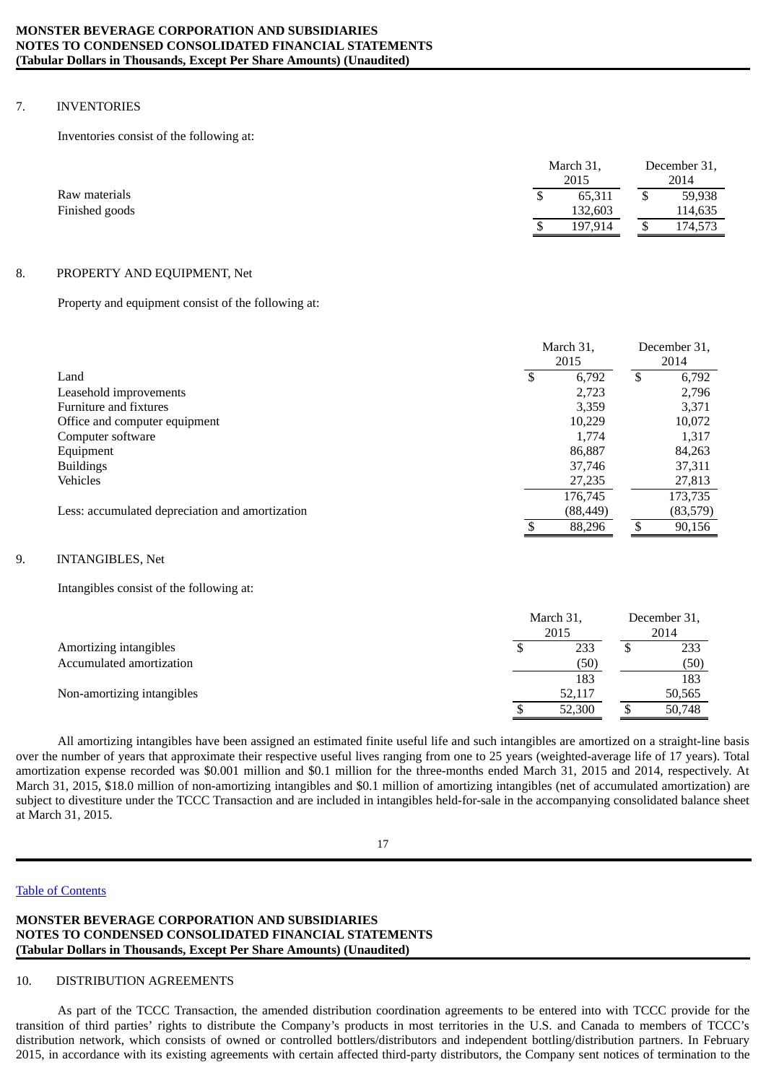# 7. INVENTORIES

Inventories consist of the following at:

|                | March 31,<br>2015 | December 31,<br>2014 |         |  |
|----------------|-------------------|----------------------|---------|--|
| Raw materials  | 65,311<br>Φ       | Φ                    | 59,938  |  |
| Finished goods | 132,603           |                      | 114,635 |  |
|                | 197,914<br>J      |                      | 174,573 |  |

# 8. PROPERTY AND EQUIPMENT, Net

Property and equipment consist of the following at:

|                                                 |    | March 31,<br>2015 |    | December 31,<br>2014 |  |
|-------------------------------------------------|----|-------------------|----|----------------------|--|
| Land                                            | S. | 6,792             | \$ | 6,792                |  |
| Leasehold improvements                          |    | 2,723             |    | 2,796                |  |
| Furniture and fixtures                          |    | 3,359             |    | 3,371                |  |
| Office and computer equipment                   |    | 10,229            |    | 10,072               |  |
| Computer software                               |    | 1.774             |    | 1,317                |  |
| Equipment                                       |    | 86,887            |    | 84,263               |  |
| <b>Buildings</b>                                |    | 37,746            |    | 37,311               |  |
| Vehicles                                        |    | 27,235            |    | 27,813               |  |
|                                                 |    | 176,745           |    | 173,735              |  |
| Less: accumulated depreciation and amortization |    | (88, 449)         |    | (83, 579)            |  |
|                                                 |    | 88.296            |    | 90.156               |  |

# 9. INTANGIBLES, Net

Intangibles consist of the following at:

|                            |   | March 31,<br>2015 | December 31,<br>2014 |
|----------------------------|---|-------------------|----------------------|
| Amortizing intangibles     | S | 233               | 233                  |
| Accumulated amortization   |   | (50)              | (50)                 |
|                            |   | 183               | 183                  |
| Non-amortizing intangibles |   | 52,117            | 50,565               |
|                            | S | 52.300            | 50,748               |

All amortizing intangibles have been assigned an estimated finite useful life and such intangibles are amortized on a straight-line basis over the number of years that approximate their respective useful lives ranging from one to 25 years (weighted-average life of 17 years). Total amortization expense recorded was \$0.001 million and \$0.1 million for the three-months ended March 31, 2015 and 2014, respectively. At March 31, 2015, \$18.0 million of non-amortizing intangibles and \$0.1 million of amortizing intangibles (net of accumulated amortization) are subject to divestiture under the TCCC Transaction and are included in intangibles held-for-sale in the accompanying consolidated balance sheet at March 31, 2015.

17

# Table of [Contents](#page-0-0)

# **MONSTER BEVERAGE CORPORATION AND SUBSIDIARIES NOTES TO CONDENSED CONSOLIDATED FINANCIAL STATEMENTS (Tabular Dollars in Thousands, Except Per Share Amounts) (Unaudited)**

### 10. DISTRIBUTION AGREEMENTS

As part of the TCCC Transaction, the amended distribution coordination agreements to be entered into with TCCC provide for the transition of third parties' rights to distribute the Company's products in most territories in the U.S. and Canada to members of TCCC's distribution network, which consists of owned or controlled bottlers/distributors and independent bottling/distribution partners. In February 2015, in accordance with its existing agreements with certain affected third-party distributors, the Company sent notices of termination to the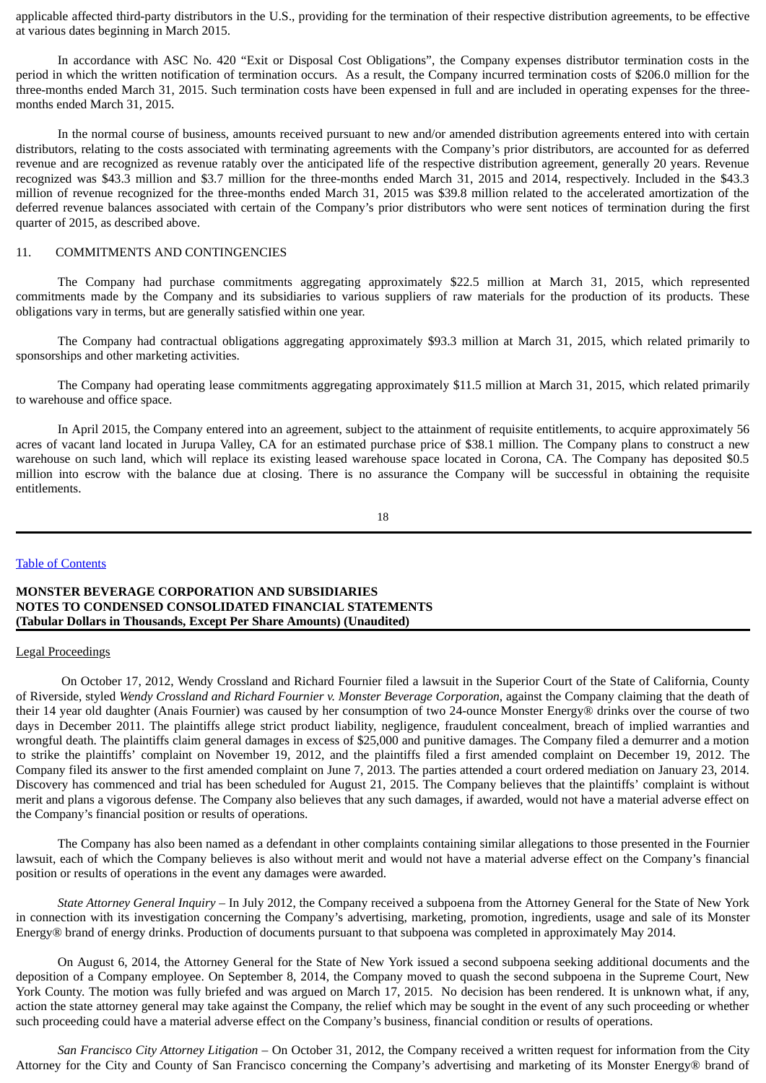applicable affected third-party distributors in the U.S., providing for the termination of their respective distribution agreements, to be effective at various dates beginning in March 2015.

In accordance with ASC No. 420 "Exit or Disposal Cost Obligations", the Company expenses distributor termination costs in the period in which the written notification of termination occurs. As a result, the Company incurred termination costs of \$206.0 million for the three-months ended March 31, 2015. Such termination costs have been expensed in full and are included in operating expenses for the threemonths ended March 31, 2015.

In the normal course of business, amounts received pursuant to new and/or amended distribution agreements entered into with certain distributors, relating to the costs associated with terminating agreements with the Company's prior distributors, are accounted for as deferred revenue and are recognized as revenue ratably over the anticipated life of the respective distribution agreement, generally 20 years. Revenue recognized was \$43.3 million and \$3.7 million for the three-months ended March 31, 2015 and 2014, respectively. Included in the \$43.3 million of revenue recognized for the three-months ended March 31, 2015 was \$39.8 million related to the accelerated amortization of the deferred revenue balances associated with certain of the Company's prior distributors who were sent notices of termination during the first quarter of 2015, as described above.

#### 11. COMMITMENTS AND CONTINGENCIES

The Company had purchase commitments aggregating approximately \$22.5 million at March 31, 2015, which represented commitments made by the Company and its subsidiaries to various suppliers of raw materials for the production of its products. These obligations vary in terms, but are generally satisfied within one year.

The Company had contractual obligations aggregating approximately \$93.3 million at March 31, 2015, which related primarily to sponsorships and other marketing activities.

The Company had operating lease commitments aggregating approximately \$11.5 million at March 31, 2015, which related primarily to warehouse and office space.

In April 2015, the Company entered into an agreement, subject to the attainment of requisite entitlements, to acquire approximately 56 acres of vacant land located in Jurupa Valley, CA for an estimated purchase price of \$38.1 million. The Company plans to construct a new warehouse on such land, which will replace its existing leased warehouse space located in Corona, CA. The Company has deposited \$0.5 million into escrow with the balance due at closing. There is no assurance the Company will be successful in obtaining the requisite entitlements.

$$
18 \\
$$

#### Table of [Contents](#page-0-0)

### **MONSTER BEVERAGE CORPORATION AND SUBSIDIARIES NOTES TO CONDENSED CONSOLIDATED FINANCIAL STATEMENTS (Tabular Dollars in Thousands, Except Per Share Amounts) (Unaudited)**

#### Legal Proceedings

On October 17, 2012, Wendy Crossland and Richard Fournier filed a lawsuit in the Superior Court of the State of California, County of Riverside, styled *Wendy Crossland and Richard Fournier v. Monster Beverage Corporation*, against the Company claiming that the death of their 14 year old daughter (Anais Fournier) was caused by her consumption of two 24-ounce Monster Energy® drinks over the course of two days in December 2011. The plaintiffs allege strict product liability, negligence, fraudulent concealment, breach of implied warranties and wrongful death. The plaintiffs claim general damages in excess of \$25,000 and punitive damages. The Company filed a demurrer and a motion to strike the plaintiffs' complaint on November 19, 2012, and the plaintiffs filed a first amended complaint on December 19, 2012. The Company filed its answer to the first amended complaint on June 7, 2013. The parties attended a court ordered mediation on January 23, 2014. Discovery has commenced and trial has been scheduled for August 21, 2015. The Company believes that the plaintiffs' complaint is without merit and plans a vigorous defense. The Company also believes that any such damages, if awarded, would not have a material adverse effect on the Company's financial position or results of operations.

The Company has also been named as a defendant in other complaints containing similar allegations to those presented in the Fournier lawsuit, each of which the Company believes is also without merit and would not have a material adverse effect on the Company's financial position or results of operations in the event any damages were awarded.

*State Attorney General Inquiry* – In July 2012, the Company received a subpoena from the Attorney General for the State of New York in connection with its investigation concerning the Company's advertising, marketing, promotion, ingredients, usage and sale of its Monster Energy® brand of energy drinks. Production of documents pursuant to that subpoena was completed in approximately May 2014.

On August 6, 2014, the Attorney General for the State of New York issued a second subpoena seeking additional documents and the deposition of a Company employee. On September 8, 2014, the Company moved to quash the second subpoena in the Supreme Court, New York County. The motion was fully briefed and was argued on March 17, 2015. No decision has been rendered. It is unknown what, if any, action the state attorney general may take against the Company, the relief which may be sought in the event of any such proceeding or whether such proceeding could have a material adverse effect on the Company's business, financial condition or results of operations.

*San Francisco City Attorney Litigation* – On October 31, 2012, the Company received a written request for information from the City Attorney for the City and County of San Francisco concerning the Company's advertising and marketing of its Monster Energy® brand of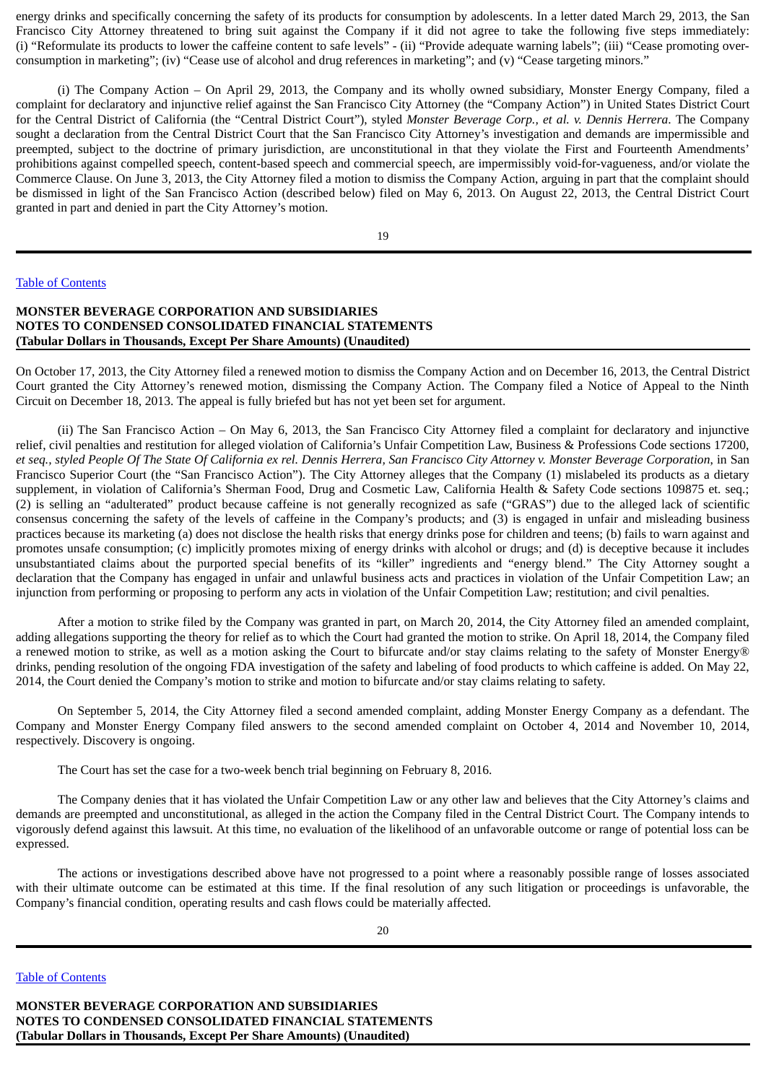energy drinks and specifically concerning the safety of its products for consumption by adolescents. In a letter dated March 29, 2013, the San Francisco City Attorney threatened to bring suit against the Company if it did not agree to take the following five steps immediately: (i) "Reformulate its products to lower the caffeine content to safe levels" - (ii) "Provide adequate warning labels"; (iii) "Cease promoting overconsumption in marketing"; (iv) "Cease use of alcohol and drug references in marketing"; and (v) "Cease targeting minors."

(i) The Company Action – On April 29, 2013, the Company and its wholly owned subsidiary, Monster Energy Company, filed a complaint for declaratory and injunctive relief against the San Francisco City Attorney (the "Company Action") in United States District Court for the Central District of California (the "Central District Court"), styled *Monster Beverage Corp., et al. v. Dennis Herrera*. The Company sought a declaration from the Central District Court that the San Francisco City Attorney's investigation and demands are impermissible and preempted, subject to the doctrine of primary jurisdiction, are unconstitutional in that they violate the First and Fourteenth Amendments' prohibitions against compelled speech, content-based speech and commercial speech, are impermissibly void-for-vagueness, and/or violate the Commerce Clause. On June 3, 2013, the City Attorney filed a motion to dismiss the Company Action, arguing in part that the complaint should be dismissed in light of the San Francisco Action (described below) filed on May 6, 2013. On August 22, 2013, the Central District Court granted in part and denied in part the City Attorney's motion.

19

#### Table of [Contents](#page-0-0)

### **MONSTER BEVERAGE CORPORATION AND SUBSIDIARIES NOTES TO CONDENSED CONSOLIDATED FINANCIAL STATEMENTS (Tabular Dollars in Thousands, Except Per Share Amounts) (Unaudited)**

On October 17, 2013, the City Attorney filed a renewed motion to dismiss the Company Action and on December 16, 2013, the Central District Court granted the City Attorney's renewed motion, dismissing the Company Action. The Company filed a Notice of Appeal to the Ninth Circuit on December 18, 2013. The appeal is fully briefed but has not yet been set for argument.

(ii) The San Francisco Action – On May 6, 2013, the San Francisco City Attorney filed a complaint for declaratory and injunctive relief, civil penalties and restitution for alleged violation of California's Unfair Competition Law, Business & Professions Code sections 17200, et seg., styled People Of The State Of California ex rel. Dennis Herrera, San Francisco City Attorney v. Monster Beverage Corporation, in San Francisco Superior Court (the "San Francisco Action"). The City Attorney alleges that the Company (1) mislabeled its products as a dietary supplement, in violation of California's Sherman Food, Drug and Cosmetic Law, California Health & Safety Code sections 109875 et. seq.; (2) is selling an "adulterated" product because caffeine is not generally recognized as safe ("GRAS") due to the alleged lack of scientific consensus concerning the safety of the levels of caffeine in the Company's products; and (3) is engaged in unfair and misleading business practices because its marketing (a) does not disclose the health risks that energy drinks pose for children and teens; (b) fails to warn against and promotes unsafe consumption; (c) implicitly promotes mixing of energy drinks with alcohol or drugs; and (d) is deceptive because it includes unsubstantiated claims about the purported special benefits of its "killer" ingredients and "energy blend." The City Attorney sought a declaration that the Company has engaged in unfair and unlawful business acts and practices in violation of the Unfair Competition Law; an injunction from performing or proposing to perform any acts in violation of the Unfair Competition Law; restitution; and civil penalties.

After a motion to strike filed by the Company was granted in part, on March 20, 2014, the City Attorney filed an amended complaint, adding allegations supporting the theory for relief as to which the Court had granted the motion to strike. On April 18, 2014, the Company filed a renewed motion to strike, as well as a motion asking the Court to bifurcate and/or stay claims relating to the safety of Monster Energy® drinks, pending resolution of the ongoing FDA investigation of the safety and labeling of food products to which caffeine is added. On May 22, 2014, the Court denied the Company's motion to strike and motion to bifurcate and/or stay claims relating to safety.

On September 5, 2014, the City Attorney filed a second amended complaint, adding Monster Energy Company as a defendant. The Company and Monster Energy Company filed answers to the second amended complaint on October 4, 2014 and November 10, 2014, respectively. Discovery is ongoing.

The Court has set the case for a two-week bench trial beginning on February 8, 2016.

The Company denies that it has violated the Unfair Competition Law or any other law and believes that the City Attorney's claims and demands are preempted and unconstitutional, as alleged in the action the Company filed in the Central District Court. The Company intends to vigorously defend against this lawsuit. At this time, no evaluation of the likelihood of an unfavorable outcome or range of potential loss can be expressed.

The actions or investigations described above have not progressed to a point where a reasonably possible range of losses associated with their ultimate outcome can be estimated at this time. If the final resolution of any such litigation or proceedings is unfavorable, the Company's financial condition, operating results and cash flows could be materially affected.

#### Table of [Contents](#page-0-0)

**MONSTER BEVERAGE CORPORATION AND SUBSIDIARIES NOTES TO CONDENSED CONSOLIDATED FINANCIAL STATEMENTS (Tabular Dollars in Thousands, Except Per Share Amounts) (Unaudited)**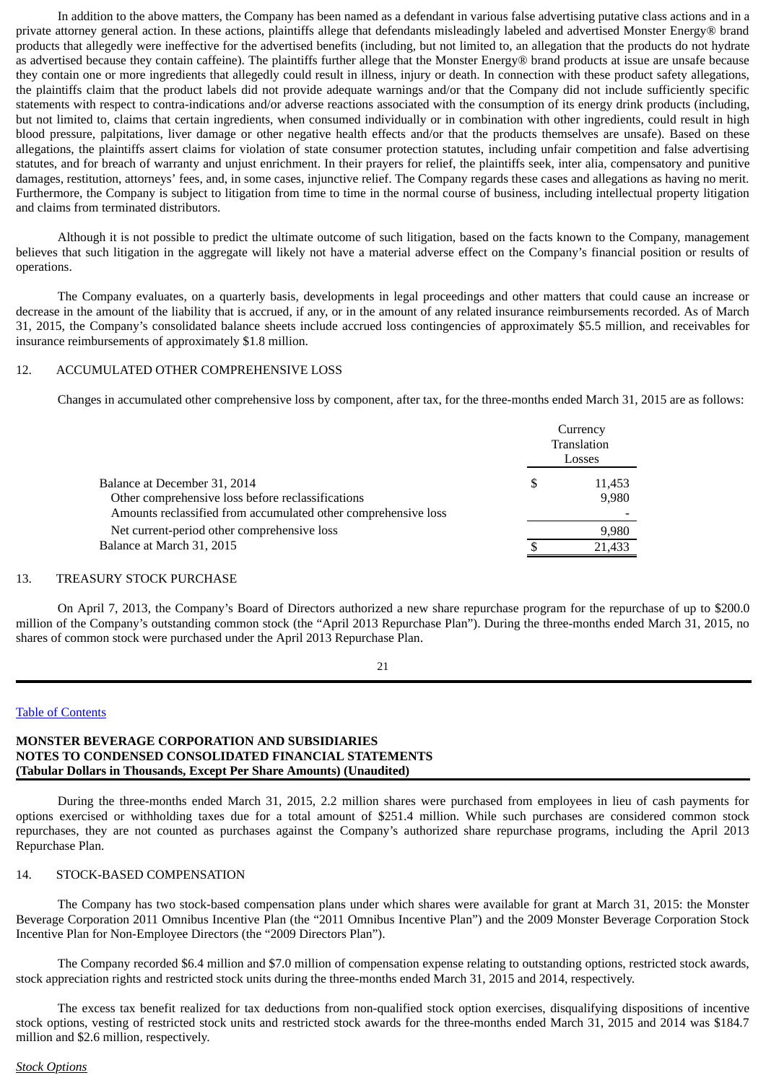In addition to the above matters, the Company has been named as a defendant in various false advertising putative class actions and in a private attorney general action. In these actions, plaintiffs allege that defendants misleadingly labeled and advertised Monster Energy® brand products that allegedly were ineffective for the advertised benefits (including, but not limited to, an allegation that the products do not hydrate as advertised because they contain caffeine). The plaintiffs further allege that the Monster Energy® brand products at issue are unsafe because they contain one or more ingredients that allegedly could result in illness, injury or death. In connection with these product safety allegations, the plaintiffs claim that the product labels did not provide adequate warnings and/or that the Company did not include sufficiently specific statements with respect to contra-indications and/or adverse reactions associated with the consumption of its energy drink products (including, but not limited to, claims that certain ingredients, when consumed individually or in combination with other ingredients, could result in high blood pressure, palpitations, liver damage or other negative health effects and/or that the products themselves are unsafe). Based on these allegations, the plaintiffs assert claims for violation of state consumer protection statutes, including unfair competition and false advertising statutes, and for breach of warranty and unjust enrichment. In their prayers for relief, the plaintiffs seek, inter alia, compensatory and punitive damages, restitution, attorneys' fees, and, in some cases, injunctive relief. The Company regards these cases and allegations as having no merit. Furthermore, the Company is subject to litigation from time to time in the normal course of business, including intellectual property litigation and claims from terminated distributors.

Although it is not possible to predict the ultimate outcome of such litigation, based on the facts known to the Company, management believes that such litigation in the aggregate will likely not have a material adverse effect on the Company's financial position or results of operations.

The Company evaluates, on a quarterly basis, developments in legal proceedings and other matters that could cause an increase or decrease in the amount of the liability that is accrued, if any, or in the amount of any related insurance reimbursements recorded. As of March 31, 2015, the Company's consolidated balance sheets include accrued loss contingencies of approximately \$5.5 million, and receivables for insurance reimbursements of approximately \$1.8 million.

#### 12. ACCUMULATED OTHER COMPREHENSIVE LOSS

Changes in accumulated other comprehensive loss by component, after tax, for the three-months ended March 31, 2015 are as follows:

|                                                                                                                                                     |   | Currency<br>Translation<br>Losses |
|-----------------------------------------------------------------------------------------------------------------------------------------------------|---|-----------------------------------|
| Balance at December 31, 2014<br>Other comprehensive loss before reclassifications<br>Amounts reclassified from accumulated other comprehensive loss | S | 11,453<br>9,980                   |
| Net current-period other comprehensive loss                                                                                                         |   | 9,980                             |
| Balance at March 31, 2015                                                                                                                           |   | 21,433                            |

### 13. TREASURY STOCK PURCHASE

On April 7, 2013, the Company's Board of Directors authorized a new share repurchase program for the repurchase of up to \$200.0 million of the Company's outstanding common stock (the "April 2013 Repurchase Plan"). During the three-months ended March 31, 2015, no shares of common stock were purchased under the April 2013 Repurchase Plan.

# Table of [Contents](#page-0-0)

# **MONSTER BEVERAGE CORPORATION AND SUBSIDIARIES NOTES TO CONDENSED CONSOLIDATED FINANCIAL STATEMENTS (Tabular Dollars in Thousands, Except Per Share Amounts) (Unaudited)**

During the three-months ended March 31, 2015, 2.2 million shares were purchased from employees in lieu of cash payments for options exercised or withholding taxes due for a total amount of \$251.4 million. While such purchases are considered common stock repurchases, they are not counted as purchases against the Company's authorized share repurchase programs, including the April 2013 Repurchase Plan.

# 14. STOCK-BASED COMPENSATION

The Company has two stock-based compensation plans under which shares were available for grant at March 31, 2015: the Monster Beverage Corporation 2011 Omnibus Incentive Plan (the "2011 Omnibus Incentive Plan") and the 2009 Monster Beverage Corporation Stock Incentive Plan for Non-Employee Directors (the "2009 Directors Plan").

The Company recorded \$6.4 million and \$7.0 million of compensation expense relating to outstanding options, restricted stock awards, stock appreciation rights and restricted stock units during the three-months ended March 31, 2015 and 2014, respectively.

The excess tax benefit realized for tax deductions from non-qualified stock option exercises, disqualifying dispositions of incentive stock options, vesting of restricted stock units and restricted stock awards for the three-months ended March 31, 2015 and 2014 was \$184.7 million and \$2.6 million, respectively.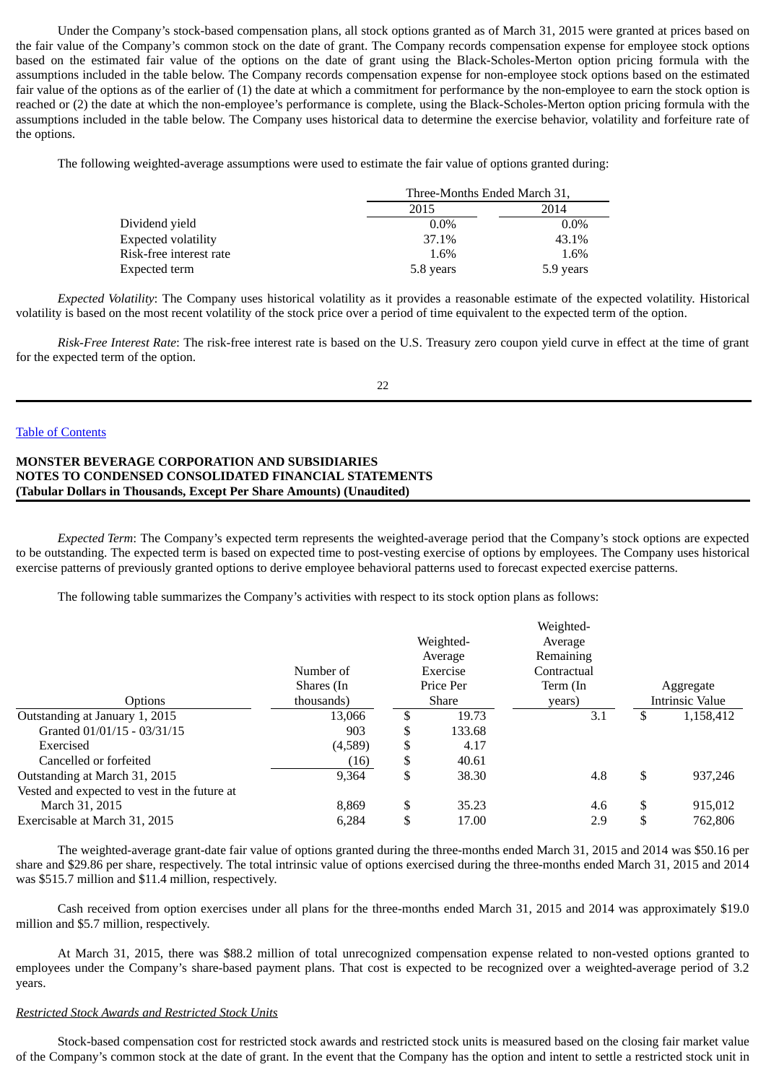Under the Company's stock-based compensation plans, all stock options granted as of March 31, 2015 were granted at prices based on the fair value of the Company's common stock on the date of grant. The Company records compensation expense for employee stock options based on the estimated fair value of the options on the date of grant using the Black-Scholes-Merton option pricing formula with the assumptions included in the table below. The Company records compensation expense for non-employee stock options based on the estimated fair value of the options as of the earlier of (1) the date at which a commitment for performance by the non-employee to earn the stock option is reached or (2) the date at which the non-employee's performance is complete, using the Black-Scholes-Merton option pricing formula with the assumptions included in the table below. The Company uses historical data to determine the exercise behavior, volatility and forfeiture rate of the options.

The following weighted-average assumptions were used to estimate the fair value of options granted during:

|                         | Three-Months Ended March 31, |           |
|-------------------------|------------------------------|-----------|
|                         | 2015                         | 2014      |
| Dividend vield          | $0.0\%$                      | $0.0\%$   |
| Expected volatility     | 37.1%                        | 43.1%     |
| Risk-free interest rate | $1.6\%$                      | 1.6%      |
| Expected term           | 5.8 years                    | 5.9 years |

*Expected Volatility*: The Company uses historical volatility as it provides a reasonable estimate of the expected volatility. Historical volatility is based on the most recent volatility of the stock price over a period of time equivalent to the expected term of the option.

*Risk-Free Interest Rate*: The risk-free interest rate is based on the U.S. Treasury zero coupon yield curve in effect at the time of grant for the expected term of the option.

22

### Table of [Contents](#page-0-0)

### **MONSTER BEVERAGE CORPORATION AND SUBSIDIARIES NOTES TO CONDENSED CONSOLIDATED FINANCIAL STATEMENTS (Tabular Dollars in Thousands, Except Per Share Amounts) (Unaudited)**

*Expected Term*: The Company's expected term represents the weighted-average period that the Company's stock options are expected to be outstanding. The expected term is based on expected time to post-vesting exercise of options by employees. The Company uses historical exercise patterns of previously granted options to derive employee behavioral patterns used to forecast expected exercise patterns.

The following table summarizes the Company's activities with respect to its stock option plans as follows:

|                                              |            |              | Weighted-   |    |                        |
|----------------------------------------------|------------|--------------|-------------|----|------------------------|
|                                              |            | Weighted-    | Average     |    |                        |
|                                              |            | Average      | Remaining   |    |                        |
|                                              | Number of  | Exercise     | Contractual |    |                        |
|                                              | Shares (In | Price Per    | Term (In    |    | Aggregate              |
| Options                                      | thousands) | <b>Share</b> | years)      |    | <b>Intrinsic Value</b> |
| Outstanding at January 1, 2015               | 13,066     | 19.73        | 3.1         | S  | 1,158,412              |
| Granted 01/01/15 - 03/31/15                  | 903        | \$<br>133.68 |             |    |                        |
| Exercised                                    | (4,589)    | \$<br>4.17   |             |    |                        |
| Cancelled or forfeited                       | (16)       | \$<br>40.61  |             |    |                        |
| Outstanding at March 31, 2015                | 9,364      | \$<br>38.30  | 4.8         | \$ | 937,246                |
| Vested and expected to vest in the future at |            |              |             |    |                        |
| March 31, 2015                               | 8.869      | \$<br>35.23  | 4.6         | \$ | 915.012                |
| Exercisable at March 31, 2015                | 6,284      | \$<br>17.00  | 2.9         | \$ | 762,806                |
|                                              |            |              |             |    |                        |

The weighted-average grant-date fair value of options granted during the three-months ended March 31, 2015 and 2014 was \$50.16 per share and \$29.86 per share, respectively. The total intrinsic value of options exercised during the three-months ended March 31, 2015 and 2014 was \$515.7 million and \$11.4 million, respectively.

Cash received from option exercises under all plans for the three-months ended March 31, 2015 and 2014 was approximately \$19.0 million and \$5.7 million, respectively.

At March 31, 2015, there was \$88.2 million of total unrecognized compensation expense related to non-vested options granted to employees under the Company's share-based payment plans. That cost is expected to be recognized over a weighted-average period of 3.2 years.

#### *Restricted Stock Awards and Restricted Stock Units*

Stock-based compensation cost for restricted stock awards and restricted stock units is measured based on the closing fair market value of the Company's common stock at the date of grant. In the event that the Company has the option and intent to settle a restricted stock unit in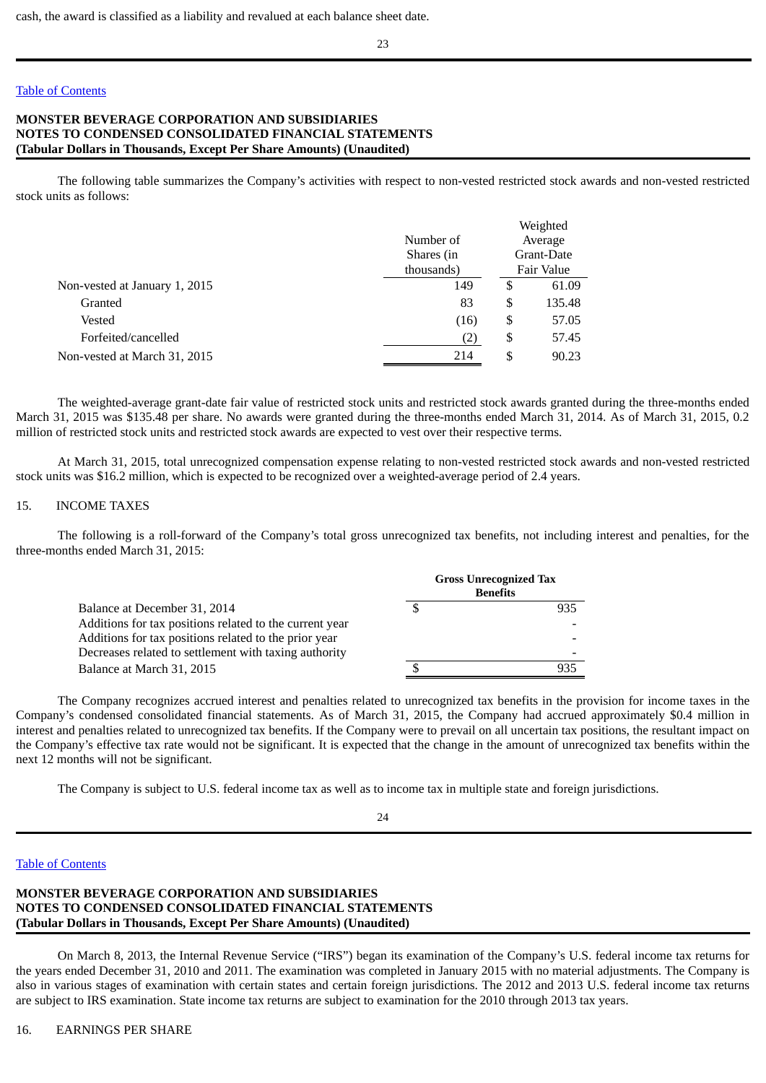cash, the award is classified as a liability and revalued at each balance sheet date.

# Table of [Contents](#page-0-0)

# **MONSTER BEVERAGE CORPORATION AND SUBSIDIARIES NOTES TO CONDENSED CONSOLIDATED FINANCIAL STATEMENTS (Tabular Dollars in Thousands, Except Per Share Amounts) (Unaudited)**

The following table summarizes the Company's activities with respect to non-vested restricted stock awards and non-vested restricted stock units as follows:

|                               |            |    | Weighted   |
|-------------------------------|------------|----|------------|
|                               | Number of  |    | Average    |
|                               | Shares (in |    | Grant-Date |
|                               | thousands) |    | Fair Value |
| Non-vested at January 1, 2015 | 149        | S  | 61.09      |
| Granted                       | 83         | S  | 135.48     |
| Vested                        | (16)       | \$ | 57.05      |
| Forfeited/cancelled           | (2)        | \$ | 57.45      |
| Non-vested at March 31, 2015  | 214        | S  | 90.23      |

The weighted-average grant-date fair value of restricted stock units and restricted stock awards granted during the three-months ended March 31, 2015 was \$135.48 per share. No awards were granted during the three-months ended March 31, 2014. As of March 31, 2015, 0.2 million of restricted stock units and restricted stock awards are expected to vest over their respective terms.

At March 31, 2015, total unrecognized compensation expense relating to non-vested restricted stock awards and non-vested restricted stock units was \$16.2 million, which is expected to be recognized over a weighted-average period of 2.4 years.

### 15. INCOME TAXES

The following is a roll-forward of the Company's total gross unrecognized tax benefits, not including interest and penalties, for the three-months ended March 31, 2015:

|                                                         |   | <b>Gross Unrecognized Tax</b><br><b>Benefits</b> |
|---------------------------------------------------------|---|--------------------------------------------------|
| Balance at December 31, 2014                            | S | 935                                              |
| Additions for tax positions related to the current year |   |                                                  |
| Additions for tax positions related to the prior year   |   |                                                  |
| Decreases related to settlement with taxing authority   |   |                                                  |
| Balance at March 31, 2015                               | S | 935                                              |

The Company recognizes accrued interest and penalties related to unrecognized tax benefits in the provision for income taxes in the Company's condensed consolidated financial statements. As of March 31, 2015, the Company had accrued approximately \$0.4 million in interest and penalties related to unrecognized tax benefits. If the Company were to prevail on all uncertain tax positions, the resultant impact on the Company's effective tax rate would not be significant. It is expected that the change in the amount of unrecognized tax benefits within the next 12 months will not be significant.

The Company is subject to U.S. federal income tax as well as to income tax in multiple state and foreign jurisdictions.

24

### Table of [Contents](#page-0-0)

# **MONSTER BEVERAGE CORPORATION AND SUBSIDIARIES NOTES TO CONDENSED CONSOLIDATED FINANCIAL STATEMENTS (Tabular Dollars in Thousands, Except Per Share Amounts) (Unaudited)**

On March 8, 2013, the Internal Revenue Service ("IRS") began its examination of the Company's U.S. federal income tax returns for the years ended December 31, 2010 and 2011. The examination was completed in January 2015 with no material adjustments. The Company is also in various stages of examination with certain states and certain foreign jurisdictions. The 2012 and 2013 U.S. federal income tax returns are subject to IRS examination. State income tax returns are subject to examination for the 2010 through 2013 tax years.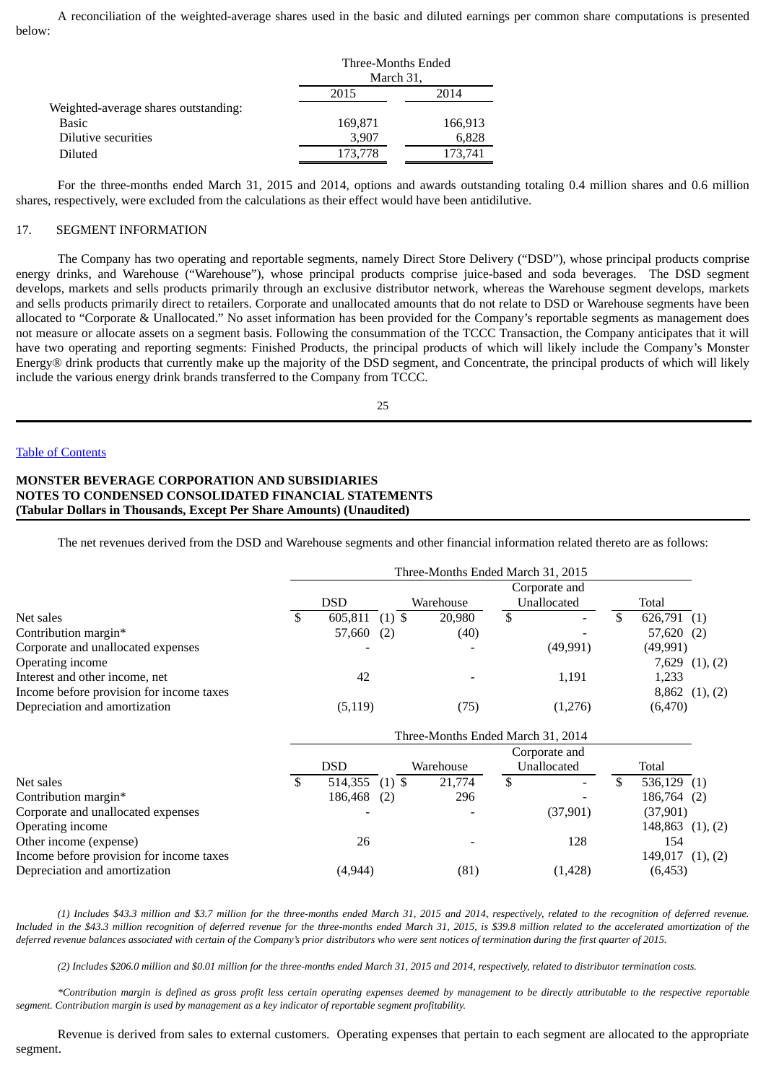A reconciliation of the weighted-average shares used in the basic and diluted earnings per common share computations is presented below:

|                                      | Three-Months Ended<br>March 31, |         |
|--------------------------------------|---------------------------------|---------|
|                                      | 2015                            | 2014    |
| Weighted-average shares outstanding: |                                 |         |
| <b>Basic</b>                         | 169,871                         | 166,913 |
| Dilutive securities                  | 3,907                           | 6,828   |
| Diluted                              | 173,778                         | 173,741 |
|                                      |                                 |         |

For the three-months ended March 31, 2015 and 2014, options and awards outstanding totaling 0.4 million shares and 0.6 million shares, respectively, were excluded from the calculations as their effect would have been antidilutive.

#### 17. SEGMENT INFORMATION

The Company has two operating and reportable segments, namely Direct Store Delivery ("DSD"), whose principal products comprise energy drinks, and Warehouse ("Warehouse"), whose principal products comprise juice-based and soda beverages. The DSD segment develops, markets and sells products primarily through an exclusive distributor network, whereas the Warehouse segment develops, markets and sells products primarily direct to retailers. Corporate and unallocated amounts that do not relate to DSD or Warehouse segments have been allocated to "Corporate & Unallocated." No asset information has been provided for the Company's reportable segments as management does not measure or allocate assets on a segment basis. Following the consummation of the TCCC Transaction, the Company anticipates that it will have two operating and reporting segments: Finished Products, the principal products of which will likely include the Company's Monster Energy® drink products that currently make up the majority of the DSD segment, and Concentrate, the principal products of which will likely include the various energy drink brands transferred to the Company from TCCC.

25

### Table of [Contents](#page-0-0)

### **MONSTER BEVERAGE CORPORATION AND SUBSIDIARIES NOTES TO CONDENSED CONSOLIDATED FINANCIAL STATEMENTS (Tabular Dollars in Thousands, Except Per Share Amounts) (Unaudited)**

The net revenues derived from the DSD and Warehouse segments and other financial information related thereto are as follows:

|                                          | Three-Months Ended March 31, 2015 |                |           |        |             |           |    |                     |
|------------------------------------------|-----------------------------------|----------------|-----------|--------|-------------|-----------|----|---------------------|
|                                          | Corporate and                     |                |           |        |             |           |    |                     |
|                                          |                                   | <b>DSD</b>     | Warehouse |        | Unallocated |           |    | Total               |
| Net sales                                | \$                                | 605,811 (1) \$ |           | 20,980 | \$          |           | \$ | 626,791 (1)         |
| Contribution margin*                     |                                   | 57,660         | (2)       | (40)   |             |           |    | 57,620<br>(2)       |
| Corporate and unallocated expenses       |                                   |                |           |        |             | (49, 991) |    | (49, 991)           |
| Operating income                         |                                   |                |           |        |             |           |    | 7,629<br>(1), (2)   |
| Interest and other income, net           |                                   | 42             |           |        |             | 1,191     |    | 1,233               |
| Income before provision for income taxes |                                   |                |           |        |             |           |    | 8,862<br>(1), (2)   |
| Depreciation and amortization            |                                   | (5, 119)       |           | (75)   |             | (1,276)   |    | (6, 470)            |
|                                          |                                   |                |           |        |             |           |    |                     |
|                                          |                                   | Corporate and  |           |        |             |           |    |                     |
|                                          |                                   | <b>DSD</b>     | Warehouse |        | Unallocated |           |    | Total               |
| Net sales                                | \$.                               | 514,355 (1) \$ |           | 21,774 | \$          |           | \$ | 536,129 (1)         |
| Contribution margin*                     |                                   | 186,468        | (2)       | 296    |             |           |    | 186,764 (2)         |
| Corporate and unallocated expenses       |                                   |                |           |        |             | (37, 901) |    | (37, 901)           |
| Operating income                         |                                   |                |           |        |             |           |    | 148,863<br>(1), (2) |
| Other income (expense)                   |                                   | 26             |           |        |             | 128       |    | 154                 |
| Income before provision for income taxes |                                   |                |           |        |             |           |    | 149,017 (1), (2)    |
| Depreciation and amortization            |                                   |                |           |        |             |           |    |                     |

*(1) Includes \$43.3 million and \$3.7 million for the three-months ended March 31, 2015 and 2014, respectively, related to the recognition of deferred revenue. Included in the \$43.3 million recognition of deferred revenue for the three-months ended March 31, 2015, is \$39.8 million related to the accelerated amortization of the deferred revenue balances associated with certain of the Company's prior distributors who were sent notices of termination during the first quarter of 2015.*

*(2) Includes \$206.0 million and \$0.01 million for the three-months ended March 31, 2015 and 2014, respectively, related to distributor termination costs.*

*\*Contribution margin is defined as gross profit less certain operating expenses deemed by management to be directly attributable to the respective reportable segment. Contribution margin is used by management as a key indicator of reportable segment profitability.*

Revenue is derived from sales to external customers. Operating expenses that pertain to each segment are allocated to the appropriate segment.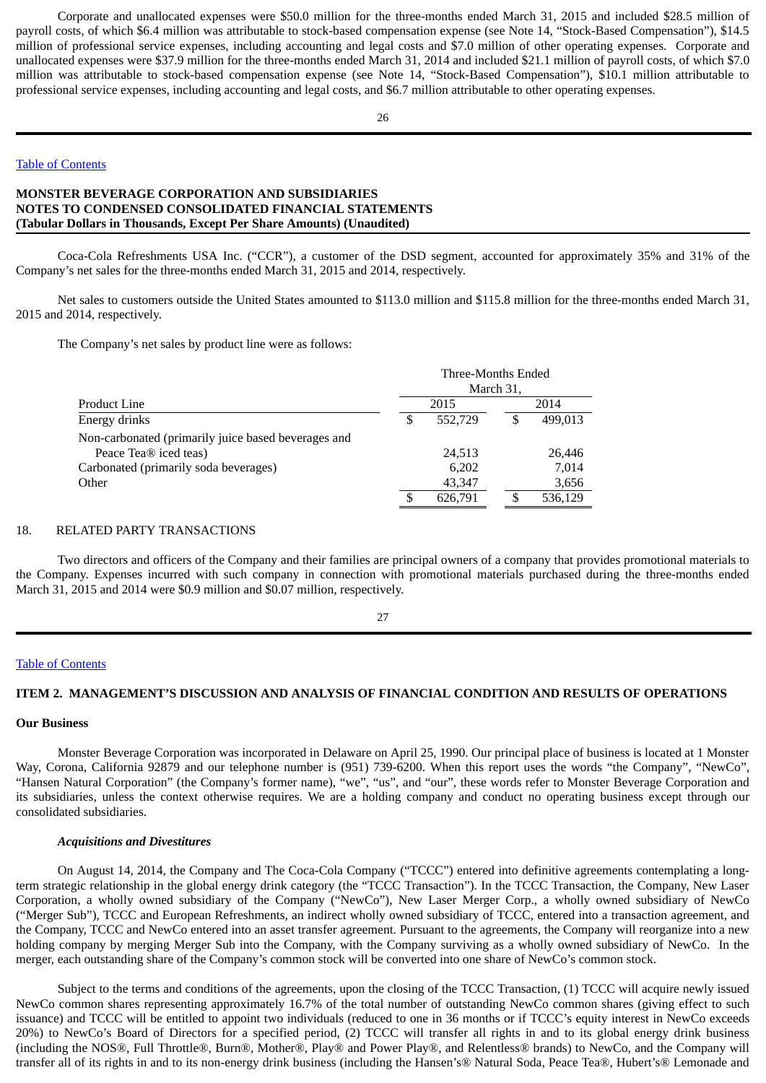Corporate and unallocated expenses were \$50.0 million for the three-months ended March 31, 2015 and included \$28.5 million of payroll costs, of which \$6.4 million was attributable to stock-based compensation expense (see Note 14, "Stock-Based Compensation"), \$14.5 million of professional service expenses, including accounting and legal costs and \$7.0 million of other operating expenses. Corporate and unallocated expenses were \$37.9 million for the three-months ended March 31, 2014 and included \$21.1 million of payroll costs, of which \$7.0 million was attributable to stock-based compensation expense (see Note 14, "Stock-Based Compensation"), \$10.1 million attributable to professional service expenses, including accounting and legal costs, and \$6.7 million attributable to other operating expenses.

26

### Table of [Contents](#page-0-0)

### **MONSTER BEVERAGE CORPORATION AND SUBSIDIARIES NOTES TO CONDENSED CONSOLIDATED FINANCIAL STATEMENTS (Tabular Dollars in Thousands, Except Per Share Amounts) (Unaudited)**

Coca-Cola Refreshments USA Inc. ("CCR"), a customer of the DSD segment, accounted for approximately 35% and 31% of the Company's net sales for the three-months ended March 31, 2015 and 2014, respectively.

Net sales to customers outside the United States amounted to \$113.0 million and \$115.8 million for the three-months ended March 31, 2015 and 2014, respectively.

The Company's net sales by product line were as follows:

|                                                     | Three-Months Ended |         |  |      |         |  |  |  |  |
|-----------------------------------------------------|--------------------|---------|--|------|---------|--|--|--|--|
|                                                     | March 31,          |         |  |      |         |  |  |  |  |
| <b>Product Line</b>                                 |                    | 2015    |  | 2014 |         |  |  |  |  |
| Energy drinks                                       | S                  | 552,729 |  |      | 499.013 |  |  |  |  |
| Non-carbonated (primarily juice based beverages and |                    |         |  |      |         |  |  |  |  |
| Peace Tea® iced teas)                               |                    | 24,513  |  |      | 26,446  |  |  |  |  |
| Carbonated (primarily soda beverages)               |                    | 6,202   |  |      | 7.014   |  |  |  |  |
| Other                                               |                    | 43,347  |  |      | 3,656   |  |  |  |  |
|                                                     |                    | 626,791 |  |      | 536,129 |  |  |  |  |

#### 18. RELATED PARTY TRANSACTIONS

Two directors and officers of the Company and their families are principal owners of a company that provides promotional materials to the Company. Expenses incurred with such company in connection with promotional materials purchased during the three-months ended March 31, 2015 and 2014 were \$0.9 million and \$0.07 million, respectively.

<span id="page-18-0"></span>27

# Table of [Contents](#page-0-0)

### **ITEM 2. MANAGEMENT'S DISCUSSION AND ANALYSIS OF FINANCIAL CONDITION AND RESULTS OF OPERATIONS**

### **Our Business**

Monster Beverage Corporation was incorporated in Delaware on April 25, 1990. Our principal place of business is located at 1 Monster Way, Corona, California 92879 and our telephone number is (951) 739-6200. When this report uses the words "the Company", "NewCo", "Hansen Natural Corporation" (the Company's former name), "we", "us", and "our", these words refer to Monster Beverage Corporation and its subsidiaries, unless the context otherwise requires. We are a holding company and conduct no operating business except through our consolidated subsidiaries.

#### *Acquisitions and Divestitures*

On August 14, 2014, the Company and The Coca-Cola Company ("TCCC") entered into definitive agreements contemplating a longterm strategic relationship in the global energy drink category (the "TCCC Transaction"). In the TCCC Transaction, the Company, New Laser Corporation, a wholly owned subsidiary of the Company ("NewCo"), New Laser Merger Corp., a wholly owned subsidiary of NewCo ("Merger Sub"), TCCC and European Refreshments, an indirect wholly owned subsidiary of TCCC, entered into a transaction agreement, and the Company, TCCC and NewCo entered into an asset transfer agreement. Pursuant to the agreements, the Company will reorganize into a new holding company by merging Merger Sub into the Company, with the Company surviving as a wholly owned subsidiary of NewCo. In the merger, each outstanding share of the Company's common stock will be converted into one share of NewCo's common stock.

Subject to the terms and conditions of the agreements, upon the closing of the TCCC Transaction, (1) TCCC will acquire newly issued NewCo common shares representing approximately 16.7% of the total number of outstanding NewCo common shares (giving effect to such issuance) and TCCC will be entitled to appoint two individuals (reduced to one in 36 months or if TCCC's equity interest in NewCo exceeds 20%) to NewCo's Board of Directors for a specified period, (2) TCCC will transfer all rights in and to its global energy drink business (including the NOS®, Full Throttle®, Burn®, Mother®, Play® and Power Play®, and Relentless® brands) to NewCo, and the Company will transfer all of its rights in and to its non-energy drink business (including the Hansen's® Natural Soda, Peace Tea®, Hubert's® Lemonade and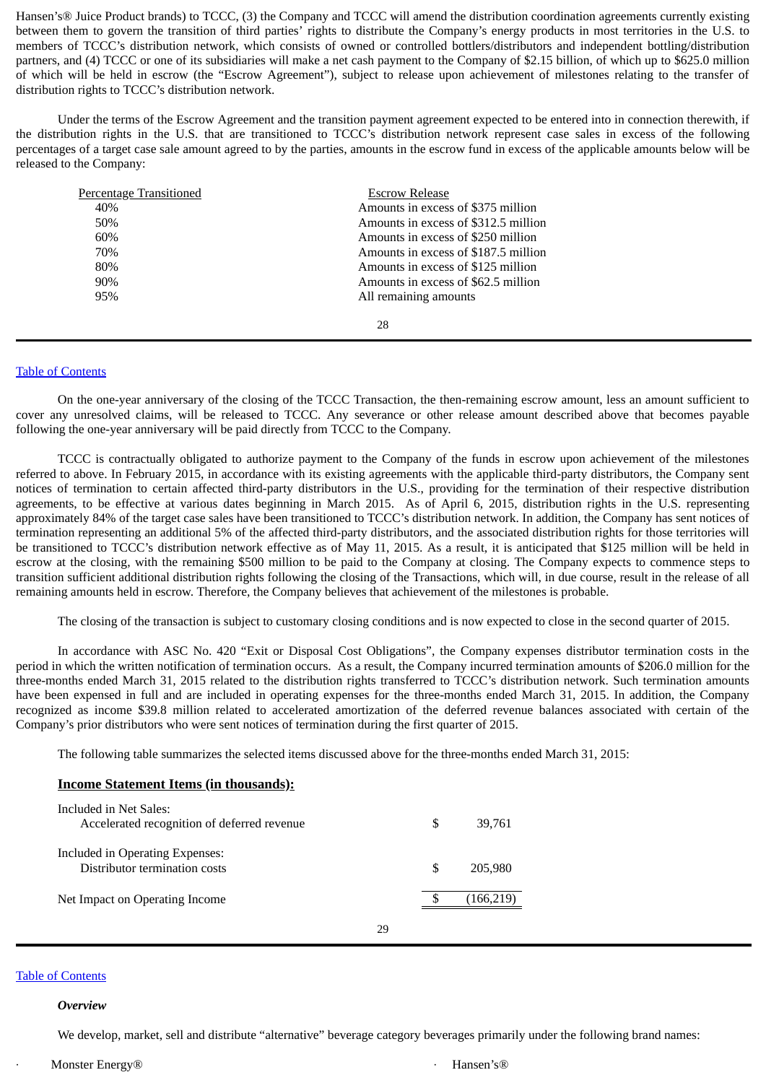Hansen's® Juice Product brands) to TCCC, (3) the Company and TCCC will amend the distribution coordination agreements currently existing between them to govern the transition of third parties' rights to distribute the Company's energy products in most territories in the U.S. to members of TCCC's distribution network, which consists of owned or controlled bottlers/distributors and independent bottling/distribution partners, and (4) TCCC or one of its subsidiaries will make a net cash payment to the Company of \$2.15 billion, of which up to \$625.0 million of which will be held in escrow (the "Escrow Agreement"), subject to release upon achievement of milestones relating to the transfer of distribution rights to TCCC's distribution network.

Under the terms of the Escrow Agreement and the transition payment agreement expected to be entered into in connection therewith, if the distribution rights in the U.S. that are transitioned to TCCC's distribution network represent case sales in excess of the following percentages of a target case sale amount agreed to by the parties, amounts in the escrow fund in excess of the applicable amounts below will be released to the Company:

| <u>Percentage Transitioned</u> | Escrow Release                       |
|--------------------------------|--------------------------------------|
| 40%                            | Amounts in excess of \$375 million   |
| 50%                            | Amounts in excess of \$312.5 million |
| 60%                            | Amounts in excess of \$250 million   |
| 70%                            | Amounts in excess of \$187.5 million |
| 80%                            | Amounts in excess of \$125 million   |
| 90%                            | Amounts in excess of \$62.5 million  |
| 95%                            | All remaining amounts                |
|                                |                                      |
|                                | 28                                   |

#### Table of [Contents](#page-0-0)

On the one-year anniversary of the closing of the TCCC Transaction, the then-remaining escrow amount, less an amount sufficient to cover any unresolved claims, will be released to TCCC. Any severance or other release amount described above that becomes payable following the one-year anniversary will be paid directly from TCCC to the Company.

TCCC is contractually obligated to authorize payment to the Company of the funds in escrow upon achievement of the milestones referred to above. In February 2015, in accordance with its existing agreements with the applicable third-party distributors, the Company sent notices of termination to certain affected third-party distributors in the U.S., providing for the termination of their respective distribution agreements, to be effective at various dates beginning in March 2015. As of April 6, 2015, distribution rights in the U.S. representing approximately 84% of the target case sales have been transitioned to TCCC's distribution network. In addition, the Company has sent notices of termination representing an additional 5% of the affected third-party distributors, and the associated distribution rights for those territories will be transitioned to TCCC's distribution network effective as of May 11, 2015. As a result, it is anticipated that \$125 million will be held in escrow at the closing, with the remaining \$500 million to be paid to the Company at closing. The Company expects to commence steps to transition sufficient additional distribution rights following the closing of the Transactions, which will, in due course, result in the release of all remaining amounts held in escrow. Therefore, the Company believes that achievement of the milestones is probable.

The closing of the transaction is subject to customary closing conditions and is now expected to close in the second quarter of 2015.

In accordance with ASC No. 420 "Exit or Disposal Cost Obligations", the Company expenses distributor termination costs in the period in which the written notification of termination occurs. As a result, the Company incurred termination amounts of \$206.0 million for the three-months ended March 31, 2015 related to the distribution rights transferred to TCCC's distribution network. Such termination amounts have been expensed in full and are included in operating expenses for the three-months ended March 31, 2015. In addition, the Company recognized as income \$39.8 million related to accelerated amortization of the deferred revenue balances associated with certain of the Company's prior distributors who were sent notices of termination during the first quarter of 2015.

The following table summarizes the selected items discussed above for the three-months ended March 31, 2015:

#### **Income Statement Items (in thousands):**

| Included in Net Sales:<br>Accelerated recognition of deferred revenue |    | S | 39.761    |
|-----------------------------------------------------------------------|----|---|-----------|
| Included in Operating Expenses:<br>Distributor termination costs      |    | S | 205,980   |
| Net Impact on Operating Income                                        |    |   | (166,219) |
|                                                                       | 29 |   |           |

#### Table of [Contents](#page-0-0)

#### *Overview*

We develop, market, sell and distribute "alternative" beverage category beverages primarily under the following brand names:

**Monster Energy®** · **Monster Energy®** · **Hansen's**®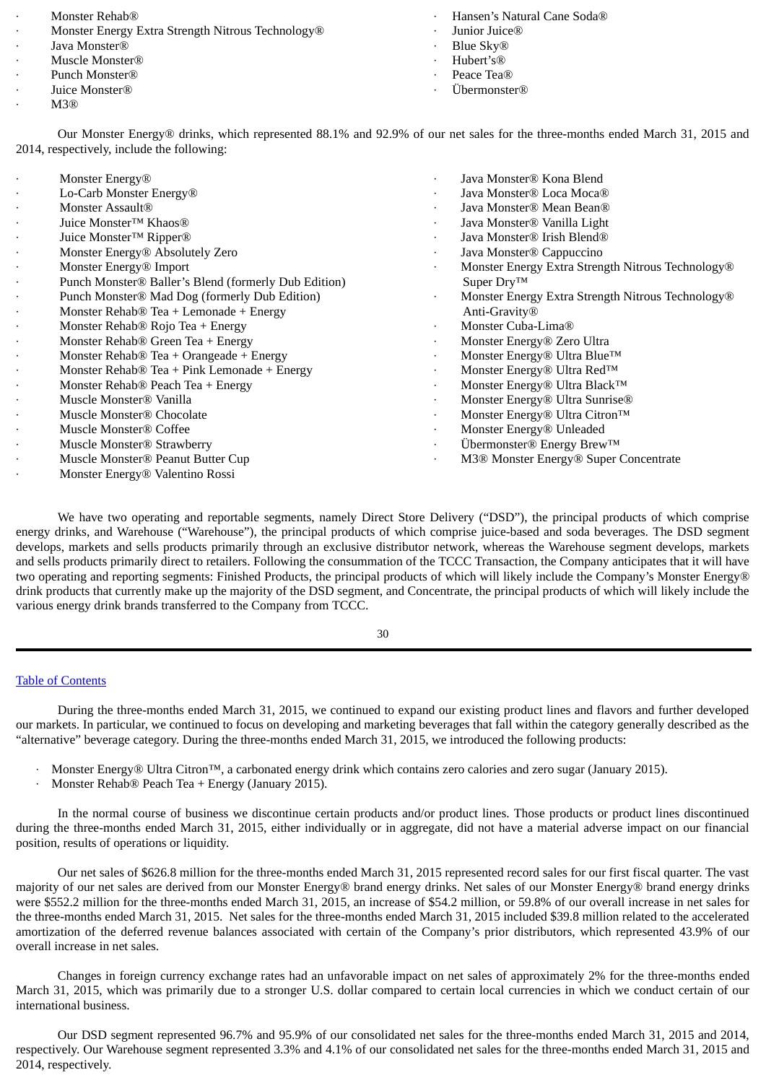| $\bullet$ | Monster Rehab®                                                                                                                                                             | Hansen's Natural Cane Soda®                                                                 |
|-----------|----------------------------------------------------------------------------------------------------------------------------------------------------------------------------|---------------------------------------------------------------------------------------------|
| $\bullet$ | Monster Energy Extra Strength Nitrous Technology®                                                                                                                          | Junior Juice®                                                                               |
| $\bullet$ | Java Monster®                                                                                                                                                              | Blue Sky®                                                                                   |
| $\bullet$ | Muscle Monster <sup>®</sup>                                                                                                                                                | Hubert's <sup>®</sup>                                                                       |
| $\bullet$ | Punch Monster®                                                                                                                                                             | Peace Tea®                                                                                  |
| $\bullet$ | Juice Monster®                                                                                                                                                             | Uhermonster $\mathbb{R}$                                                                    |
| $\bullet$ | M3@                                                                                                                                                                        |                                                                                             |
|           | Our Monster Energy® drinks, which represented 88.1% and 92.9% of our net sales for the three-months ended March 31, 2015 and<br>2014, respectively, include the following: |                                                                                             |
|           | $M$ onotov $E$ novar $\widehat{n}$                                                                                                                                         | $I_{\alpha}$ , $M_{\alpha}$ $\alpha$ $\alpha$ $\beta$ $V_{\alpha}$ $\alpha$ $\beta$ $\beta$ |

|           | Monster Energy <sup>®</sup>                          | $\bullet$ | Java Monster® Kona Blend                          |
|-----------|------------------------------------------------------|-----------|---------------------------------------------------|
|           | Lo-Carb Monster Energy®                              | $\bullet$ | Java Monster® Loca Moca®                          |
|           | Monster Assault <sup>®</sup>                         | $\bullet$ | Java Monster® Mean Bean®                          |
|           | Juice Monster™ Khaos®                                | $\bullet$ | Java Monster® Vanilla Light                       |
|           | Juice Monster <sup>™</sup> Ripper®                   | $\bullet$ | Java Monster® Irish Blend®                        |
| $\bullet$ | Monster Energy® Absolutely Zero                      | $\bullet$ | Java Monster <sup>®</sup> Cappuccino              |
| $\bullet$ | Monster Energy® Import                               |           | Monster Energy Extra Strength Nitrous Technology® |
| $\bullet$ | Punch Monster® Baller's Blend (formerly Dub Edition) |           | Super $Dry^{TM}$                                  |
| $\bullet$ | Punch Monster® Mad Dog (formerly Dub Edition)        | $\bullet$ | Monster Energy Extra Strength Nitrous Technology® |
|           | Monster Rehab® Tea + Lemonade + Energy               |           | Anti-Gravity <sup>®</sup>                         |
| $\bullet$ | Monster Rehab <sup>®</sup> Rojo Tea + Energy         | $\bullet$ | Monster Cuba-Lima®                                |
| $\bullet$ | Monster Rehab® Green Tea + Energy                    | $\bullet$ | Monster Energy® Zero Ultra                        |
| $\bullet$ | Monster Rehab $\mathcal D$ Tea + Orangeade + Energy  | $\bullet$ | Monster Energy® Ultra Blue™                       |
| $\bullet$ | Monster Rehab® Tea + Pink Lemonade + Energy          | $\bullet$ | Monster Energy® Ultra Red™                        |
|           | Monster Rehab <sup>®</sup> Peach Tea + Energy        | $\bullet$ | Monster Energy® Ultra Black™                      |
|           | Muscle Monster® Vanilla                              | $\bullet$ | Monster Energy® Ultra Sunrise®                    |
|           | Muscle Monster® Chocolate                            |           | Monster Energy® Ultra Citron™                     |
|           | Muscle Monster® Coffee                               | $\bullet$ | Monster Energy® Unleaded                          |
| $\bullet$ | Muscle Monster® Strawberry                           | $\bullet$ | Übermonster® Energy Brew™                         |
|           | Muscle Monster® Peanut Butter Cup                    | $\bullet$ | M3® Monster Energy® Super Concentrate             |
|           | Monster Energy® Valentino Rossi                      |           |                                                   |

We have two operating and reportable segments, namely Direct Store Delivery ("DSD"), the principal products of which comprise energy drinks, and Warehouse ("Warehouse"), the principal products of which comprise juice-based and soda beverages. The DSD segment develops, markets and sells products primarily through an exclusive distributor network, whereas the Warehouse segment develops, markets and sells products primarily direct to retailers. Following the consummation of the TCCC Transaction, the Company anticipates that it will have two operating and reporting segments: Finished Products, the principal products of which will likely include the Company's Monster Energy® drink products that currently make up the majority of the DSD segment, and Concentrate, the principal products of which will likely include the various energy drink brands transferred to the Company from TCCC.

 $30$ 

#### Table of [Contents](#page-0-0)

During the three-months ended March 31, 2015, we continued to expand our existing product lines and flavors and further developed our markets. In particular, we continued to focus on developing and marketing beverages that fall within the category generally described as the "alternative" beverage category. During the three-months ended March 31, 2015, we introduced the following products:

· Monster Energy® Ultra Citron™, a carbonated energy drink which contains zero calories and zero sugar (January 2015).

· Monster Rehab® Peach Tea + Energy (January 2015).

In the normal course of business we discontinue certain products and/or product lines. Those products or product lines discontinued during the three-months ended March 31, 2015, either individually or in aggregate, did not have a material adverse impact on our financial position, results of operations or liquidity.

Our net sales of \$626.8 million for the three-months ended March 31, 2015 represented record sales for our first fiscal quarter. The vast majority of our net sales are derived from our Monster Energy® brand energy drinks. Net sales of our Monster Energy® brand energy drinks were \$552.2 million for the three-months ended March 31, 2015, an increase of \$54.2 million, or 59.8% of our overall increase in net sales for the three-months ended March 31, 2015. Net sales for the three-months ended March 31, 2015 included \$39.8 million related to the accelerated amortization of the deferred revenue balances associated with certain of the Company's prior distributors, which represented 43.9% of our overall increase in net sales.

Changes in foreign currency exchange rates had an unfavorable impact on net sales of approximately 2% for the three-months ended March 31, 2015, which was primarily due to a stronger U.S. dollar compared to certain local currencies in which we conduct certain of our international business.

Our DSD segment represented 96.7% and 95.9% of our consolidated net sales for the three-months ended March 31, 2015 and 2014, respectively. Our Warehouse segment represented 3.3% and 4.1% of our consolidated net sales for the three-months ended March 31, 2015 and 2014, respectively.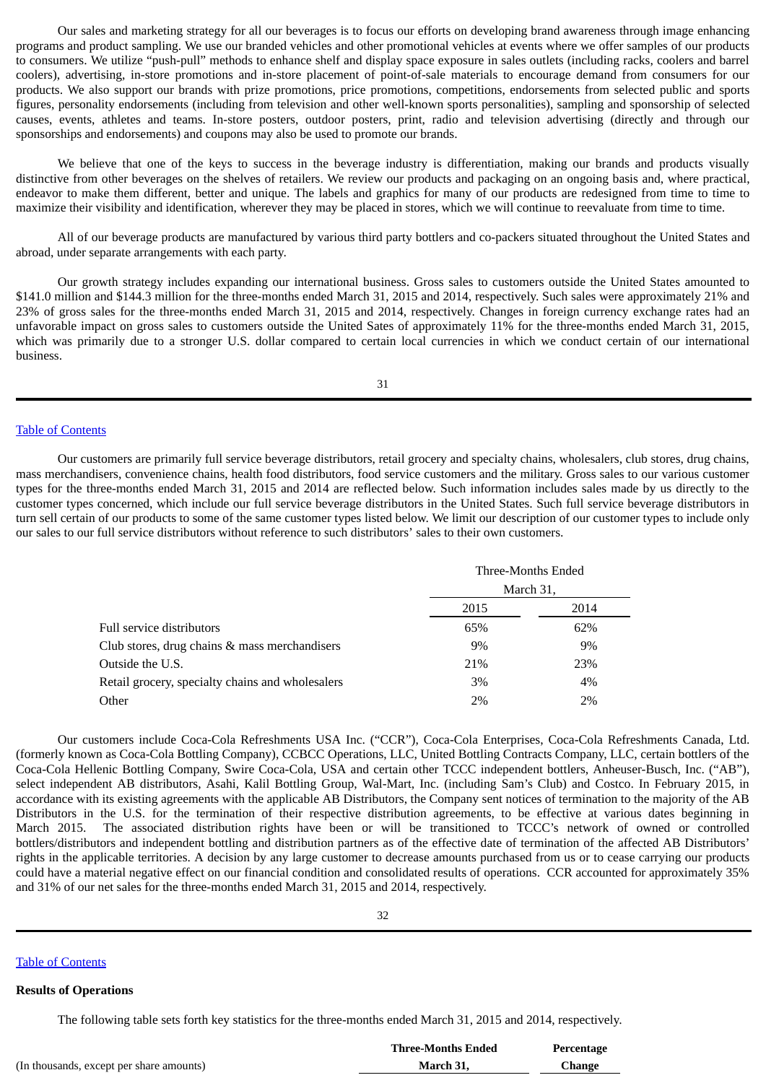Our sales and marketing strategy for all our beverages is to focus our efforts on developing brand awareness through image enhancing programs and product sampling. We use our branded vehicles and other promotional vehicles at events where we offer samples of our products to consumers. We utilize "push-pull" methods to enhance shelf and display space exposure in sales outlets (including racks, coolers and barrel coolers), advertising, in-store promotions and in-store placement of point-of-sale materials to encourage demand from consumers for our products. We also support our brands with prize promotions, price promotions, competitions, endorsements from selected public and sports figures, personality endorsements (including from television and other well-known sports personalities), sampling and sponsorship of selected causes, events, athletes and teams. In-store posters, outdoor posters, print, radio and television advertising (directly and through our sponsorships and endorsements) and coupons may also be used to promote our brands.

We believe that one of the keys to success in the beverage industry is differentiation, making our brands and products visually distinctive from other beverages on the shelves of retailers. We review our products and packaging on an ongoing basis and, where practical, endeavor to make them different, better and unique. The labels and graphics for many of our products are redesigned from time to time to maximize their visibility and identification, wherever they may be placed in stores, which we will continue to reevaluate from time to time.

All of our beverage products are manufactured by various third party bottlers and co-packers situated throughout the United States and abroad, under separate arrangements with each party.

Our growth strategy includes expanding our international business. Gross sales to customers outside the United States amounted to \$141.0 million and \$144.3 million for the three-months ended March 31, 2015 and 2014, respectively. Such sales were approximately 21% and 23% of gross sales for the three-months ended March 31, 2015 and 2014, respectively. Changes in foreign currency exchange rates had an unfavorable impact on gross sales to customers outside the United Sates of approximately 11% for the three-months ended March 31, 2015, which was primarily due to a stronger U.S. dollar compared to certain local currencies in which we conduct certain of our international business.

31

### Table of [Contents](#page-0-0)

Our customers are primarily full service beverage distributors, retail grocery and specialty chains, wholesalers, club stores, drug chains, mass merchandisers, convenience chains, health food distributors, food service customers and the military. Gross sales to our various customer types for the three-months ended March 31, 2015 and 2014 are reflected below. Such information includes sales made by us directly to the customer types concerned, which include our full service beverage distributors in the United States. Such full service beverage distributors in turn sell certain of our products to some of the same customer types listed below. We limit our description of our customer types to include only our sales to our full service distributors without reference to such distributors' sales to their own customers.

|                                                  |           | Three-Months Ended |  |  |  |  |
|--------------------------------------------------|-----------|--------------------|--|--|--|--|
|                                                  | March 31, |                    |  |  |  |  |
|                                                  | 2015      | 2014               |  |  |  |  |
| Full service distributors                        | 65%       | 62%                |  |  |  |  |
| Club stores, drug chains & mass merchandisers    | 9%        | 9%                 |  |  |  |  |
| Outside the U.S.                                 | 21%       | 23%                |  |  |  |  |
| Retail grocery, specialty chains and wholesalers | 3%        | 4%                 |  |  |  |  |
| Other                                            | 2%        | 2%                 |  |  |  |  |

Our customers include Coca-Cola Refreshments USA Inc. ("CCR"), Coca-Cola Enterprises, Coca-Cola Refreshments Canada, Ltd. (formerly known as Coca-Cola Bottling Company), CCBCC Operations, LLC, United Bottling Contracts Company, LLC, certain bottlers of the Coca-Cola Hellenic Bottling Company, Swire Coca-Cola, USA and certain other TCCC independent bottlers, Anheuser-Busch, Inc. ("AB"), select independent AB distributors, Asahi, Kalil Bottling Group, Wal-Mart, Inc. (including Sam's Club) and Costco. In February 2015, in accordance with its existing agreements with the applicable AB Distributors, the Company sent notices of termination to the majority of the AB Distributors in the U.S. for the termination of their respective distribution agreements, to be effective at various dates beginning in March 2015. The associated distribution rights have been or will be transitioned to TCCC's network of owned or controlled bottlers/distributors and independent bottling and distribution partners as of the effective date of termination of the affected AB Distributors' rights in the applicable territories. A decision by any large customer to decrease amounts purchased from us or to cease carrying our products could have a material negative effect on our financial condition and consolidated results of operations. CCR accounted for approximately 35% and 31% of our net sales for the three-months ended March 31, 2015 and 2014, respectively.

### Table of [Contents](#page-0-0)

# **Results of Operations**

The following table sets forth key statistics for the three-months ended March 31, 2015 and 2014, respectively.

|                                          | <b>Three-Months Ended</b> | Percentage |
|------------------------------------------|---------------------------|------------|
| (In thousands, except per share amounts) | March 31.                 | Change     |
|                                          |                           |            |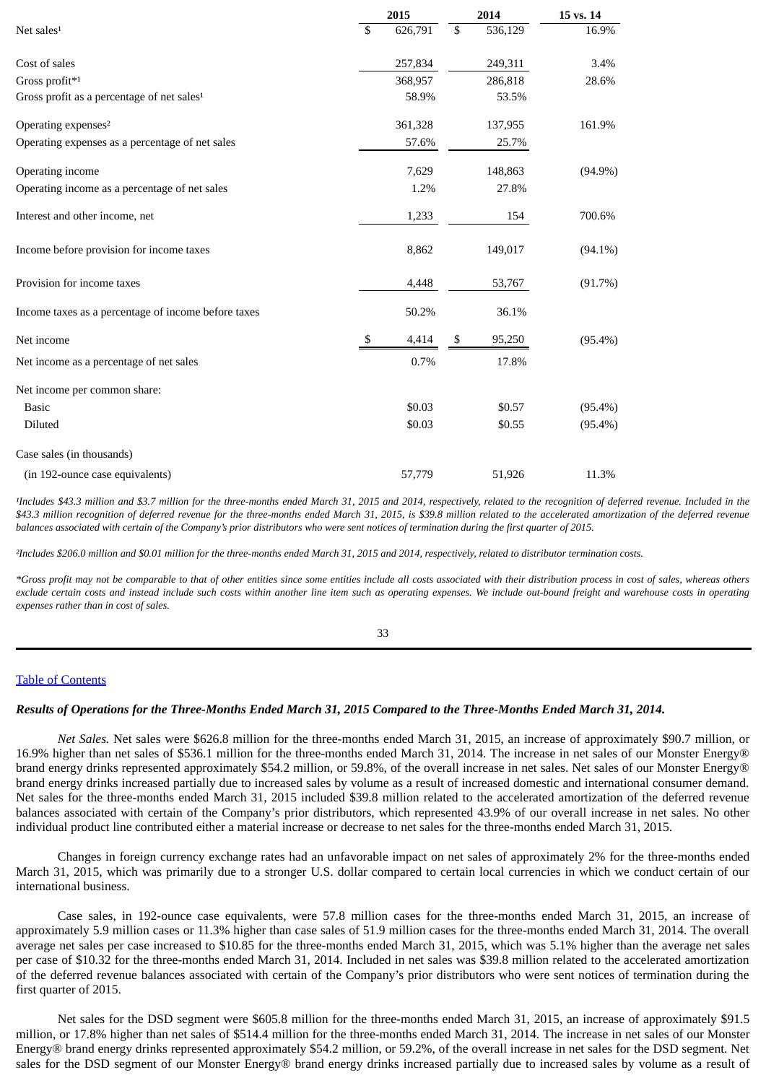|                                                        |    | 2015    |    | 2014    | 15 vs. 14  |  |  |  |  |        |            |
|--------------------------------------------------------|----|---------|----|---------|------------|--|--|--|--|--------|------------|
| Net sales <sup>1</sup>                                 | \$ | 626,791 | \$ | 536,129 | 16.9%      |  |  |  |  |        |            |
| Cost of sales                                          |    | 257,834 |    | 249,311 | 3.4%       |  |  |  |  |        |            |
| Gross profit*1                                         |    | 368,957 |    | 286,818 | 28.6%      |  |  |  |  |        |            |
| Gross profit as a percentage of net sales <sup>1</sup> |    | 58.9%   |    | 53.5%   |            |  |  |  |  |        |            |
| Operating expenses <sup>2</sup>                        |    | 361,328 |    | 137,955 | 161.9%     |  |  |  |  |        |            |
| Operating expenses as a percentage of net sales        |    | 57.6%   |    | 25.7%   |            |  |  |  |  |        |            |
| Operating income                                       |    | 7,629   |    | 148,863 | $(94.9\%)$ |  |  |  |  |        |            |
| Operating income as a percentage of net sales          |    | 1.2%    |    | 27.8%   |            |  |  |  |  |        |            |
| Interest and other income, net                         |    | 1,233   |    | 154     | 700.6%     |  |  |  |  |        |            |
| Income before provision for income taxes               |    | 8,862   |    | 149,017 | $(94.1\%)$ |  |  |  |  |        |            |
| Provision for income taxes                             |    | 4,448   |    | 53,767  | (91.7%)    |  |  |  |  |        |            |
| Income taxes as a percentage of income before taxes    |    | 50.2%   |    | 36.1%   |            |  |  |  |  |        |            |
| Net income                                             | S. | 4,414   | \$ | 95,250  | $(95.4\%)$ |  |  |  |  |        |            |
| Net income as a percentage of net sales                |    | 0.7%    |    | 17.8%   |            |  |  |  |  |        |            |
| Net income per common share:                           |    |         |    |         |            |  |  |  |  |        |            |
| <b>Basic</b>                                           |    | \$0.03  |    | \$0.57  | $(95.4\%)$ |  |  |  |  |        |            |
| Diluted                                                |    | \$0.03  |    |         |            |  |  |  |  | \$0.55 | $(95.4\%)$ |
| Case sales (in thousands)                              |    |         |    |         |            |  |  |  |  |        |            |
| (in 192-ounce case equivalents)                        |    | 57,779  |    | 51,926  | 11.3%      |  |  |  |  |        |            |

*¹Includes \$43.3 million and \$3.7 million for the three-months ended March 31, 2015 and 2014, respectively, related to the recognition of deferred revenue. Included in the \$43.3 million recognition of deferred revenue for the three-months ended March 31, 2015, is \$39.8 million related to the accelerated amortization of the deferred revenue balances associated with certain of the Company's prior distributors who were sent notices of termination during the first quarter of 2015.*

*²Includes \$206.0 million and \$0.01 million for the three-months ended March 31, 2015 and 2014, respectively, related to distributor termination costs.*

*\*Gross profit may not be comparable to that of other entities since some entities include all costs associated with their distribution process in cost of sales, whereas others exclude certain costs and instead include such costs within another line item such as operating expenses. We include out-bound freight and warehouse costs in operating expenses rather than in cost of sales.*

33

#### Table of [Contents](#page-0-0)

### Results of Operations for the Three-Months Ended March 31, 2015 Compared to the Three-Months Ended March 31, 2014.

*Net Sales.* Net sales were \$626.8 million for the three-months ended March 31, 2015, an increase of approximately \$90.7 million, or 16.9% higher than net sales of \$536.1 million for the three-months ended March 31, 2014. The increase in net sales of our Monster Energy® brand energy drinks represented approximately \$54.2 million, or 59.8%, of the overall increase in net sales. Net sales of our Monster Energy® brand energy drinks increased partially due to increased sales by volume as a result of increased domestic and international consumer demand. Net sales for the three-months ended March 31, 2015 included \$39.8 million related to the accelerated amortization of the deferred revenue balances associated with certain of the Company's prior distributors, which represented 43.9% of our overall increase in net sales. No other individual product line contributed either a material increase or decrease to net sales for the three-months ended March 31, 2015.

Changes in foreign currency exchange rates had an unfavorable impact on net sales of approximately 2% for the three-months ended March 31, 2015, which was primarily due to a stronger U.S. dollar compared to certain local currencies in which we conduct certain of our international business.

Case sales, in 192-ounce case equivalents, were 57.8 million cases for the three-months ended March 31, 2015, an increase of approximately 5.9 million cases or 11.3% higher than case sales of 51.9 million cases for the three-months ended March 31, 2014. The overall average net sales per case increased to \$10.85 for the three-months ended March 31, 2015, which was 5.1% higher than the average net sales per case of \$10.32 for the three-months ended March 31, 2014. Included in net sales was \$39.8 million related to the accelerated amortization of the deferred revenue balances associated with certain of the Company's prior distributors who were sent notices of termination during the first quarter of 2015.

Net sales for the DSD segment were \$605.8 million for the three-months ended March 31, 2015, an increase of approximately \$91.5 million, or 17.8% higher than net sales of \$514.4 million for the three-months ended March 31, 2014. The increase in net sales of our Monster Energy® brand energy drinks represented approximately \$54.2 million, or 59.2%, of the overall increase in net sales for the DSD segment. Net sales for the DSD segment of our Monster Energy® brand energy drinks increased partially due to increased sales by volume as a result of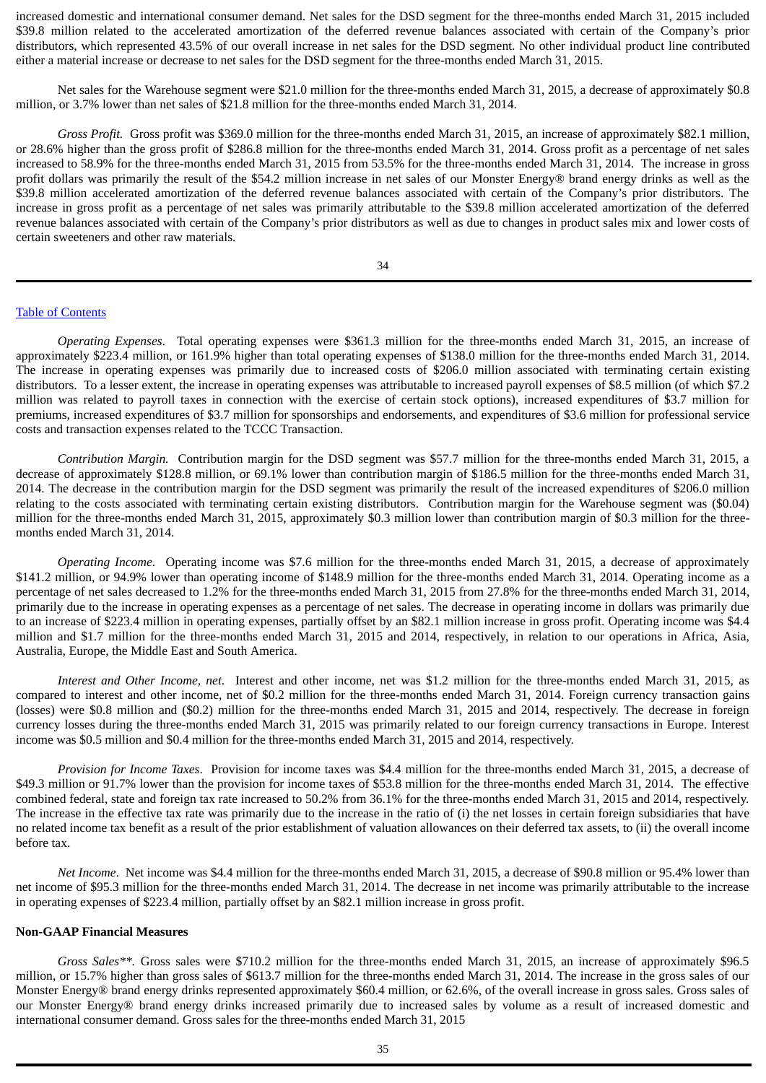increased domestic and international consumer demand. Net sales for the DSD segment for the three-months ended March 31, 2015 included \$39.8 million related to the accelerated amortization of the deferred revenue balances associated with certain of the Company's prior distributors, which represented 43.5% of our overall increase in net sales for the DSD segment. No other individual product line contributed either a material increase or decrease to net sales for the DSD segment for the three-months ended March 31, 2015.

Net sales for the Warehouse segment were \$21.0 million for the three-months ended March 31, 2015, a decrease of approximately \$0.8 million, or 3.7% lower than net sales of \$21.8 million for the three-months ended March 31, 2014.

*Gross Profit.* Gross profit was \$369.0 million for the three-months ended March 31, 2015, an increase of approximately \$82.1 million, or 28.6% higher than the gross profit of \$286.8 million for the three-months ended March 31, 2014. Gross profit as a percentage of net sales increased to 58.9% for the three-months ended March 31, 2015 from 53.5% for the three-months ended March 31, 2014. The increase in gross profit dollars was primarily the result of the \$54.2 million increase in net sales of our Monster Energy® brand energy drinks as well as the \$39.8 million accelerated amortization of the deferred revenue balances associated with certain of the Company's prior distributors. The increase in gross profit as a percentage of net sales was primarily attributable to the \$39.8 million accelerated amortization of the deferred revenue balances associated with certain of the Company's prior distributors as well as due to changes in product sales mix and lower costs of certain sweeteners and other raw materials.

34

#### Table of [Contents](#page-0-0)

*Operating Expenses*. Total operating expenses were \$361.3 million for the three-months ended March 31, 2015, an increase of approximately \$223.4 million, or 161.9% higher than total operating expenses of \$138.0 million for the three-months ended March 31, 2014. The increase in operating expenses was primarily due to increased costs of \$206.0 million associated with terminating certain existing distributors. To a lesser extent, the increase in operating expenses was attributable to increased payroll expenses of \$8.5 million (of which \$7.2 million was related to payroll taxes in connection with the exercise of certain stock options), increased expenditures of \$3.7 million for premiums, increased expenditures of \$3.7 million for sponsorships and endorsements, and expenditures of \$3.6 million for professional service costs and transaction expenses related to the TCCC Transaction.

*Contribution Margin.* Contribution margin for the DSD segment was \$57.7 million for the three-months ended March 31, 2015, a decrease of approximately \$128.8 million, or 69.1% lower than contribution margin of \$186.5 million for the three-months ended March 31, 2014. The decrease in the contribution margin for the DSD segment was primarily the result of the increased expenditures of \$206.0 million relating to the costs associated with terminating certain existing distributors. Contribution margin for the Warehouse segment was (\$0.04) million for the three-months ended March 31, 2015, approximately \$0.3 million lower than contribution margin of \$0.3 million for the threemonths ended March 31, 2014.

*Operating Income.* Operating income was \$7.6 million for the three-months ended March 31, 2015, a decrease of approximately \$141.2 million, or 94.9% lower than operating income of \$148.9 million for the three-months ended March 31, 2014. Operating income as a percentage of net sales decreased to 1.2% for the three-months ended March 31, 2015 from 27.8% for the three-months ended March 31, 2014, primarily due to the increase in operating expenses as a percentage of net sales. The decrease in operating income in dollars was primarily due to an increase of \$223.4 million in operating expenses, partially offset by an \$82.1 million increase in gross profit. Operating income was \$4.4 million and \$1.7 million for the three-months ended March 31, 2015 and 2014, respectively, in relation to our operations in Africa, Asia, Australia, Europe, the Middle East and South America.

*Interest and Other Income, net*. Interest and other income, net was \$1.2 million for the three-months ended March 31, 2015, as compared to interest and other income, net of \$0.2 million for the three-months ended March 31, 2014. Foreign currency transaction gains (losses) were \$0.8 million and (\$0.2) million for the three-months ended March 31, 2015 and 2014, respectively. The decrease in foreign currency losses during the three-months ended March 31, 2015 was primarily related to our foreign currency transactions in Europe. Interest income was \$0.5 million and \$0.4 million for the three-months ended March 31, 2015 and 2014, respectively.

*Provision for Income Taxes*. Provision for income taxes was \$4.4 million for the three-months ended March 31, 2015, a decrease of \$49.3 million or 91.7% lower than the provision for income taxes of \$53.8 million for the three-months ended March 31, 2014. The effective combined federal, state and foreign tax rate increased to 50.2% from 36.1% for the three-months ended March 31, 2015 and 2014, respectively. The increase in the effective tax rate was primarily due to the increase in the ratio of (i) the net losses in certain foreign subsidiaries that have no related income tax benefit as a result of the prior establishment of valuation allowances on their deferred tax assets, to (ii) the overall income before tax.

*Net Income*. Net income was \$4.4 million for the three-months ended March 31, 2015, a decrease of \$90.8 million or 95.4% lower than net income of \$95.3 million for the three-months ended March 31, 2014. The decrease in net income was primarily attributable to the increase in operating expenses of \$223.4 million, partially offset by an \$82.1 million increase in gross profit.

#### **Non-GAAP Financial Measures**

*Gross Sales\*\*.* Gross sales were \$710.2 million for the three-months ended March 31, 2015, an increase of approximately \$96.5 million, or 15.7% higher than gross sales of \$613.7 million for the three-months ended March 31, 2014. The increase in the gross sales of our Monster Energy® brand energy drinks represented approximately \$60.4 million, or 62.6%, of the overall increase in gross sales. Gross sales of our Monster Energy® brand energy drinks increased primarily due to increased sales by volume as a result of increased domestic and international consumer demand. Gross sales for the three-months ended March 31, 2015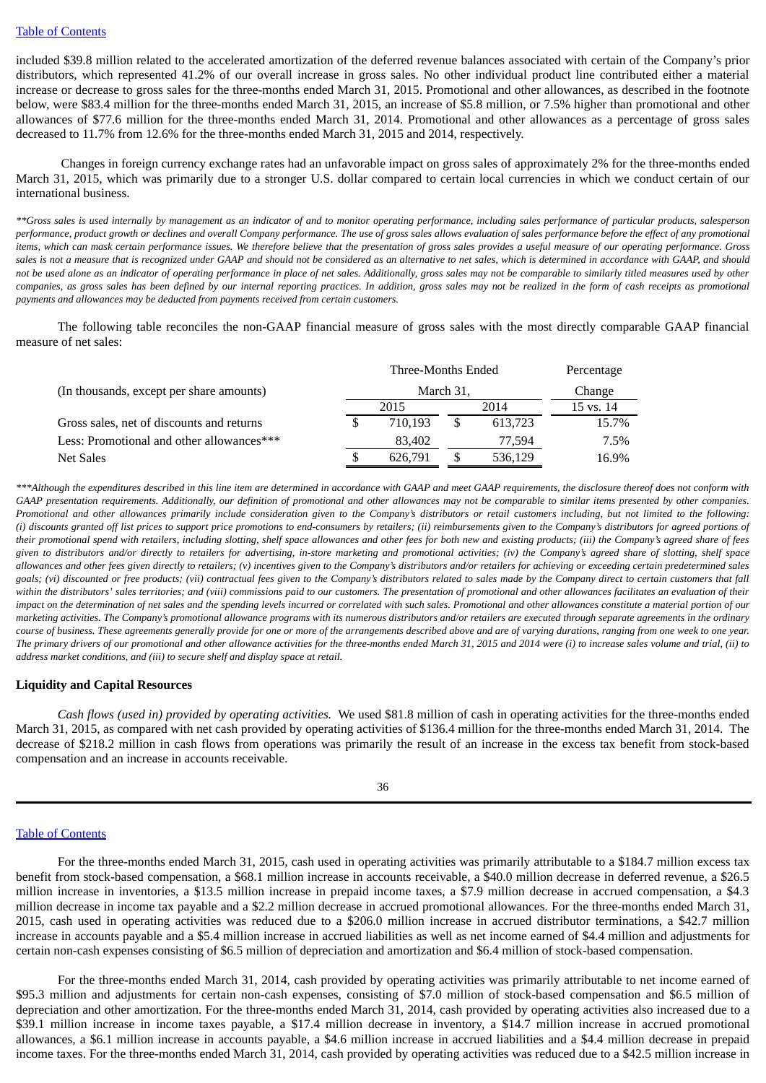included \$39.8 million related to the accelerated amortization of the deferred revenue balances associated with certain of the Company's prior distributors, which represented 41.2% of our overall increase in gross sales. No other individual product line contributed either a material increase or decrease to gross sales for the three-months ended March 31, 2015. Promotional and other allowances, as described in the footnote below, were \$83.4 million for the three-months ended March 31, 2015, an increase of \$5.8 million, or 7.5% higher than promotional and other allowances of \$77.6 million for the three-months ended March 31, 2014. Promotional and other allowances as a percentage of gross sales decreased to 11.7% from 12.6% for the three-months ended March 31, 2015 and 2014, respectively.

Changes in foreign currency exchange rates had an unfavorable impact on gross sales of approximately 2% for the three-months ended March 31, 2015, which was primarily due to a stronger U.S. dollar compared to certain local currencies in which we conduct certain of our international business.

*\*\*Gross sales is used internally by management as an indicator of and to monitor operating performance, including sales performance of particular products, salesperson performance, product growth or declines and overall Company performance. The use of gross sales allows evaluation of sales performance before the effect of any promotional items, which can mask certain performance issues. We therefore believe that the presentation of gross sales provides a useful measure of our operating performance. Gross* sales is not a measure that is recognized under GAAP and should not be considered as an alternative to net sales, which is determined in accordance with GAAP, and should *not be used alone as an indicator of operating performance in place of net sales. Additionally, gross sales may not be comparable to similarly titled measures used by other companies, as gross sales has been defined by our internal reporting practices. In addition, gross sales may not be realized in the form of cash receipts as promotional payments and allowances may be deducted from payments received from certain customers.*

The following table reconciles the non-GAAP financial measure of gross sales with the most directly comparable GAAP financial measure of net sales:

|                                           |   | Percentage |         |           |  |
|-------------------------------------------|---|------------|---------|-----------|--|
| (In thousands, except per share amounts)  |   | Change     |         |           |  |
|                                           |   | 2015       | 2014    | 15 vs. 14 |  |
| Gross sales, net of discounts and returns |   | 710.193    | 613,723 | 15.7%     |  |
| Less: Promotional and other allowances*** |   | 83.402     | 77.594  | 7.5%      |  |
| Net Sales                                 | S | 626.791    | 536,129 | 16.9%     |  |

*\*\*\*Although the expenditures described in this line item are determined in accordance with GAAP and meet GAAP requirements, the disclosure thereof does not conform with GAAP presentation requirements. Additionally, our definition of promotional and other allowances may not be comparable to similar items presented by other companies. Promotional and other allowances primarily include consideration given to the Company's distributors or retail customers including, but not limited to the following: (i) discounts granted off list prices to support price promotions to end-consumers by retailers; (ii) reimbursements given to the Company's distributors for agreed portions of their promotional spend with retailers, including slotting, shelf space allowances and other fees for both new and existing products; (iii) the Company's agreed share of fees given to distributors and/or directly to retailers for advertising, in-store marketing and promotional activities; (iv) the Company's agreed share of slotting, shelf space allowances and other fees given directly to retailers; (v) incentives given to the Company's distributors and/or retailers for achieving or exceeding certain predetermined sales goals; (vi) discounted or free products; (vii) contractual fees given to the Company's distributors related to sales made by the Company direct to certain customers that fall* within the distributors' sales territories; and (viii) commissions paid to our customers. The presentation of promotional and other allowances facilitates an evaluation of their *impact on the determination of net sales and the spending levels incurred or correlated with such sales. Promotional and other allowances constitute a material portion of our marketing activities. The Company's promotional allowance programs with its numerous distributors and/or retailers are executed through separate agreements in the ordinary course of business. These agreements generally provide for one or more of the arrangements described above and are of varying durations, ranging from one week to one year. The primary drivers of our promotional and other allowance activities for the three-months ended March 31, 2015 and 2014 were (i) to increase sales volume and trial, (ii) to address market conditions, and (iii) to secure shelf and display space at retail.*

#### **Liquidity and Capital Resources**

*Cash flows (used in) provided by operating activities.* We used \$81.8 million of cash in operating activities for the three-months ended March 31, 2015, as compared with net cash provided by operating activities of \$136.4 million for the three-months ended March 31, 2014. The decrease of \$218.2 million in cash flows from operations was primarily the result of an increase in the excess tax benefit from stock-based compensation and an increase in accounts receivable.

#### 36

#### Table of [Contents](#page-0-0)

For the three-months ended March 31, 2015, cash used in operating activities was primarily attributable to a \$184.7 million excess tax benefit from stock-based compensation, a \$68.1 million increase in accounts receivable, a \$40.0 million decrease in deferred revenue, a \$26.5 million increase in inventories, a \$13.5 million increase in prepaid income taxes, a \$7.9 million decrease in accrued compensation, a \$4.3 million decrease in income tax payable and a \$2.2 million decrease in accrued promotional allowances. For the three-months ended March 31, 2015, cash used in operating activities was reduced due to a \$206.0 million increase in accrued distributor terminations, a \$42.7 million increase in accounts payable and a \$5.4 million increase in accrued liabilities as well as net income earned of \$4.4 million and adjustments for certain non-cash expenses consisting of \$6.5 million of depreciation and amortization and \$6.4 million of stock-based compensation.

For the three-months ended March 31, 2014, cash provided by operating activities was primarily attributable to net income earned of \$95.3 million and adjustments for certain non-cash expenses, consisting of \$7.0 million of stock-based compensation and \$6.5 million of depreciation and other amortization. For the three-months ended March 31, 2014, cash provided by operating activities also increased due to a \$39.1 million increase in income taxes payable, a \$17.4 million decrease in inventory, a \$14.7 million increase in accrued promotional allowances, a \$6.1 million increase in accounts payable, a \$4.6 million increase in accrued liabilities and a \$4.4 million decrease in prepaid income taxes. For the three-months ended March 31, 2014, cash provided by operating activities was reduced due to a \$42.5 million increase in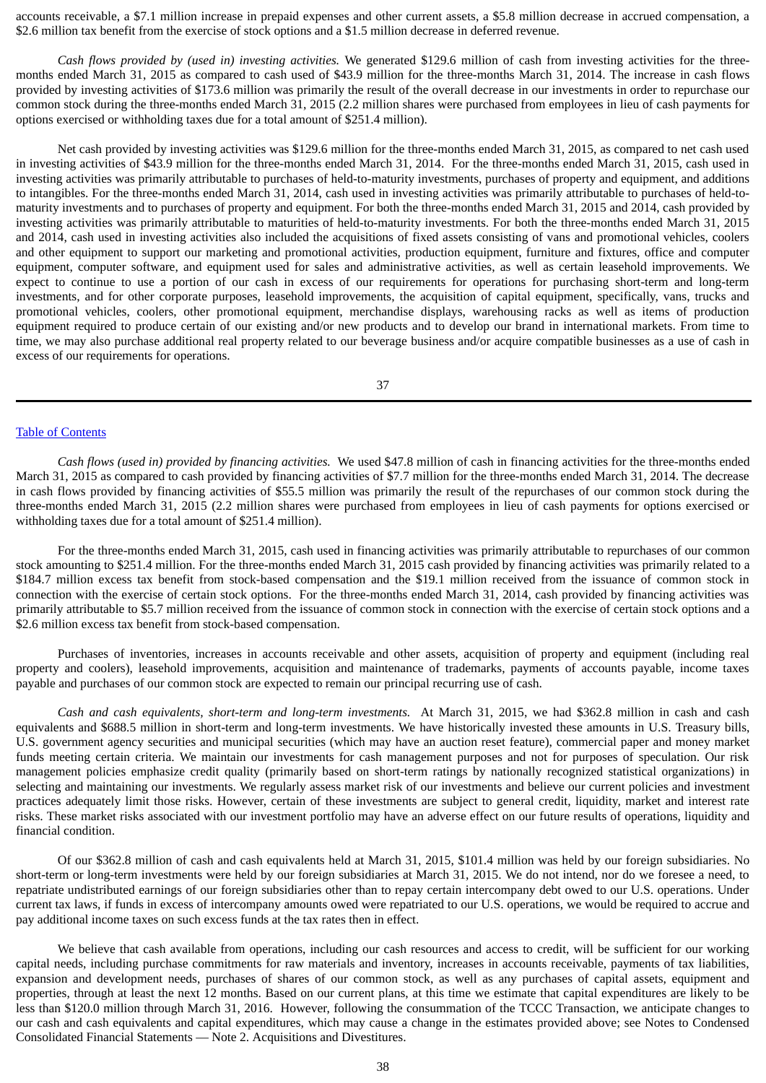accounts receivable, a \$7.1 million increase in prepaid expenses and other current assets, a \$5.8 million decrease in accrued compensation, a \$2.6 million tax benefit from the exercise of stock options and a \$1.5 million decrease in deferred revenue.

*Cash flows provided by (used in) investing activities.* We generated \$129.6 million of cash from investing activities for the threemonths ended March 31, 2015 as compared to cash used of \$43.9 million for the three-months March 31, 2014. The increase in cash flows provided by investing activities of \$173.6 million was primarily the result of the overall decrease in our investments in order to repurchase our common stock during the three-months ended March 31, 2015 (2.2 million shares were purchased from employees in lieu of cash payments for options exercised or withholding taxes due for a total amount of \$251.4 million).

Net cash provided by investing activities was \$129.6 million for the three-months ended March 31, 2015, as compared to net cash used in investing activities of \$43.9 million for the three-months ended March 31, 2014. For the three-months ended March 31, 2015, cash used in investing activities was primarily attributable to purchases of held-to-maturity investments, purchases of property and equipment, and additions to intangibles. For the three-months ended March 31, 2014, cash used in investing activities was primarily attributable to purchases of held-tomaturity investments and to purchases of property and equipment. For both the three-months ended March 31, 2015 and 2014, cash provided by investing activities was primarily attributable to maturities of held-to-maturity investments. For both the three-months ended March 31, 2015 and 2014, cash used in investing activities also included the acquisitions of fixed assets consisting of vans and promotional vehicles, coolers and other equipment to support our marketing and promotional activities, production equipment, furniture and fixtures, office and computer equipment, computer software, and equipment used for sales and administrative activities, as well as certain leasehold improvements. We expect to continue to use a portion of our cash in excess of our requirements for operations for purchasing short-term and long-term investments, and for other corporate purposes, leasehold improvements, the acquisition of capital equipment, specifically, vans, trucks and promotional vehicles, coolers, other promotional equipment, merchandise displays, warehousing racks as well as items of production equipment required to produce certain of our existing and/or new products and to develop our brand in international markets. From time to time, we may also purchase additional real property related to our beverage business and/or acquire compatible businesses as a use of cash in excess of our requirements for operations.

37

#### Table of [Contents](#page-0-0)

*Cash flows (used in) provided by financing activities.* We used \$47.8 million of cash in financing activities for the three-months ended March 31, 2015 as compared to cash provided by financing activities of \$7.7 million for the three-months ended March 31, 2014. The decrease in cash flows provided by financing activities of \$55.5 million was primarily the result of the repurchases of our common stock during the three-months ended March 31, 2015 (2.2 million shares were purchased from employees in lieu of cash payments for options exercised or withholding taxes due for a total amount of \$251.4 million).

For the three-months ended March 31, 2015, cash used in financing activities was primarily attributable to repurchases of our common stock amounting to \$251.4 million. For the three-months ended March 31, 2015 cash provided by financing activities was primarily related to a \$184.7 million excess tax benefit from stock-based compensation and the \$19.1 million received from the issuance of common stock in connection with the exercise of certain stock options. For the three-months ended March 31, 2014, cash provided by financing activities was primarily attributable to \$5.7 million received from the issuance of common stock in connection with the exercise of certain stock options and a \$2.6 million excess tax benefit from stock-based compensation.

Purchases of inventories, increases in accounts receivable and other assets, acquisition of property and equipment (including real property and coolers), leasehold improvements, acquisition and maintenance of trademarks, payments of accounts payable, income taxes payable and purchases of our common stock are expected to remain our principal recurring use of cash.

*Cash and cash equivalents, short-term and long-term investments.* At March 31, 2015, we had \$362.8 million in cash and cash equivalents and \$688.5 million in short-term and long-term investments. We have historically invested these amounts in U.S. Treasury bills, U.S. government agency securities and municipal securities (which may have an auction reset feature), commercial paper and money market funds meeting certain criteria. We maintain our investments for cash management purposes and not for purposes of speculation. Our risk management policies emphasize credit quality (primarily based on short-term ratings by nationally recognized statistical organizations) in selecting and maintaining our investments. We regularly assess market risk of our investments and believe our current policies and investment practices adequately limit those risks. However, certain of these investments are subject to general credit, liquidity, market and interest rate risks. These market risks associated with our investment portfolio may have an adverse effect on our future results of operations, liquidity and financial condition.

Of our \$362.8 million of cash and cash equivalents held at March 31, 2015, \$101.4 million was held by our foreign subsidiaries. No short-term or long-term investments were held by our foreign subsidiaries at March 31, 2015. We do not intend, nor do we foresee a need, to repatriate undistributed earnings of our foreign subsidiaries other than to repay certain intercompany debt owed to our U.S. operations. Under current tax laws, if funds in excess of intercompany amounts owed were repatriated to our U.S. operations, we would be required to accrue and pay additional income taxes on such excess funds at the tax rates then in effect.

We believe that cash available from operations, including our cash resources and access to credit, will be sufficient for our working capital needs, including purchase commitments for raw materials and inventory, increases in accounts receivable, payments of tax liabilities, expansion and development needs, purchases of shares of our common stock, as well as any purchases of capital assets, equipment and properties, through at least the next 12 months. Based on our current plans, at this time we estimate that capital expenditures are likely to be less than \$120.0 million through March 31, 2016. However, following the consummation of the TCCC Transaction, we anticipate changes to our cash and cash equivalents and capital expenditures, which may cause a change in the estimates provided above; see Notes to Condensed Consolidated Financial Statements — Note 2. Acquisitions and Divestitures.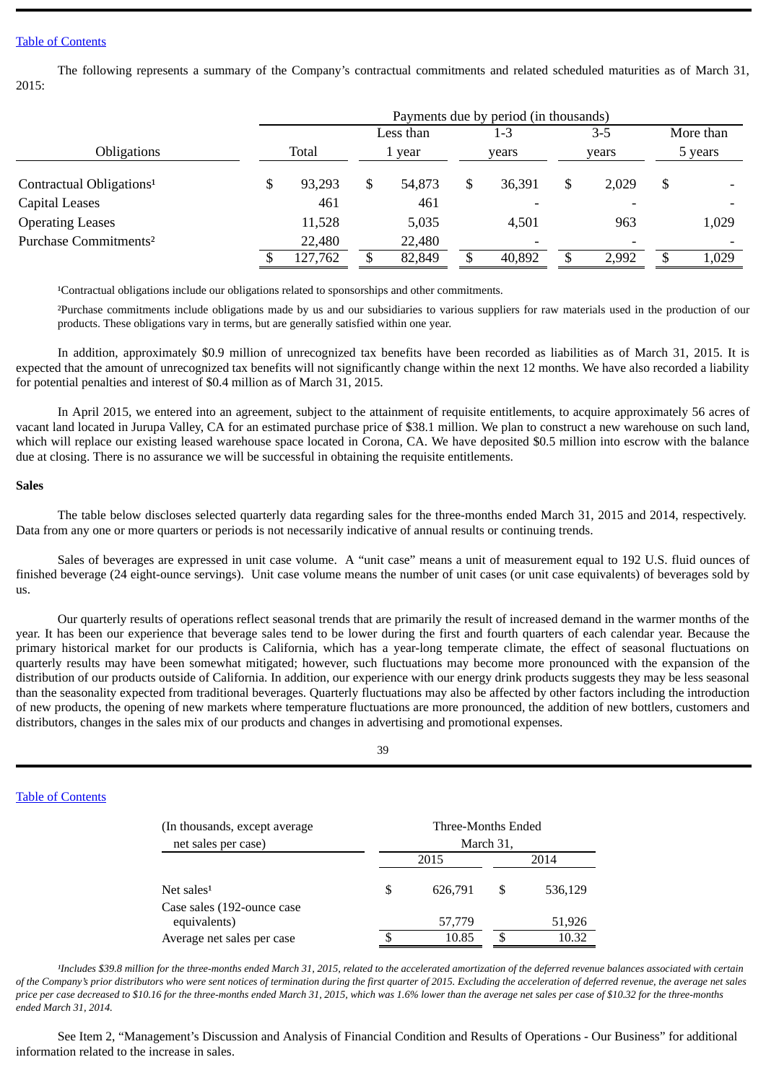# Table of [Contents](#page-0-0)

The following represents a summary of the Company's contractual commitments and related scheduled maturities as of March 31, 2015:

|                                      | Payments due by period (in thousands) |                 |    |           |       |        |       |                          |    |           |         |
|--------------------------------------|---------------------------------------|-----------------|----|-----------|-------|--------|-------|--------------------------|----|-----------|---------|
|                                      |                                       |                 |    | Less than |       | 1-3    |       | $3-5$                    |    | More than |         |
| <b>Obligations</b>                   |                                       | Total<br>1 year |    |           | vears |        | vears |                          |    |           | 5 years |
| Contractual Obligations <sup>1</sup> | \$                                    | 93,293          | \$ | 54,873    | \$    | 36,391 |       | 2,029                    | \$ |           |         |
| Capital Leases                       |                                       | 461             |    | 461       |       |        |       |                          |    |           |         |
| <b>Operating Leases</b>              |                                       | 11,528          |    | 5,035     |       | 4,501  |       | 963                      |    | 1,029     |         |
| Purchase Commitments <sup>2</sup>    |                                       | 22,480          |    | 22,480    |       | ۰      |       | $\overline{\phantom{0}}$ |    |           |         |
|                                      |                                       | 127,762         |    | 82,849    |       | 40,892 |       | 2,992                    |    | 1,029     |         |

<sup>1</sup>Contractual obligations include our obligations related to sponsorships and other commitments.

²Purchase commitments include obligations made by us and our subsidiaries to various suppliers for raw materials used in the production of our products. These obligations vary in terms, but are generally satisfied within one year.

In addition, approximately \$0.9 million of unrecognized tax benefits have been recorded as liabilities as of March 31, 2015. It is expected that the amount of unrecognized tax benefits will not significantly change within the next 12 months. We have also recorded a liability for potential penalties and interest of \$0.4 million as of March 31, 2015.

In April 2015, we entered into an agreement, subject to the attainment of requisite entitlements, to acquire approximately 56 acres of vacant land located in Jurupa Valley, CA for an estimated purchase price of \$38.1 million. We plan to construct a new warehouse on such land, which will replace our existing leased warehouse space located in Corona, CA. We have deposited \$0.5 million into escrow with the balance due at closing. There is no assurance we will be successful in obtaining the requisite entitlements.

#### **Sales**

The table below discloses selected quarterly data regarding sales for the three-months ended March 31, 2015 and 2014, respectively. Data from any one or more quarters or periods is not necessarily indicative of annual results or continuing trends.

Sales of beverages are expressed in unit case volume. A "unit case" means a unit of measurement equal to 192 U.S. fluid ounces of finished beverage (24 eight-ounce servings). Unit case volume means the number of unit cases (or unit case equivalents) of beverages sold by us.

Our quarterly results of operations reflect seasonal trends that are primarily the result of increased demand in the warmer months of the year. It has been our experience that beverage sales tend to be lower during the first and fourth quarters of each calendar year. Because the primary historical market for our products is California, which has a year-long temperate climate, the effect of seasonal fluctuations on quarterly results may have been somewhat mitigated; however, such fluctuations may become more pronounced with the expansion of the distribution of our products outside of California. In addition, our experience with our energy drink products suggests they may be less seasonal than the seasonality expected from traditional beverages. Quarterly fluctuations may also be affected by other factors including the introduction of new products, the opening of new markets where temperature fluctuations are more pronounced, the addition of new bottlers, customers and distributors, changes in the sales mix of our products and changes in advertising and promotional expenses.

# 39

# Table of [Contents](#page-0-0)

| (In thousands, except average<br>net sales per case) | Three-Months Ended<br>March 31, |         |      |         |
|------------------------------------------------------|---------------------------------|---------|------|---------|
|                                                      | 2015                            |         | 2014 |         |
| Net sales $1$<br>Case sales (192-ounce case          | S                               | 626,791 | S    | 536,129 |
| equivalents)                                         |                                 | 57,779  |      | 51,926  |
| Average net sales per case                           |                                 | 10.85   |      | 10.32   |

*¹Includes \$39.8 million for the three-months ended March 31, 2015, related to the accelerated amortization of the deferred revenue balances associated with certain of the Company's prior distributors who were sent notices of termination during the first quarter of 2015. Excluding the acceleration of deferred revenue, the average net sales price per case decreased to \$10.16 for the three-months ended March 31, 2015, which was 1.6% lower than the average net sales per case of \$10.32 for the three-months ended March 31, 2014.*

See Item 2, "Management's Discussion and Analysis of Financial Condition and Results of Operations - Our Business" for additional information related to the increase in sales.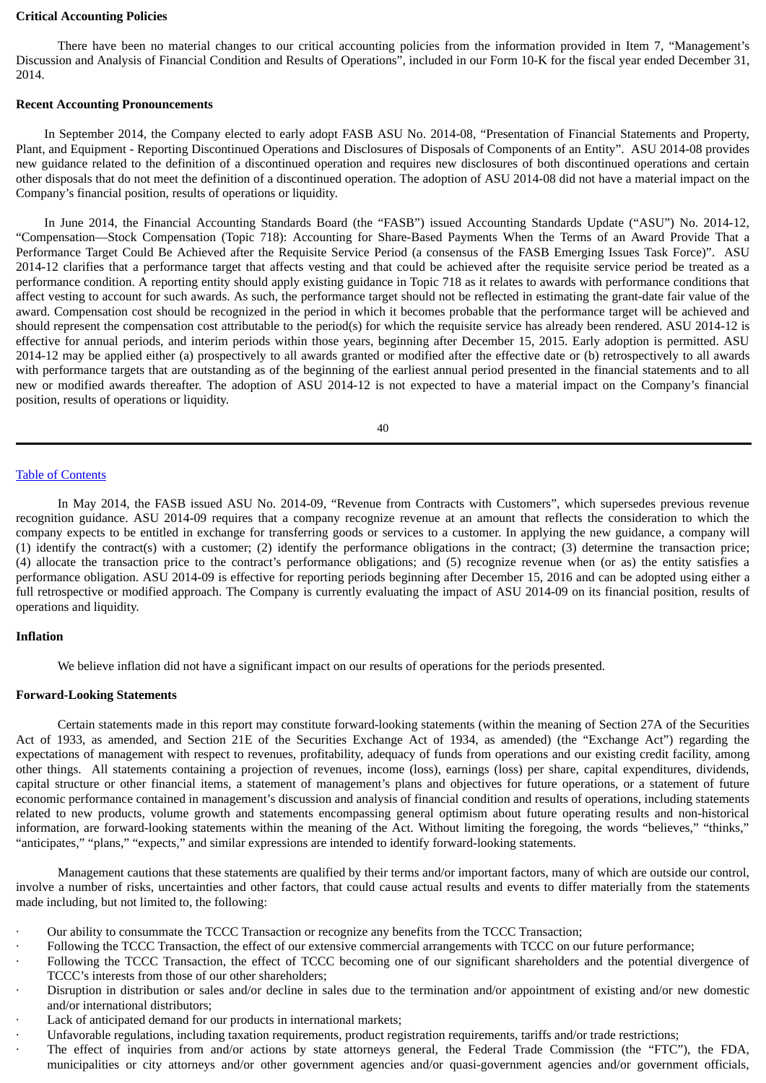#### **Critical Accounting Policies**

There have been no material changes to our critical accounting policies from the information provided in Item 7, "Management's Discussion and Analysis of Financial Condition and Results of Operations", included in our Form 10-K for the fiscal year ended December 31, 2014.

#### **Recent Accounting Pronouncements**

In September 2014, the Company elected to early adopt FASB ASU No. 2014-08, "Presentation of Financial Statements and Property, Plant, and Equipment - Reporting Discontinued Operations and Disclosures of Disposals of Components of an Entity". ASU 2014-08 provides new guidance related to the definition of a discontinued operation and requires new disclosures of both discontinued operations and certain other disposals that do not meet the definition of a discontinued operation. The adoption of ASU 2014-08 did not have a material impact on the Company's financial position, results of operations or liquidity.

In June 2014, the Financial Accounting Standards Board (the "FASB") issued Accounting Standards Update ("ASU") No. 2014-12, "Compensation—Stock Compensation (Topic 718): Accounting for Share-Based Payments When the Terms of an Award Provide That a Performance Target Could Be Achieved after the Requisite Service Period (a consensus of the FASB Emerging Issues Task Force)". ASU 2014-12 clarifies that a performance target that affects vesting and that could be achieved after the requisite service period be treated as a performance condition. A reporting entity should apply existing guidance in Topic 718 as it relates to awards with performance conditions that affect vesting to account for such awards. As such, the performance target should not be reflected in estimating the grant-date fair value of the award. Compensation cost should be recognized in the period in which it becomes probable that the performance target will be achieved and should represent the compensation cost attributable to the period(s) for which the requisite service has already been rendered. ASU 2014-12 is effective for annual periods, and interim periods within those years, beginning after December 15, 2015. Early adoption is permitted. ASU 2014-12 may be applied either (a) prospectively to all awards granted or modified after the effective date or (b) retrospectively to all awards with performance targets that are outstanding as of the beginning of the earliest annual period presented in the financial statements and to all new or modified awards thereafter. The adoption of ASU 2014-12 is not expected to have a material impact on the Company's financial position, results of operations or liquidity.

40

#### Table of [Contents](#page-0-0)

In May 2014, the FASB issued ASU No. 2014-09, "Revenue from Contracts with Customers", which supersedes previous revenue recognition guidance. ASU 2014-09 requires that a company recognize revenue at an amount that reflects the consideration to which the company expects to be entitled in exchange for transferring goods or services to a customer. In applying the new guidance, a company will (1) identify the contract(s) with a customer; (2) identify the performance obligations in the contract; (3) determine the transaction price; (4) allocate the transaction price to the contract's performance obligations; and (5) recognize revenue when (or as) the entity satisfies a performance obligation. ASU 2014-09 is effective for reporting periods beginning after December 15, 2016 and can be adopted using either a full retrospective or modified approach. The Company is currently evaluating the impact of ASU 2014-09 on its financial position, results of operations and liquidity.

#### **Inflation**

We believe inflation did not have a significant impact on our results of operations for the periods presented.

#### **Forward-Looking Statements**

Certain statements made in this report may constitute forward-looking statements (within the meaning of Section 27A of the Securities Act of 1933, as amended, and Section 21E of the Securities Exchange Act of 1934, as amended) (the "Exchange Act") regarding the expectations of management with respect to revenues, profitability, adequacy of funds from operations and our existing credit facility, among other things. All statements containing a projection of revenues, income (loss), earnings (loss) per share, capital expenditures, dividends, capital structure or other financial items, a statement of management's plans and objectives for future operations, or a statement of future economic performance contained in management's discussion and analysis of financial condition and results of operations, including statements related to new products, volume growth and statements encompassing general optimism about future operating results and non-historical information, are forward-looking statements within the meaning of the Act. Without limiting the foregoing, the words "believes," "thinks," "anticipates," "plans," "expects," and similar expressions are intended to identify forward-looking statements.

Management cautions that these statements are qualified by their terms and/or important factors, many of which are outside our control, involve a number of risks, uncertainties and other factors, that could cause actual results and events to differ materially from the statements made including, but not limited to, the following:

- · Our ability to consummate the TCCC Transaction or recognize any benefits from the TCCC Transaction;
- · Following the TCCC Transaction, the effect of our extensive commercial arrangements with TCCC on our future performance;
- Following the TCCC Transaction, the effect of TCCC becoming one of our significant shareholders and the potential divergence of TCCC's interests from those of our other shareholders;
- · Disruption in distribution or sales and/or decline in sales due to the termination and/or appointment of existing and/or new domestic and/or international distributors;
- Lack of anticipated demand for our products in international markets;
- Unfavorable regulations, including taxation requirements, product registration requirements, tariffs and/or trade restrictions;
- The effect of inquiries from and/or actions by state attorneys general, the Federal Trade Commission (the "FTC"), the FDA, municipalities or city attorneys and/or other government agencies and/or quasi-government agencies and/or government officials,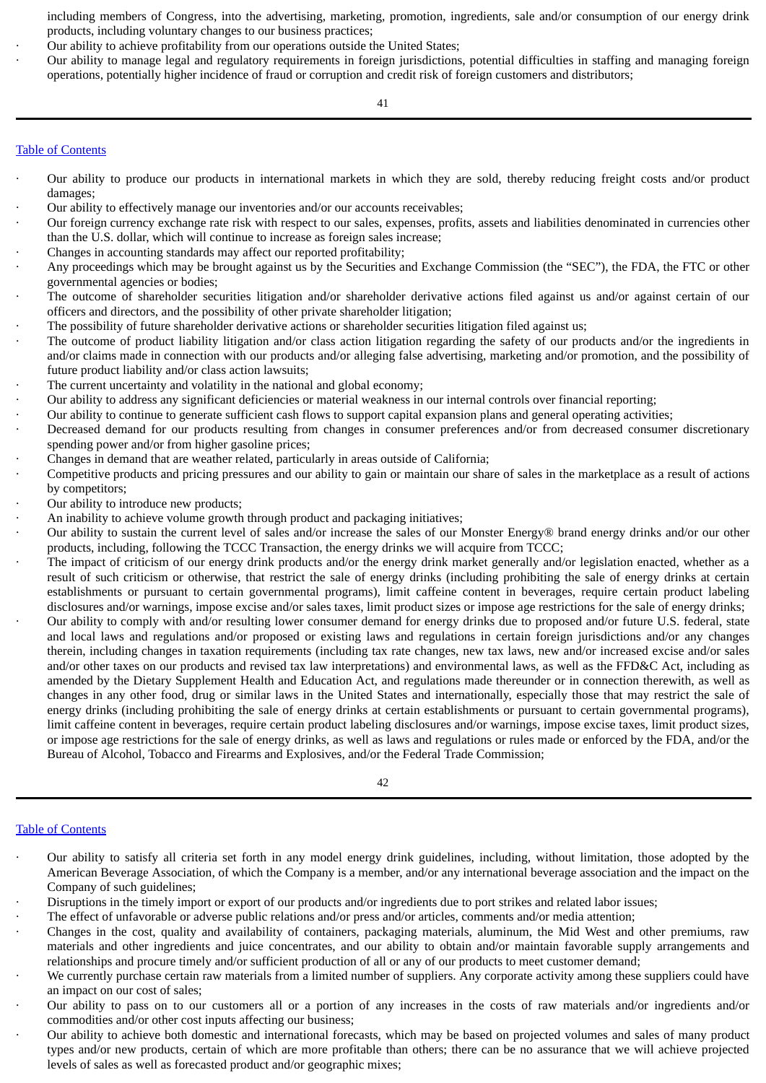including members of Congress, into the advertising, marketing, promotion, ingredients, sale and/or consumption of our energy drink products, including voluntary changes to our business practices;

- · Our ability to achieve profitability from our operations outside the United States;
- · Our ability to manage legal and regulatory requirements in foreign jurisdictions, potential difficulties in staffing and managing foreign operations, potentially higher incidence of fraud or corruption and credit risk of foreign customers and distributors;

### Table of [Contents](#page-0-0)

- · Our ability to produce our products in international markets in which they are sold, thereby reducing freight costs and/or product damages;
- Our ability to effectively manage our inventories and/or our accounts receivables;
- · Our foreign currency exchange rate risk with respect to our sales, expenses, profits, assets and liabilities denominated in currencies other than the U.S. dollar, which will continue to increase as foreign sales increase;
- Changes in accounting standards may affect our reported profitability;
- · Any proceedings which may be brought against us by the Securities and Exchange Commission (the "SEC"), the FDA, the FTC or other governmental agencies or bodies;
- The outcome of shareholder securities litigation and/or shareholder derivative actions filed against us and/or against certain of our officers and directors, and the possibility of other private shareholder litigation;
- The possibility of future shareholder derivative actions or shareholder securities litigation filed against us;
- The outcome of product liability litigation and/or class action litigation regarding the safety of our products and/or the ingredients in and/or claims made in connection with our products and/or alleging false advertising, marketing and/or promotion, and the possibility of future product liability and/or class action lawsuits;
- The current uncertainty and volatility in the national and global economy;
- · Our ability to address any significant deficiencies or material weakness in our internal controls over financial reporting;
- · Our ability to continue to generate sufficient cash flows to support capital expansion plans and general operating activities;
- Decreased demand for our products resulting from changes in consumer preferences and/or from decreased consumer discretionary spending power and/or from higher gasoline prices;
- · Changes in demand that are weather related, particularly in areas outside of California;
- · Competitive products and pricing pressures and our ability to gain or maintain our share of sales in the marketplace as a result of actions by competitors;
- Our ability to introduce new products;
- An inability to achieve volume growth through product and packaging initiatives;
- Our ability to sustain the current level of sales and/or increase the sales of our Monster Energy® brand energy drinks and/or our other products, including, following the TCCC Transaction, the energy drinks we will acquire from TCCC;
- The impact of criticism of our energy drink products and/or the energy drink market generally and/or legislation enacted, whether as a result of such criticism or otherwise, that restrict the sale of energy drinks (including prohibiting the sale of energy drinks at certain establishments or pursuant to certain governmental programs), limit caffeine content in beverages, require certain product labeling disclosures and/or warnings, impose excise and/or sales taxes, limit product sizes or impose age restrictions for the sale of energy drinks; Our ability to comply with and/or resulting lower consumer demand for energy drinks due to proposed and/or future U.S. federal, state and local laws and regulations and/or proposed or existing laws and regulations in certain foreign jurisdictions and/or any changes therein, including changes in taxation requirements (including tax rate changes, new tax laws, new and/or increased excise and/or sales and/or other taxes on our products and revised tax law interpretations) and environmental laws, as well as the FFD&C Act, including as amended by the Dietary Supplement Health and Education Act, and regulations made thereunder or in connection therewith, as well as changes in any other food, drug or similar laws in the United States and internationally, especially those that may restrict the sale of energy drinks (including prohibiting the sale of energy drinks at certain establishments or pursuant to certain governmental programs), limit caffeine content in beverages, require certain product labeling disclosures and/or warnings, impose excise taxes, limit product sizes, or impose age restrictions for the sale of energy drinks, as well as laws and regulations or rules made or enforced by the FDA, and/or the Bureau of Alcohol, Tobacco and Firearms and Explosives, and/or the Federal Trade Commission;

 $\Delta$ 2

#### Table of [Contents](#page-0-0)

- · Our ability to satisfy all criteria set forth in any model energy drink guidelines, including, without limitation, those adopted by the American Beverage Association, of which the Company is a member, and/or any international beverage association and the impact on the Company of such guidelines;
- · Disruptions in the timely import or export of our products and/or ingredients due to port strikes and related labor issues;
- The effect of unfavorable or adverse public relations and/or press and/or articles, comments and/or media attention;
- · Changes in the cost, quality and availability of containers, packaging materials, aluminum, the Mid West and other premiums, raw materials and other ingredients and juice concentrates, and our ability to obtain and/or maintain favorable supply arrangements and relationships and procure timely and/or sufficient production of all or any of our products to meet customer demand;
- We currently purchase certain raw materials from a limited number of suppliers. Any corporate activity among these suppliers could have an impact on our cost of sales;
- · Our ability to pass on to our customers all or a portion of any increases in the costs of raw materials and/or ingredients and/or commodities and/or other cost inputs affecting our business;
- · Our ability to achieve both domestic and international forecasts, which may be based on projected volumes and sales of many product types and/or new products, certain of which are more profitable than others; there can be no assurance that we will achieve projected levels of sales as well as forecasted product and/or geographic mixes;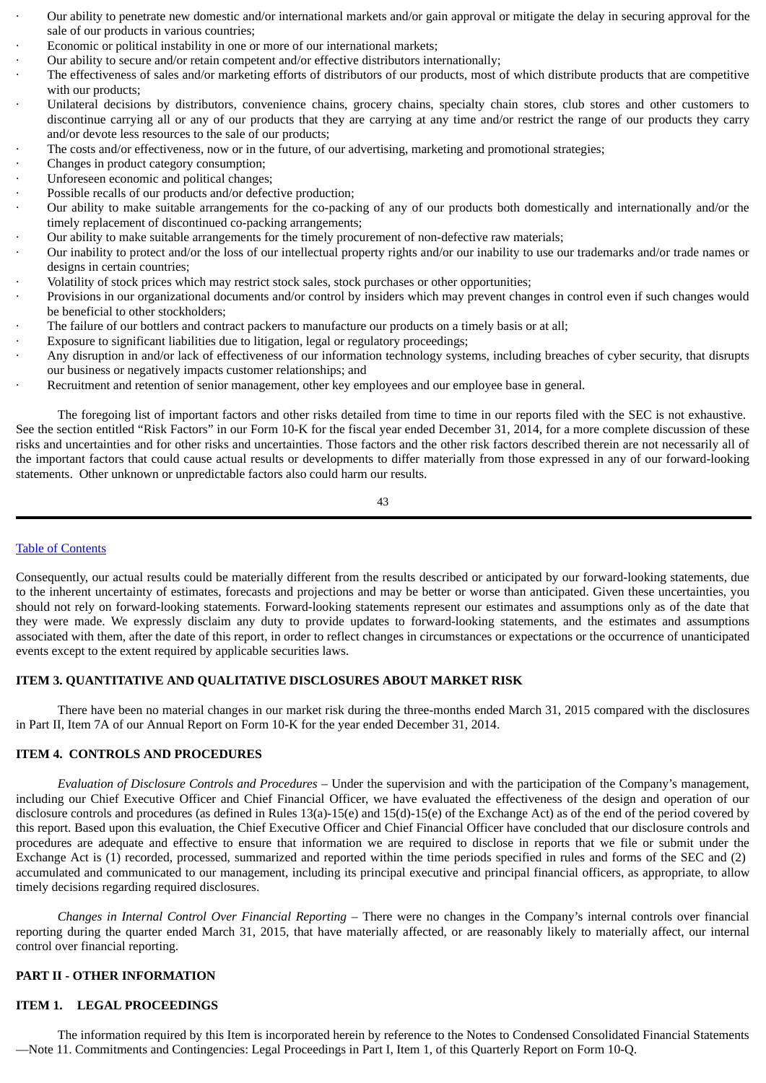- · Our ability to penetrate new domestic and/or international markets and/or gain approval or mitigate the delay in securing approval for the sale of our products in various countries;
- Economic or political instability in one or more of our international markets;
- · Our ability to secure and/or retain competent and/or effective distributors internationally;
- The effectiveness of sales and/or marketing efforts of distributors of our products, most of which distribute products that are competitive with our products;
- · Unilateral decisions by distributors, convenience chains, grocery chains, specialty chain stores, club stores and other customers to discontinue carrying all or any of our products that they are carrying at any time and/or restrict the range of our products they carry and/or devote less resources to the sale of our products;
- The costs and/or effectiveness, now or in the future, of our advertising, marketing and promotional strategies;
- Changes in product category consumption;
- Unforeseen economic and political changes;
- Possible recalls of our products and/or defective production;
- · Our ability to make suitable arrangements for the co-packing of any of our products both domestically and internationally and/or the timely replacement of discontinued co-packing arrangements;
- · Our ability to make suitable arrangements for the timely procurement of non-defective raw materials;
- · Our inability to protect and/or the loss of our intellectual property rights and/or our inability to use our trademarks and/or trade names or designs in certain countries;
- · Volatility of stock prices which may restrict stock sales, stock purchases or other opportunities;
- · Provisions in our organizational documents and/or control by insiders which may prevent changes in control even if such changes would be beneficial to other stockholders;
- The failure of our bottlers and contract packers to manufacture our products on a timely basis or at all;
- · Exposure to significant liabilities due to litigation, legal or regulatory proceedings;
- · Any disruption in and/or lack of effectiveness of our information technology systems, including breaches of cyber security, that disrupts our business or negatively impacts customer relationships; and
- Recruitment and retention of senior management, other key employees and our employee base in general.

The foregoing list of important factors and other risks detailed from time to time in our reports filed with the SEC is not exhaustive. See the section entitled "Risk Factors" in our Form 10-K for the fiscal year ended December 31, 2014, for a more complete discussion of these risks and uncertainties and for other risks and uncertainties. Those factors and the other risk factors described therein are not necessarily all of the important factors that could cause actual results or developments to differ materially from those expressed in any of our forward-looking statements. Other unknown or unpredictable factors also could harm our results.

<span id="page-29-0"></span>
$$
43 \\
$$

# Table of [Contents](#page-0-0)

Consequently, our actual results could be materially different from the results described or anticipated by our forward-looking statements, due to the inherent uncertainty of estimates, forecasts and projections and may be better or worse than anticipated. Given these uncertainties, you should not rely on forward-looking statements. Forward-looking statements represent our estimates and assumptions only as of the date that they were made. We expressly disclaim any duty to provide updates to forward-looking statements, and the estimates and assumptions associated with them, after the date of this report, in order to reflect changes in circumstances or expectations or the occurrence of unanticipated events except to the extent required by applicable securities laws.

# **ITEM 3. QUANTITATIVE AND QUALITATIVE DISCLOSURES ABOUT MARKET RISK**

There have been no material changes in our market risk during the three-months ended March 31, 2015 compared with the disclosures in Part II, Item 7A of our Annual Report on Form 10-K for the year ended December 31, 2014.

# <span id="page-29-1"></span>**ITEM 4. CONTROLS AND PROCEDURES**

*Evaluation of Disclosure Controls and Procedures* – Under the supervision and with the participation of the Company's management, including our Chief Executive Officer and Chief Financial Officer, we have evaluated the effectiveness of the design and operation of our disclosure controls and procedures (as defined in Rules 13(a)-15(e) and 15(d)-15(e) of the Exchange Act) as of the end of the period covered by this report. Based upon this evaluation, the Chief Executive Officer and Chief Financial Officer have concluded that our disclosure controls and procedures are adequate and effective to ensure that information we are required to disclose in reports that we file or submit under the Exchange Act is (1) recorded, processed, summarized and reported within the time periods specified in rules and forms of the SEC and (2) accumulated and communicated to our management, including its principal executive and principal financial officers, as appropriate, to allow timely decisions regarding required disclosures.

*Changes in Internal Control Over Financial Reporting* – There were no changes in the Company's internal controls over financial reporting during the quarter ended March 31, 2015, that have materially affected, or are reasonably likely to materially affect, our internal control over financial reporting.

# <span id="page-29-2"></span>**PART II - OTHER INFORMATION**

# <span id="page-29-3"></span>**ITEM 1. LEGAL PROCEEDINGS**

<span id="page-29-4"></span>The information required by this Item is incorporated herein by reference to the Notes to Condensed Consolidated Financial Statements —Note 11. Commitments and Contingencies: Legal Proceedings in Part I, Item 1, of this Quarterly Report on Form 10-Q.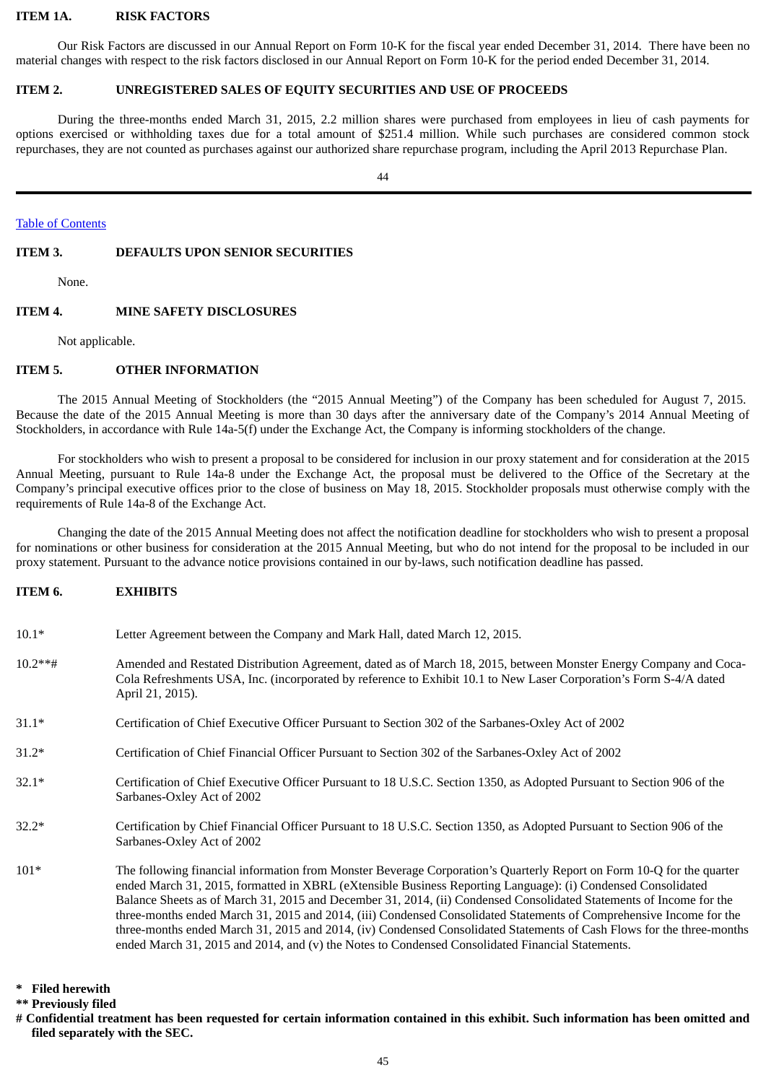#### **ITEM 1A. RISK FACTORS**

Our Risk Factors are discussed in our Annual Report on Form 10-K for the fiscal year ended December 31, 2014. There have been no material changes with respect to the risk factors disclosed in our Annual Report on Form 10-K for the period ended December 31, 2014.

### **ITEM 2. UNREGISTERED SALES OF EQUITY SECURITIES AND USE OF PROCEEDS**

During the three-months ended March 31, 2015, 2.2 million shares were purchased from employees in lieu of cash payments for options exercised or withholding taxes due for a total amount of \$251.4 million. While such purchases are considered common stock repurchases, they are not counted as purchases against our authorized share repurchase program, including the April 2013 Repurchase Plan.

<span id="page-30-2"></span><span id="page-30-1"></span><span id="page-30-0"></span>44

Table of [Contents](#page-0-0)

#### **ITEM 3. DEFAULTS UPON SENIOR SECURITIES**

None.

### **ITEM 4. MINE SAFETY DISCLOSURES**

<span id="page-30-3"></span>Not applicable.

#### **ITEM 5. OTHER INFORMATION**

The 2015 Annual Meeting of Stockholders (the "2015 Annual Meeting") of the Company has been scheduled for August 7, 2015. Because the date of the 2015 Annual Meeting is more than 30 days after the anniversary date of the Company's 2014 Annual Meeting of Stockholders, in accordance with Rule 14a-5(f) under the Exchange Act, the Company is informing stockholders of the change.

For stockholders who wish to present a proposal to be considered for inclusion in our proxy statement and for consideration at the 2015 Annual Meeting, pursuant to Rule 14a-8 under the Exchange Act, the proposal must be delivered to the Office of the Secretary at the Company's principal executive offices prior to the close of business on May 18, 2015. Stockholder proposals must otherwise comply with the requirements of Rule 14a-8 of the Exchange Act.

Changing the date of the 2015 Annual Meeting does not affect the notification deadline for stockholders who wish to present a proposal for nominations or other business for consideration at the 2015 Annual Meeting, but who do not intend for the proposal to be included in our proxy statement. Pursuant to the advance notice provisions contained in our by-laws, such notification deadline has passed.

#### <span id="page-30-4"></span>**ITEM 6. EXHIBITS**

- 10.1\* Letter Agreement between the Company and Mark Hall, dated March 12, 2015.
- 10.2\*\*# Amended and Restated Distribution Agreement, dated as of March 18, 2015, between Monster Energy Company and Coca-Cola Refreshments USA, Inc. (incorporated by reference to Exhibit 10.1 to New Laser Corporation's Form S-4/A dated April 21, 2015).
- 31.1\* Certification of Chief Executive Officer Pursuant to Section 302 of the Sarbanes-Oxley Act of 2002
- 31.2\* Certification of Chief Financial Officer Pursuant to Section 302 of the Sarbanes-Oxley Act of 2002
- 32.1\* Certification of Chief Executive Officer Pursuant to 18 U.S.C. Section 1350, as Adopted Pursuant to Section 906 of the Sarbanes-Oxley Act of 2002
- 32.2\* Certification by Chief Financial Officer Pursuant to 18 U.S.C. Section 1350, as Adopted Pursuant to Section 906 of the Sarbanes-Oxley Act of 2002
- 101\* The following financial information from Monster Beverage Corporation's Quarterly Report on Form 10-Q for the quarter ended March 31, 2015, formatted in XBRL (eXtensible Business Reporting Language): (i) Condensed Consolidated Balance Sheets as of March 31, 2015 and December 31, 2014, (ii) Condensed Consolidated Statements of Income for the three-months ended March 31, 2015 and 2014, (iii) Condensed Consolidated Statements of Comprehensive Income for the three-months ended March 31, 2015 and 2014, (iv) Condensed Consolidated Statements of Cash Flows for the three-months ended March 31, 2015 and 2014, and (v) the Notes to Condensed Consolidated Financial Statements.
- **\* Filed herewith**

#### **\*\* Previously filed**

# Confidential treatment has been requested for certain information contained in this exhibit. Such information has been omitted and **filed separately with the SEC.**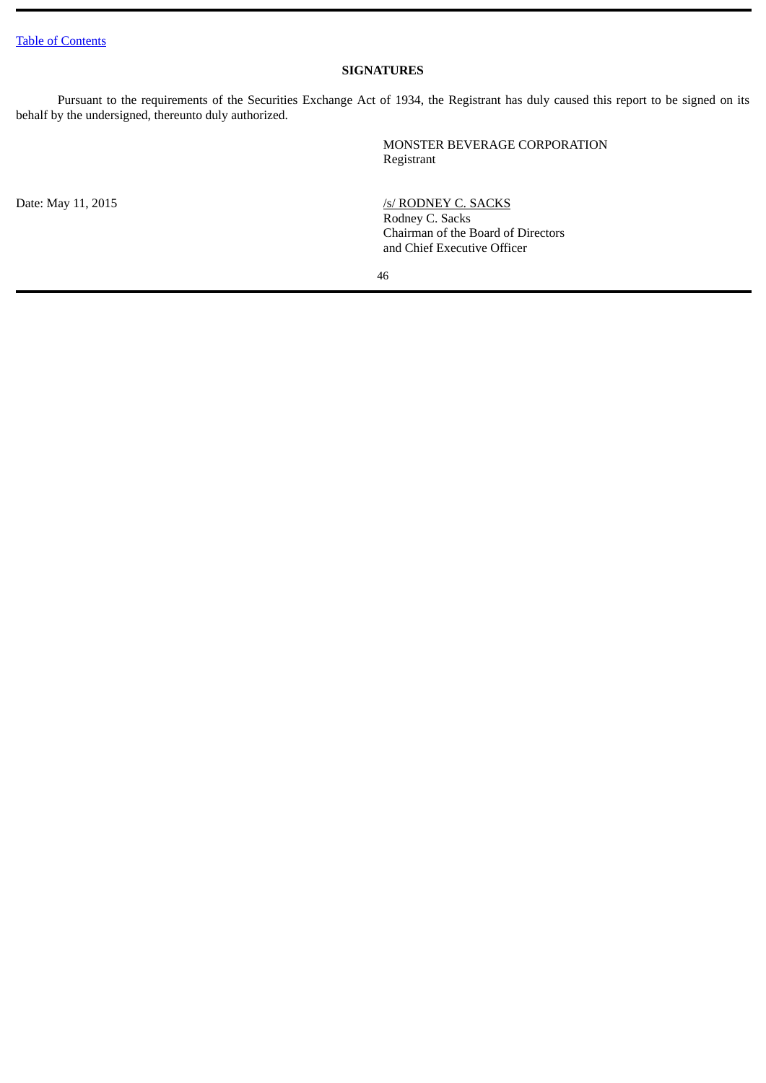# <span id="page-31-0"></span>**SIGNATURES**

Pursuant to the requirements of the Securities Exchange Act of 1934, the Registrant has duly caused this report to be signed on its behalf by the undersigned, thereunto duly authorized.

> MONSTER BEVERAGE CORPORATION Registrant

Date: May 11, 2015 /s/ RODNEY C. SACKS Rodney C. Sacks Chairman of the Board of Directors and Chief Executive Officer

46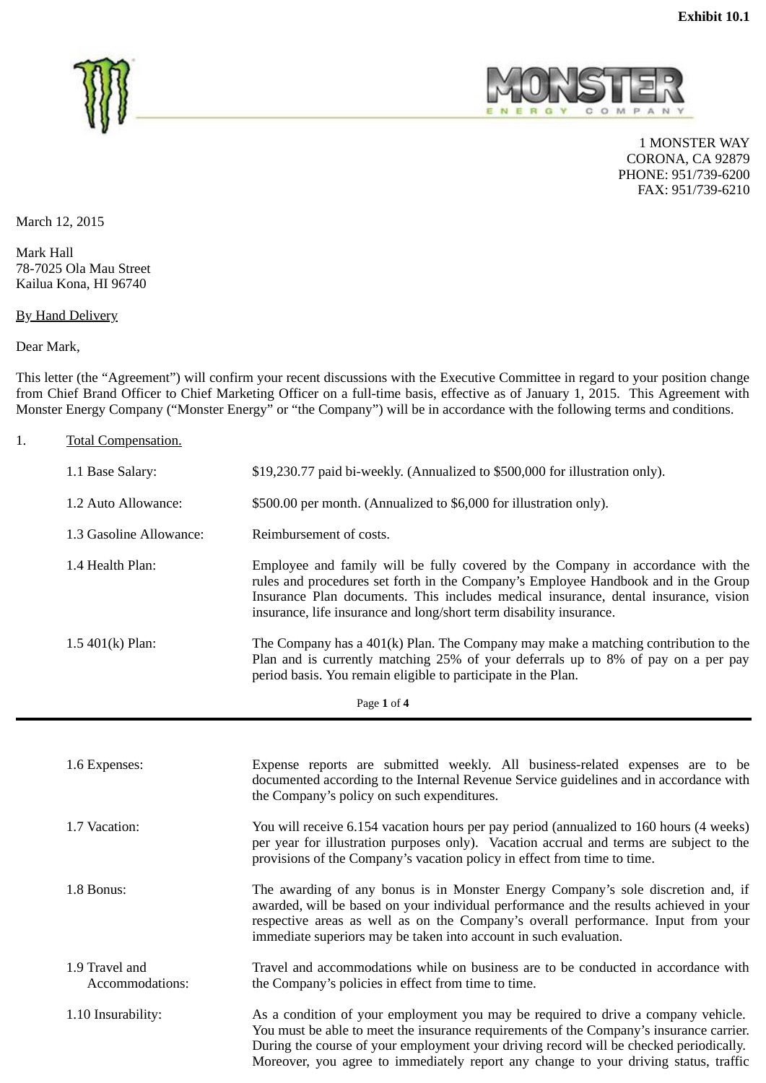



1 MONSTER WAY CORONA, CA 92879 PHONE: 951/739-6200 FAX: 951/739-6210

March 12, 2015

Mark Hall 78-7025 Ola Mau Street Kailua Kona, HI 96740

By Hand Delivery

Dear Mark,

This letter (the "Agreement") will confirm your recent discussions with the Executive Committee in regard to your position change from Chief Brand Officer to Chief Marketing Officer on a full-time basis, effective as of January 1, 2015. This Agreement with Monster Energy Company ("Monster Energy" or "the Company") will be in accordance with the following terms and conditions.

1. Total Compensation.

| 1.1 Base Salary:                  | \$19,230.77 paid bi-weekly. (Annualized to \$500,000 for illustration only).                                                                                                                                                                                                                                                                                   |  |  |  |
|-----------------------------------|----------------------------------------------------------------------------------------------------------------------------------------------------------------------------------------------------------------------------------------------------------------------------------------------------------------------------------------------------------------|--|--|--|
| 1.2 Auto Allowance:               | \$500.00 per month. (Annualized to \$6,000 for illustration only).                                                                                                                                                                                                                                                                                             |  |  |  |
| 1.3 Gasoline Allowance:           | Reimbursement of costs.                                                                                                                                                                                                                                                                                                                                        |  |  |  |
| 1.4 Health Plan:                  | Employee and family will be fully covered by the Company in accordance with the<br>rules and procedures set forth in the Company's Employee Handbook and in the Group<br>Insurance Plan documents. This includes medical insurance, dental insurance, vision<br>insurance, life insurance and long/short term disability insurance.                            |  |  |  |
| 1.5 $401(k)$ Plan:                | The Company has a $401(k)$ Plan. The Company may make a matching contribution to the<br>Plan and is currently matching 25% of your deferrals up to 8% of pay on a per pay<br>period basis. You remain eligible to participate in the Plan.                                                                                                                     |  |  |  |
| Page 1 of 4                       |                                                                                                                                                                                                                                                                                                                                                                |  |  |  |
|                                   |                                                                                                                                                                                                                                                                                                                                                                |  |  |  |
| 1.6 Expenses:                     | Expense reports are submitted weekly. All business-related expenses are to be<br>documented according to the Internal Revenue Service guidelines and in accordance with<br>the Company's policy on such expenditures.                                                                                                                                          |  |  |  |
| 1.7 Vacation:                     | You will receive 6.154 vacation hours per pay period (annualized to 160 hours (4 weeks)<br>per year for illustration purposes only). Vacation accrual and terms are subject to the<br>provisions of the Company's vacation policy in effect from time to time.                                                                                                 |  |  |  |
| 1.8 Bonus:                        | The awarding of any bonus is in Monster Energy Company's sole discretion and, if<br>awarded, will be based on your individual performance and the results achieved in your<br>respective areas as well as on the Company's overall performance. Input from your<br>immediate superiors may be taken into account in such evaluation.                           |  |  |  |
| 1.9 Travel and<br>Accommodations: | Travel and accommodations while on business are to be conducted in accordance with<br>the Company's policies in effect from time to time.                                                                                                                                                                                                                      |  |  |  |
| 1.10 Insurability:                | As a condition of your employment you may be required to drive a company vehicle.<br>You must be able to meet the insurance requirements of the Company's insurance carrier.<br>During the course of your employment your driving record will be checked periodically.<br>Moreover, you agree to immediately report any change to your driving status, traffic |  |  |  |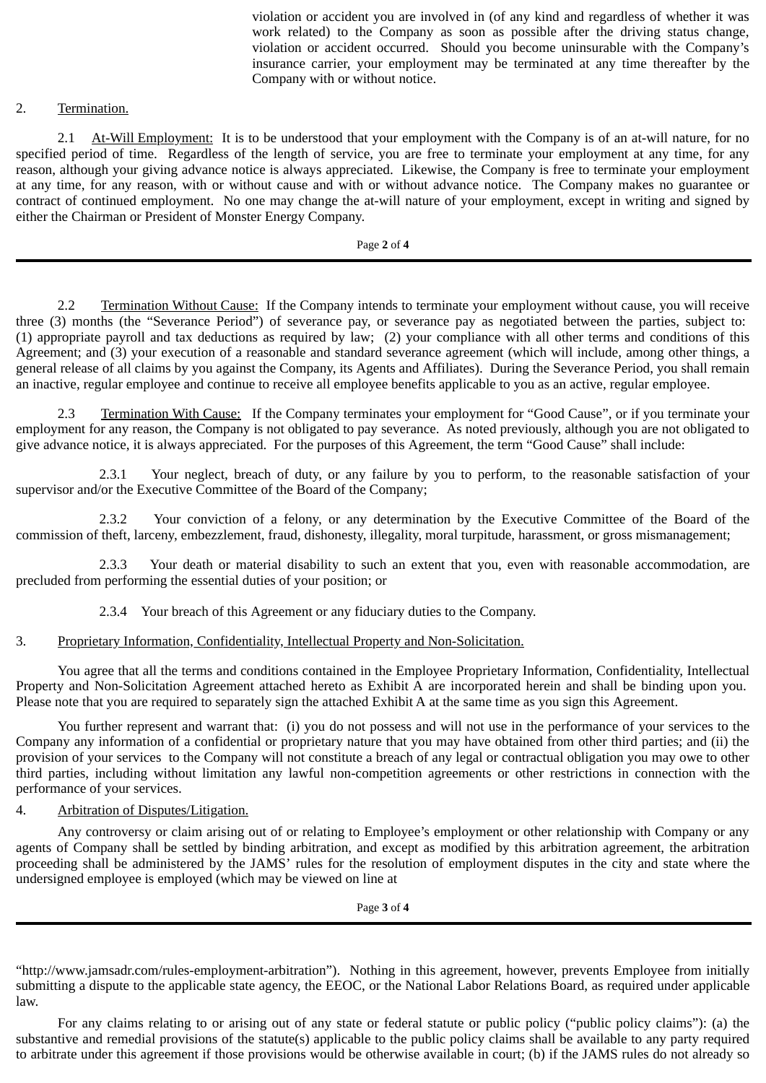violation or accident you are involved in (of any kind and regardless of whether it was work related) to the Company as soon as possible after the driving status change, violation or accident occurred. Should you become uninsurable with the Company's insurance carrier, your employment may be terminated at any time thereafter by the Company with or without notice.

# 2. Termination.

2.1 At-Will Employment: It is to be understood that your employment with the Company is of an at-will nature, for no specified period of time. Regardless of the length of service, you are free to terminate your employment at any time, for any reason, although your giving advance notice is always appreciated. Likewise, the Company is free to terminate your employment at any time, for any reason, with or without cause and with or without advance notice. The Company makes no guarantee or contract of continued employment. No one may change the at-will nature of your employment, except in writing and signed by either the Chairman or President of Monster Energy Company.

Page **2** of **4**

2.2 Termination Without Cause: If the Company intends to terminate your employment without cause, you will receive three (3) months (the "Severance Period") of severance pay, or severance pay as negotiated between the parties, subject to: (1) appropriate payroll and tax deductions as required by law; (2) your compliance with all other terms and conditions of this Agreement; and (3) your execution of a reasonable and standard severance agreement (which will include, among other things, a general release of all claims by you against the Company, its Agents and Affiliates). During the Severance Period, you shall remain an inactive, regular employee and continue to receive all employee benefits applicable to you as an active, regular employee.

2.3 Termination With Cause: If the Company terminates your employment for "Good Cause", or if you terminate your employment for any reason, the Company is not obligated to pay severance. As noted previously, although you are not obligated to give advance notice, it is always appreciated. For the purposes of this Agreement, the term "Good Cause" shall include:

2.3.1 Your neglect, breach of duty, or any failure by you to perform, to the reasonable satisfaction of your supervisor and/or the Executive Committee of the Board of the Company;

2.3.2 Your conviction of a felony, or any determination by the Executive Committee of the Board of the commission of theft, larceny, embezzlement, fraud, dishonesty, illegality, moral turpitude, harassment, or gross mismanagement;

2.3.3 Your death or material disability to such an extent that you, even with reasonable accommodation, are precluded from performing the essential duties of your position; or

2.3.4 Your breach of this Agreement or any fiduciary duties to the Company.

# 3. Proprietary Information, Confidentiality, Intellectual Property and Non-Solicitation.

You agree that all the terms and conditions contained in the Employee Proprietary Information, Confidentiality, Intellectual Property and Non-Solicitation Agreement attached hereto as Exhibit A are incorporated herein and shall be binding upon you. Please note that you are required to separately sign the attached Exhibit A at the same time as you sign this Agreement.

You further represent and warrant that: (i) you do not possess and will not use in the performance of your services to the Company any information of a confidential or proprietary nature that you may have obtained from other third parties; and (ii) the provision of your services to the Company will not constitute a breach of any legal or contractual obligation you may owe to other third parties, including without limitation any lawful non-competition agreements or other restrictions in connection with the performance of your services.

# 4. Arbitration of Disputes/Litigation.

Any controversy or claim arising out of or relating to Employee's employment or other relationship with Company or any agents of Company shall be settled by binding arbitration, and except as modified by this arbitration agreement, the arbitration proceeding shall be administered by the JAMS' rules for the resolution of employment disputes in the city and state where the undersigned employee is employed (which may be viewed on line at

Page **3** of **4**

"http://www.jamsadr.com/rules-employment-arbitration"). Nothing in this agreement, however, prevents Employee from initially submitting a dispute to the applicable state agency, the EEOC, or the National Labor Relations Board, as required under applicable law.

For any claims relating to or arising out of any state or federal statute or public policy ("public policy claims"): (a) the substantive and remedial provisions of the statute(s) applicable to the public policy claims shall be available to any party required to arbitrate under this agreement if those provisions would be otherwise available in court; (b) if the JAMS rules do not already so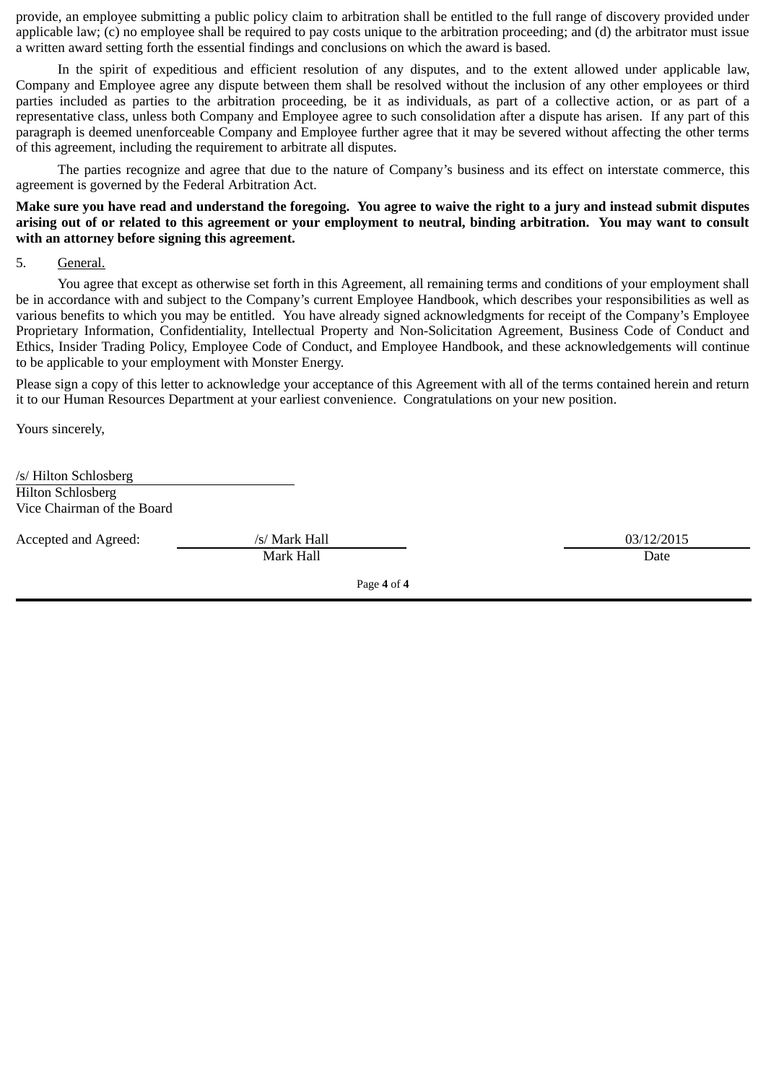provide, an employee submitting a public policy claim to arbitration shall be entitled to the full range of discovery provided under applicable law; (c) no employee shall be required to pay costs unique to the arbitration proceeding; and (d) the arbitrator must issue a written award setting forth the essential findings and conclusions on which the award is based.

In the spirit of expeditious and efficient resolution of any disputes, and to the extent allowed under applicable law, Company and Employee agree any dispute between them shall be resolved without the inclusion of any other employees or third parties included as parties to the arbitration proceeding, be it as individuals, as part of a collective action, or as part of a representative class, unless both Company and Employee agree to such consolidation after a dispute has arisen. If any part of this paragraph is deemed unenforceable Company and Employee further agree that it may be severed without affecting the other terms of this agreement, including the requirement to arbitrate all disputes.

The parties recognize and agree that due to the nature of Company's business and its effect on interstate commerce, this agreement is governed by the Federal Arbitration Act.

**Make sure you have read and understand the foregoing. You agree to waive the right to a jury and instead submit disputes arising out of or related to this agreement or your employment to neutral, binding arbitration. You may want to consult with an attorney before signing this agreement.**

# 5. General.

You agree that except as otherwise set forth in this Agreement, all remaining terms and conditions of your employment shall be in accordance with and subject to the Company's current Employee Handbook, which describes your responsibilities as well as various benefits to which you may be entitled. You have already signed acknowledgments for receipt of the Company's Employee Proprietary Information, Confidentiality, Intellectual Property and Non-Solicitation Agreement, Business Code of Conduct and Ethics, Insider Trading Policy, Employee Code of Conduct, and Employee Handbook, and these acknowledgements will continue to be applicable to your employment with Monster Energy.

Please sign a copy of this letter to acknowledge your acceptance of this Agreement with all of the terms contained herein and return it to our Human Resources Department at your earliest convenience. Congratulations on your new position.

Yours sincerely,

| /s/ Hilton Schlosberg      |               |            |
|----------------------------|---------------|------------|
| Hilton Schlosberg          |               |            |
| Vice Chairman of the Board |               |            |
| Accepted and Agreed:       | /s/ Mark Hall | 03/12/2015 |

Mark Hall Date **Date** 

Page **4** of **4**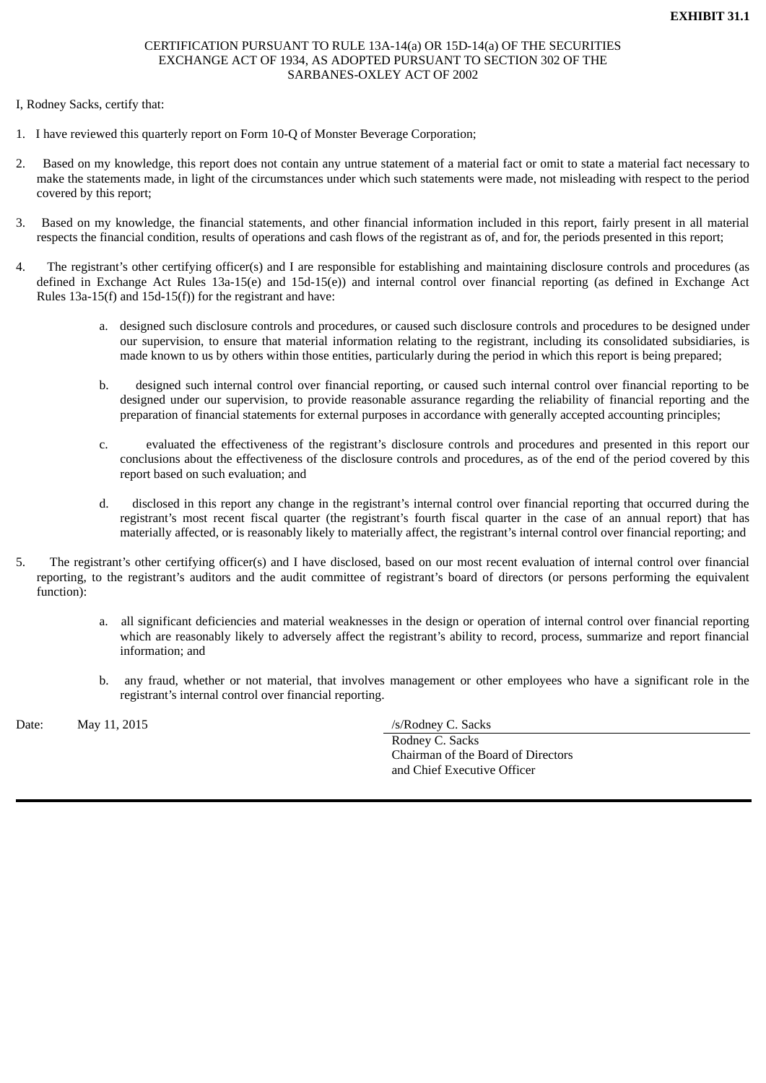## CERTIFICATION PURSUANT TO RULE 13A-14(a) OR 15D-14(a) OF THE SECURITIES EXCHANGE ACT OF 1934, AS ADOPTED PURSUANT TO SECTION 302 OF THE SARBANES-OXLEY ACT OF 2002

### I, Rodney Sacks, certify that:

- 1. I have reviewed this quarterly report on Form 10-Q of Monster Beverage Corporation;
- 2. Based on my knowledge, this report does not contain any untrue statement of a material fact or omit to state a material fact necessary to make the statements made, in light of the circumstances under which such statements were made, not misleading with respect to the period covered by this report;
- 3. Based on my knowledge, the financial statements, and other financial information included in this report, fairly present in all material respects the financial condition, results of operations and cash flows of the registrant as of, and for, the periods presented in this report;
- 4. The registrant's other certifying officer(s) and I are responsible for establishing and maintaining disclosure controls and procedures (as defined in Exchange Act Rules 13a-15(e) and 15d-15(e)) and internal control over financial reporting (as defined in Exchange Act Rules 13a-15(f) and 15d-15(f)) for the registrant and have:
	- a. designed such disclosure controls and procedures, or caused such disclosure controls and procedures to be designed under our supervision, to ensure that material information relating to the registrant, including its consolidated subsidiaries, is made known to us by others within those entities, particularly during the period in which this report is being prepared;
	- b. designed such internal control over financial reporting, or caused such internal control over financial reporting to be designed under our supervision, to provide reasonable assurance regarding the reliability of financial reporting and the preparation of financial statements for external purposes in accordance with generally accepted accounting principles;
	- c. evaluated the effectiveness of the registrant's disclosure controls and procedures and presented in this report our conclusions about the effectiveness of the disclosure controls and procedures, as of the end of the period covered by this report based on such evaluation; and
	- d. disclosed in this report any change in the registrant's internal control over financial reporting that occurred during the registrant's most recent fiscal quarter (the registrant's fourth fiscal quarter in the case of an annual report) that has materially affected, or is reasonably likely to materially affect, the registrant's internal control over financial reporting; and
- 5. The registrant's other certifying officer(s) and I have disclosed, based on our most recent evaluation of internal control over financial reporting, to the registrant's auditors and the audit committee of registrant's board of directors (or persons performing the equivalent function):
	- a. all significant deficiencies and material weaknesses in the design or operation of internal control over financial reporting which are reasonably likely to adversely affect the registrant's ability to record, process, summarize and report financial information; and
	- b. any fraud, whether or not material, that involves management or other employees who have a significant role in the registrant's internal control over financial reporting.

Date: May 11, 2015 /s/Rodney C. Sacks

Rodney C. Sacks Chairman of the Board of Directors and Chief Executive Officer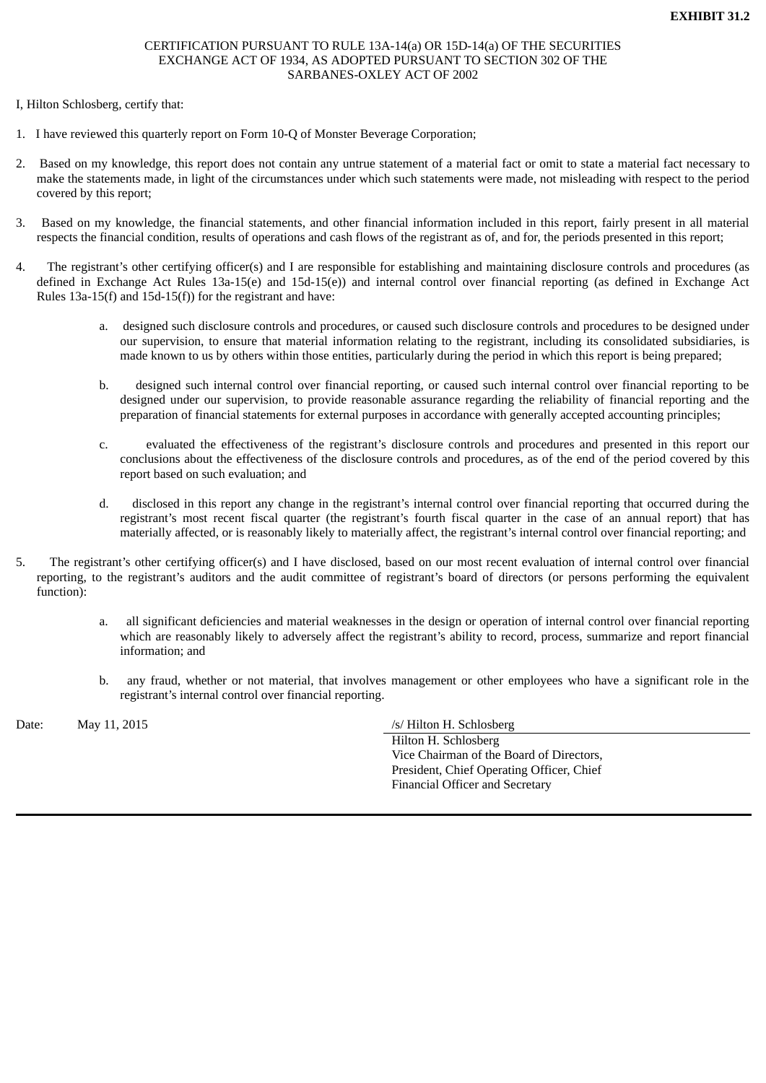### CERTIFICATION PURSUANT TO RULE 13A-14(a) OR 15D-14(a) OF THE SECURITIES EXCHANGE ACT OF 1934, AS ADOPTED PURSUANT TO SECTION 302 OF THE SARBANES-OXLEY ACT OF 2002

I, Hilton Schlosberg, certify that:

- 1. I have reviewed this quarterly report on Form 10-Q of Monster Beverage Corporation;
- 2. Based on my knowledge, this report does not contain any untrue statement of a material fact or omit to state a material fact necessary to make the statements made, in light of the circumstances under which such statements were made, not misleading with respect to the period covered by this report;
- 3. Based on my knowledge, the financial statements, and other financial information included in this report, fairly present in all material respects the financial condition, results of operations and cash flows of the registrant as of, and for, the periods presented in this report;
- 4. The registrant's other certifying officer(s) and I are responsible for establishing and maintaining disclosure controls and procedures (as defined in Exchange Act Rules 13a-15(e) and 15d-15(e)) and internal control over financial reporting (as defined in Exchange Act Rules 13a-15(f) and 15d-15(f)) for the registrant and have:
	- a. designed such disclosure controls and procedures, or caused such disclosure controls and procedures to be designed under our supervision, to ensure that material information relating to the registrant, including its consolidated subsidiaries, is made known to us by others within those entities, particularly during the period in which this report is being prepared;
	- b. designed such internal control over financial reporting, or caused such internal control over financial reporting to be designed under our supervision, to provide reasonable assurance regarding the reliability of financial reporting and the preparation of financial statements for external purposes in accordance with generally accepted accounting principles;
	- c. evaluated the effectiveness of the registrant's disclosure controls and procedures and presented in this report our conclusions about the effectiveness of the disclosure controls and procedures, as of the end of the period covered by this report based on such evaluation; and
	- d. disclosed in this report any change in the registrant's internal control over financial reporting that occurred during the registrant's most recent fiscal quarter (the registrant's fourth fiscal quarter in the case of an annual report) that has materially affected, or is reasonably likely to materially affect, the registrant's internal control over financial reporting; and
- 5. The registrant's other certifying officer(s) and I have disclosed, based on our most recent evaluation of internal control over financial reporting, to the registrant's auditors and the audit committee of registrant's board of directors (or persons performing the equivalent function):
	- a. all significant deficiencies and material weaknesses in the design or operation of internal control over financial reporting which are reasonably likely to adversely affect the registrant's ability to record, process, summarize and report financial information; and
	- b. any fraud, whether or not material, that involves management or other employees who have a significant role in the registrant's internal control over financial reporting.

Date: May 11, 2015 /s/ Hilton H. Schlosberg

Hilton H. Schlosberg Vice Chairman of the Board of Directors, President, Chief Operating Officer, Chief Financial Officer and Secretary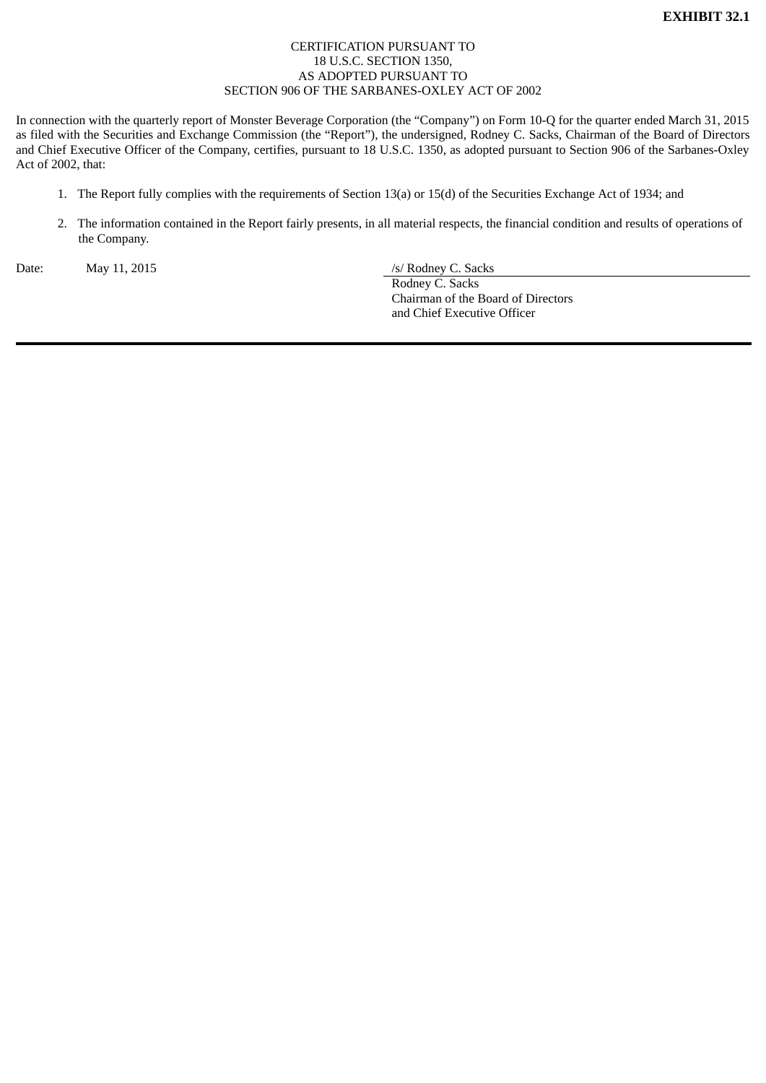# CERTIFICATION PURSUANT TO 18 U.S.C. SECTION 1350, AS ADOPTED PURSUANT TO SECTION 906 OF THE SARBANES-OXLEY ACT OF 2002

In connection with the quarterly report of Monster Beverage Corporation (the "Company") on Form 10-Q for the quarter ended March 31, 2015 as filed with the Securities and Exchange Commission (the "Report"), the undersigned, Rodney C. Sacks, Chairman of the Board of Directors and Chief Executive Officer of the Company, certifies, pursuant to 18 U.S.C. 1350, as adopted pursuant to Section 906 of the Sarbanes-Oxley Act of 2002, that:

- 1. The Report fully complies with the requirements of Section 13(a) or 15(d) of the Securities Exchange Act of 1934; and
- 2. The information contained in the Report fairly presents, in all material respects, the financial condition and results of operations of the Company.

Date: May 11, 2015 /s/ Rodney C. Sacks

Rodney C. Sacks

Chairman of the Board of Directors and Chief Executive Officer